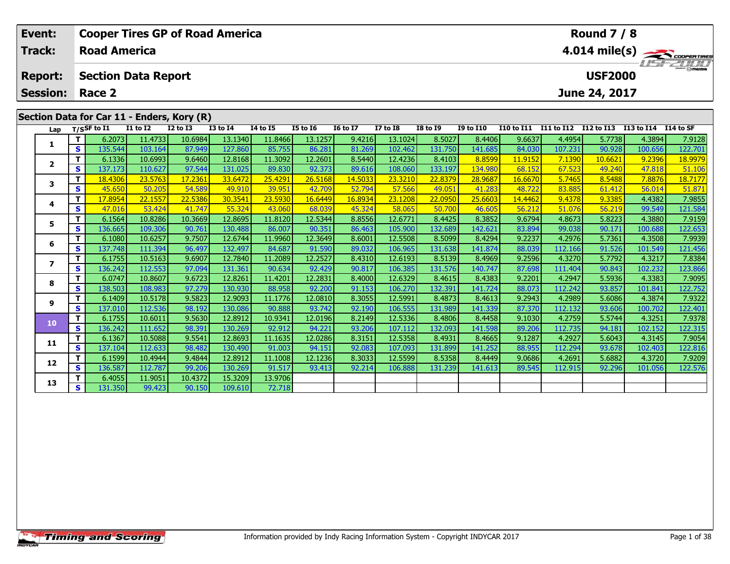|                                              | Event:                                     |   |                     |               | <b>Cooper Tires GP of Road America</b> |                 |                 |                 |                 | <b>Round 7 / 8</b> |                 |                  |                           |                       |         |            |           |
|----------------------------------------------|--------------------------------------------|---|---------------------|---------------|----------------------------------------|-----------------|-----------------|-----------------|-----------------|--------------------|-----------------|------------------|---------------------------|-----------------------|---------|------------|-----------|
|                                              | <b>Track:</b>                              |   | <b>Road America</b> |               |                                        |                 |                 |                 |                 |                    |                 |                  | 4.014 mile(s)<br>$H = -H$ |                       |         |            |           |
| <b>Section Data Report</b><br><b>Report:</b> |                                            |   |                     |               |                                        |                 |                 |                 |                 |                    |                 | <b>USF2000</b>   |                           |                       |         |            |           |
|                                              | <b>Session:</b>                            |   | Race 2              | June 24, 2017 |                                        |                 |                 |                 |                 |                    |                 |                  |                           |                       |         |            |           |
|                                              | Section Data for Car 11 - Enders, Kory (R) |   |                     |               |                                        |                 |                 |                 |                 |                    |                 |                  |                           |                       |         |            |           |
|                                              | Lap                                        |   | $T/S$ SF to I1      | $I1$ to $I2$  | <b>I2 to I3</b>                        | <b>I3 to I4</b> | <b>I4 to I5</b> | <b>I5 to 16</b> | <b>16 to 17</b> | <b>I7 to I8</b>    | <b>I8 to 19</b> | <b>I9 to I10</b> | <b>I10 to I11</b>         | I11 to I12 I12 to I13 |         | I13 to I14 | I14 to SF |
|                                              |                                            |   | 6.2073              | 11.4733       | 10.6984                                | 13.1340         | 11.8466         | 13.1257         | 9.4216          | 13.1024            | 8.5027          | 8.4406           | 9.6637                    | 4.4954                | 5.7738  | 4.3894     | 7.9128    |
|                                              |                                            | s | 135.544             | 103.164       | 87.949                                 | 127.860         | 85.755          | 86.281          | 81.269          | 102.462            | 131.750         | 141.685          | 84.030                    | 107.231               | 90.928  | 100.656    | 122.701   |
|                                              | $\mathbf{2}$                               |   | 6.1336              | 10.6993       | 9.6460                                 | 12.8168         | 11.3092         | 12.2601         | 8.5440          | 12.4236            | 8.4103          | 8.8599           | 11.9152                   | 7.1390                | 10.6621 | 9.2396     | 18.9979   |
|                                              |                                            | S | 137.173             | 110.627       | 97.544                                 | 131.025         | 89.830          | 92.373          | 89.616          | 108.060            | 133.197         | 134.980          | 68.152                    | 67.523                | 49.240  | 47.818     | 51.106    |
|                                              | 3                                          |   | 18.4306             | 23.5763       | 17.2361                                | 33.6472         | 25.4291         | 26.5168         | 14.5033         | 23.3210            | 22.8379         | 28.9687          | 16.6670                   | 5.7465                | 8.5488  | 7.8876     | 18.7177   |
|                                              |                                            | S | 45.650              | 50.205        | 54.589                                 | 49.910          | 39.951          | 42.709          | 52.794          | 57.566             | 49.051          | 41.283           | 48.722                    | 83.885                | 61.412  | 56.014     | 51.871    |
|                                              | 4                                          |   | 17.8954             | 22.1557       | 22.5386                                | 30.3541         | 23.5930         | 16.6449         | 16.8934         | 23.1208            | 22.0950         | 25.6603          | 14.4462                   | 9.4378                | 9.3385  | 4.4382     | 7.9855    |
|                                              |                                            | S | 47.016              | 53.424        | 41.747                                 | 55.324          | 43.060          | 68.039          | 45.324          | 58.065             | 50.700          | 46.605           | 56.212                    | 51.076                | 56.219  | 99.549     | 121.584   |
|                                              | 5.                                         |   | 6.1564              | 10.8286       | 10.3669                                | 12.8695         | 11.8120         | 12.5344         | 8.8556          | 12.6771            | 8.4425          | 8.3852           | 9.6794                    | 4.8673                | 5.8223  | 4.3880     | 7.9159    |
|                                              |                                            | S | 136.665             | 109.306       | 90.761                                 | 130.488         | 86.007          | 90.351          | 86.463          | 105.900            | 132.689         | 142.621          | 83.894                    | 99.038                | 90.171  | 100.688    | 122.653   |
|                                              | 6                                          |   | 6.1080              | 10.6257       | 9.7507                                 | 12.6744         | 11.9960         | 12.3649         | 8.6001          | 12.5508            | 8.5099          | 8.4294           | 9.2237                    | 4.2976                | 5.7361  | 4.3508     | 7.9939    |
|                                              |                                            | S | 137.748             | 111.394       | 96.497                                 | 132.497         | 84.687          | 91.590          | 89.032          | 106.965            | 131.638         | 141.874          | 88.039                    | 112.166               | 91.526  | 101.549    | 121.456   |
|                                              |                                            |   | 6.1755              | 10.5163       | 9.6907                                 | 12.7840         | 11.2089         | 12.2527         | 8.4310          | 12.6193            | 8.5139          | 8.4969           | 9.2596                    | 4.3270                | 5.7792  | 4.3217     | 7.8384    |
|                                              |                                            | S | 136.242             | 112.553       | 97.094                                 | 131.361         | 90.634          | 92.429          | 90.817          | 106.385            | 131.576         | 140.747          | 87.698                    | 111.404               | 90.843  | 102.232    | 123.866   |

8 | T | 6.0747 10.8607 9.6723 12.8261 11.4201 12.2831 8.4000 12.6329 8.4615 8.4383 9.2201 4.2947 5.5936 4.3383 7.9095<br>8 | S | 138.503 108.983 97.279 130.930 88.958 92.200 91.153 106.270 132.391 141.724 88.073 112.242 93.85

1.9932 / 11 12.5086 / 1.9322 / 1.1776 / 1.1776 / 12.0810 / 1.1.5991 / 1.5991 / 1.4873 / 1.4873 / 8.4613 / 9.2943 / 4.2989 / 5.6086 / 4.3874 7.9322 / 9 / 9 / 13.086 / 13.086 / 1.12.536 /<br>S 137.010 112.536 98.192 130.086 90

0 | T | 6.1755| 10.6011| 9.5630| 12.8912| 10.9341| 12.0196| 8.2149| 12.5336| 8.4806| 8.4458| 9.1030| 4.2759| 5.5744| 4.3251| 7.9378<br>| S | 136.242| 111.652| 98.391| 130.269| 92.912| 94.221| 93.206| 107.112| 132.093| 141.598

**<sup>T</sup>** 6.1367 10.5088 9.5541 12.8693 11.1635 12.0286 8.3151 12.5358 8.4931 8.4665 9.1287 4.2927 5.6043 4.3145 7.9054 **<sup>S</sup>** 137.104 112.633 98.482 130.490 91.003 94.151 92.083 107.093 131.899 141.252 88.955 112.294 93.678 102.403 122.816

2 T 6.1599 10.4944 9.4844 12.8912 11.1008 12.1236 8.3033 12.5599 8.5358 8.4449 9.0686 4.2691 5.6882 4.3720 7.9209<br>2 S 136.587 112.787 99.206 130.269 91.517 93.413 92.214 106.888 131.239 141.613 89.545 112.915 92.296 101.05

72.718

**<sup>T</sup>** 6.4055 11.9051 10.4372 15.3209 13.9706 **<sup>S</sup>** 131.350 99.423 90.150 109.610 72.718

**8**

**9**

**10**

**11**

**12**

**13**

123.866

122.401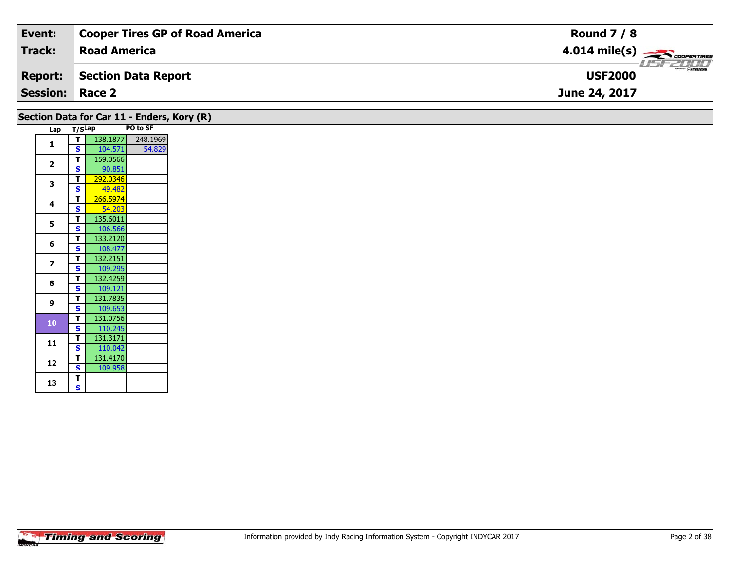| Event:                 | Cooper Tires GP of Road America | <b>Round 7 / 8</b>                                                                                                                                                                                                                                                                                                                                                                                                                                                                                |
|------------------------|---------------------------------|---------------------------------------------------------------------------------------------------------------------------------------------------------------------------------------------------------------------------------------------------------------------------------------------------------------------------------------------------------------------------------------------------------------------------------------------------------------------------------------------------|
| <b>Track:</b>          | <b>Road America</b>             | $4.014 \text{ mile(s)}$                                                                                                                                                                                                                                                                                                                                                                                                                                                                           |
| <b>Report:</b>         | Section Data Report             | $\overline{\phantom{m}}$ $\overline{\phantom{m}}$ $\overline{\phantom{m}}$ $\overline{\phantom{m}}$ $\overline{\phantom{m}}$ $\overline{\phantom{m}}$ $\overline{\phantom{m}}$ $\overline{\phantom{m}}$ $\overline{\phantom{m}}$ $\overline{\phantom{m}}$ $\overline{\phantom{m}}$ $\overline{\phantom{m}}$ $\overline{\phantom{m}}$ $\overline{\phantom{m}}$ $\overline{\phantom{m}}$ $\overline{\phantom{m}}$ $\overline{\phantom{m}}$ $\overline{\phantom{m}}$ $\overline{\$<br><b>USF2000</b> |
| <b>Session: Race 2</b> |                                 | June 24, 2017                                                                                                                                                                                                                                                                                                                                                                                                                                                                                     |

| Lap                                                                      |              | Section Data for Car 11 - Enders, Kory (R)<br>T/SLap | PO to SF |
|--------------------------------------------------------------------------|--------------|------------------------------------------------------|----------|
|                                                                          | T            | 138.1877                                             | 248.1969 |
| 1                                                                        | S            | 104.571                                              | 54.829   |
|                                                                          | T            | 159.0566                                             |          |
|                                                                          | S            | 90.851                                               |          |
|                                                                          | т            | 292.0346                                             |          |
|                                                                          | S            | 49.482                                               |          |
|                                                                          | T            | 266.5974                                             |          |
|                                                                          | S            | 54.203                                               |          |
|                                                                          | T            | 135.6011                                             |          |
|                                                                          | $\mathbf{s}$ | 106.566                                              |          |
| $\overline{2}$<br>3<br>4<br>5<br>6<br>$\overline{\phantom{a}}$<br>8<br>9 | T            | 133.2120                                             |          |
|                                                                          | $\mathbf{s}$ | 108.477                                              |          |
|                                                                          | т            | 132.2151                                             |          |
|                                                                          | S            | 109.295                                              |          |
|                                                                          | T            | 132.4259                                             |          |
|                                                                          | $\mathbf s$  | 109.121                                              |          |
|                                                                          | T            | 131.7835                                             |          |
|                                                                          | $\mathbf s$  | 109.653                                              |          |
| 10                                                                       | T            | 131.0756                                             |          |
|                                                                          | $\mathbf s$  | 110.245                                              |          |
| 11                                                                       | T            | 131.3171                                             |          |
|                                                                          | $\mathbf{s}$ | 110.042                                              |          |
| 12                                                                       | T            | 131.4170                                             |          |
|                                                                          | S            | 109.958                                              |          |
| 13                                                                       | T            |                                                      |          |
|                                                                          | S            |                                                      |          |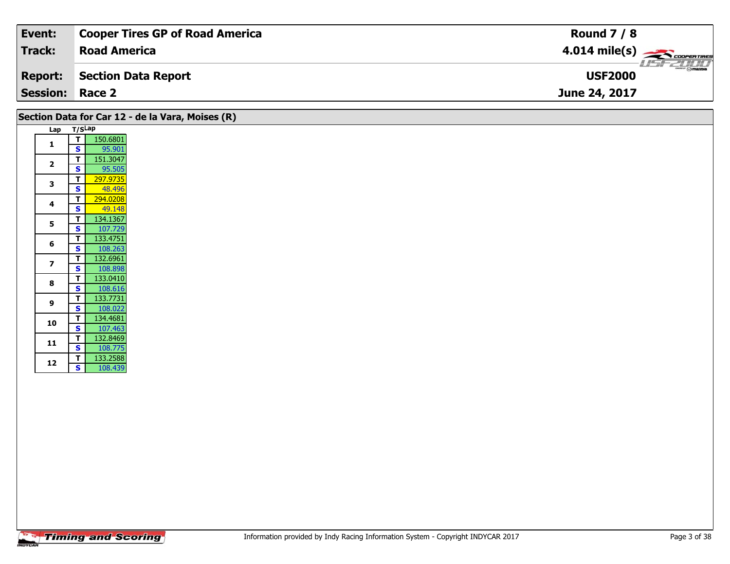| Event:                 | <b>Cooper Tires GP of Road America</b> | <b>Round 7 / 8</b>                        |
|------------------------|----------------------------------------|-------------------------------------------|
| Track:                 | <b>Road America</b>                    | $4.014 \text{ mile(s)}$                   |
| <b>Report:</b>         | Section Data Report                    | $\frac{2\pi}{2}$ omazoa<br><b>USF2000</b> |
| <b>Session: Race 2</b> |                                        | June 24, 2017                             |

| Section Data for Car 12 - de la Vara, Moises (R) |        |          |  |  |
|--------------------------------------------------|--------|----------|--|--|
| Lap                                              | T/SLap |          |  |  |
| 1                                                | т      | 150.6801 |  |  |
|                                                  | S      | 95.901   |  |  |
|                                                  | т      | 151.3047 |  |  |
| $\overline{2}$                                   | S      | 95.505   |  |  |
| 3                                                | т      | 297.9735 |  |  |
|                                                  | S      | 48.496   |  |  |
| 4                                                | т      | 294.0208 |  |  |
|                                                  | S      | 49.148   |  |  |
| 5                                                | т      | 134.1367 |  |  |
|                                                  | S      | 107.729  |  |  |
| 6                                                | т      | 133.4751 |  |  |
|                                                  | S      | 108.263  |  |  |
| $\overline{\mathbf{z}}$                          | т      | 132.6961 |  |  |
|                                                  | S      | 108.898  |  |  |
| 8                                                | т      | 133.0410 |  |  |
|                                                  | S      | 108.616  |  |  |
| 9                                                | т      | 133.7731 |  |  |
|                                                  | S      | 108.022  |  |  |
| 10                                               | т      | 134.4681 |  |  |
|                                                  | S      | 107.463  |  |  |
| 11                                               | T      | 132.8469 |  |  |
|                                                  | S      | 108.775  |  |  |
|                                                  | T      | 133.2588 |  |  |
| 12                                               | S      | 108.439  |  |  |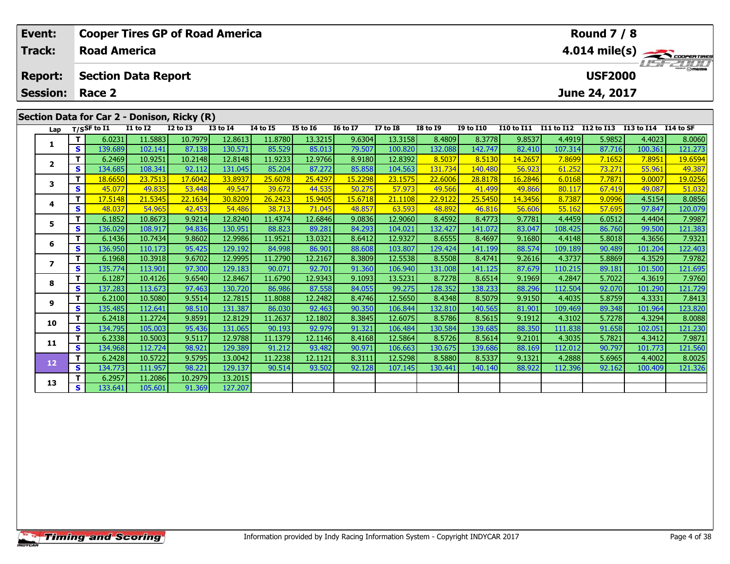|                                            | Event:<br><b>Track:</b>                     |    | <b>Road America</b> |                            | <b>Cooper Tires GP of Road America</b> |                    |                   |                                    |                  | <b>Round 7 / 8</b> | $4.014 \text{ mile(s)}$ |                   |                   |                       |                  |                   |                   |
|--------------------------------------------|---------------------------------------------|----|---------------------|----------------------------|----------------------------------------|--------------------|-------------------|------------------------------------|------------------|--------------------|-------------------------|-------------------|-------------------|-----------------------|------------------|-------------------|-------------------|
|                                            | <b>Report:</b>                              |    |                     | <b>Section Data Report</b> |                                        |                    |                   | <b>LISFELINE</b><br><b>USF2000</b> |                  |                    |                         |                   |                   |                       |                  |                   |                   |
| <b>Session:</b><br>June 24, 2017<br>Race 2 |                                             |    |                     |                            |                                        |                    |                   |                                    |                  |                    |                         |                   |                   |                       |                  |                   |                   |
|                                            | Section Data for Car 2 - Donison, Ricky (R) |    |                     |                            |                                        |                    |                   |                                    |                  |                    |                         |                   |                   |                       |                  |                   |                   |
|                                            | Lap                                         |    | $T/S$ SF to I1      | I1 to I2                   | <b>I2 to I3</b>                        | <b>I3 to I4</b>    | <b>I4 to I5</b>   | <b>I5 to 16</b>                    | <b>16 to 17</b>  | <b>I7 to I8</b>    | <b>I8 to 19</b>         | <b>I9 to I10</b>  | <b>I10 to I11</b> | I11 to I12 I12 to I13 |                  | I13 to I14        | I14 to SF         |
|                                            | $\mathbf{2}$                                | S  | 6.0231<br>139.689   | 11.5883<br>102.141         | 10.7979<br>87.138                      | 12.8613<br>130.571 | 11.8780<br>85.529 | 13.3215<br>85.013                  | 9.6304<br>79.507 | 13.3158<br>100.820 | 8.4809<br>132.088       | 8.3778<br>142.747 | 9.8537<br>82.410  | 4.4919<br>107.314     | 5.9852<br>87.716 | 4.4023<br>100.361 | 8.0060<br>121.273 |
|                                            |                                             |    | 6.2469              | 10.9251                    | 10.2148                                | 12.8148            | 11.9233           | 12.9766                            | 8.9180           | 12.8392            | 8.5037                  | 8.5130            | 14.2657           | 7.8699                | 7.1652           | 7.8951            | 19.6594           |
|                                            |                                             | S. | 134.685             | 108.341                    | 92.112                                 | 131.045            | 85.204            | 87.272                             | 85.858           | 104.563            | 131.734                 | 140.480           | 56.923            | 61.252                | 73.271           | 55.961            | 49.387            |
|                                            | 3                                           |    | 18.6650             | 23.7513                    | 17.6042                                | 33.8937            | 25.6078           | 25.4297                            | 15.2298          | 23.1575            | 22.6006                 | 28.8178           | 16.2846           | 6.0168                | 7.7871           | 9.0007            | 19.0256           |
|                                            |                                             | S  | 45.077              | 49.835                     | 53.448                                 | 49.547             | 39.672            | 44.535                             | 50.275           | 57.973             | 49.566                  | 41.499            | 49.866            | 80.117                | 67.419           | 49.087            | 51.032            |
|                                            | 4                                           |    | 17.5148             | 21.5345                    | 22.1634                                | 30.8209            | 26.2423           | 15.9405                            | 15.6718          | 21.1108            | 22.9122                 | 25.5450           | 14.3456           | 8.7387                | 9.0996           | 4.5154            | 8.0856            |
|                                            |                                             | S  | 48.037              | 54.965                     | 42.453                                 | 54.486             | 38.713            | 71.045                             | 48.857           | 63.593             | 48.892                  | 46.816            | 56.606            | 55.162                | 57.695           | 97.847            | 120.079           |
|                                            | 5                                           |    | 6.1852              | 10.8673                    | 9.9214                                 | 12.8240            | 11.4374           | 12.6846                            | 9.0836           | 12.9060            | 8.4592                  | 8.4773            | 9.7781            | 4.4459                | 6.0512           | 4.4404            | 7.9987            |
|                                            | 6                                           | S  | 136.029             | 108.917                    | 94.836                                 | 130.951            | 88.823            | 89.281                             | 84.293           | 104.021            | 132.427                 | 141.072           | 83.047            | 108.425               | 86.760           | 99.500            | 121.383           |
|                                            |                                             |    | 6.1436              | 10.7434                    | 9.8602                                 | 12.9986            | 11.9521           | 13.0321                            | 8.6412           | 12.9327            | 8.6555                  | 8.4697            | 9.1680            | 4.4148                | 5.8018           | 4.3656            | 7.9321            |
|                                            |                                             | S  | 136.950             | 110.173                    | 95.425                                 | 129.192            | 84.998            | 86.901                             | 88.608           | 103.807            | 129.424                 | 141.199           | 88.574            | 109.189               | 90.489           | 101.204           | 122.403           |
|                                            |                                             |    | 6.1968              | 10.3918                    | 9.6702                                 | 12.9995            | 11.2790           | 12.2167                            | 8.3809           | 12.5538            | 8.5508                  | 8.4741            | 9.2616            | 4.3737                | 5.8869           | 4.3529            | 7.9782            |
|                                            |                                             | S  | 135.774             | 113.901                    | 97.300                                 | 129.183            | 90.071            | 92.701                             | 91.360           | 106.940            | 131.008                 | 141.125           | 87.679            | 110.215               | 89.181           | 101.500           | 121.695           |

8 T | 6.1287 10.4126 9.6540 12.8467 11.6790 12.9343 9.1093 13.5231 8.7278 8.6514 9.1969 4.2847 5.7022 4.3619 7.9760<br>S S 137.283 113.673 97.463 130.720 86.986 87.558 84.055 99.275 128.352 138.233 88.296 112.504 92.070 101.2

7.8413 | 11 | 12.580 | 10.5080 | 12.7815 | 11.8088 | 12.2482 | 12.482 | 12.5650 | 12.5650 | 13.4348 | 13.5079 |<br>S | 135.485 | 112.641 | 98.510 | 131.387 | 86.030 | 92.463 | 90.350 | 106.844 | 132.810 | 140.565 | 81.901 |

0 | T | 6.2418| 11.2724| 9.8591| 12.8129| 11.2637| 12.1802| 8.3845| 12.6075| 8.5786| 8.5615| 9.1912| 4.3102| 5.7278| 4.3294| 8.0088<br>| S | 134.795| 105.003| 95.436| 131.065| 90.193| 92.979| 91.321| 106.484| 130.584| 139.685

**<sup>T</sup>** 6.2338 10.5003 9.5117 12.9788 11.1379 12.1146 8.4168 12.5864 8.5726 8.5614 9.2101 4.3035 5.7821 4.3412 7.9871 **<sup>S</sup>** 134.968 112.724 98.921 129.389 91.212 93.482 90.971 106.663 130.675 139.686 88.169 112.012 90.797 101.773 121.560

**<sup>T</sup>** 6.2428 10.5722 9.5795 13.0042 11.2238 12.1121 8.3111 12.5298 8.5880 8.5337 9.1321 4.2888 5.6965 4.4002 8.0025 **<sup>S</sup>** 134.773 111.957 98.221 129.137 90.514 93.502 92.128 107.145 130.441 140.140 88.922 112.396 92.162 100.409 121.326

**<sup>T</sup>** 6.2957 11.2086 10.2979 13.2015 **<sup>S</sup>** 133.641 105.601 91.369 127.207

127.207

**8**

**9**

**10**

**11**

**12**

**13**

121.695

123.820

121.560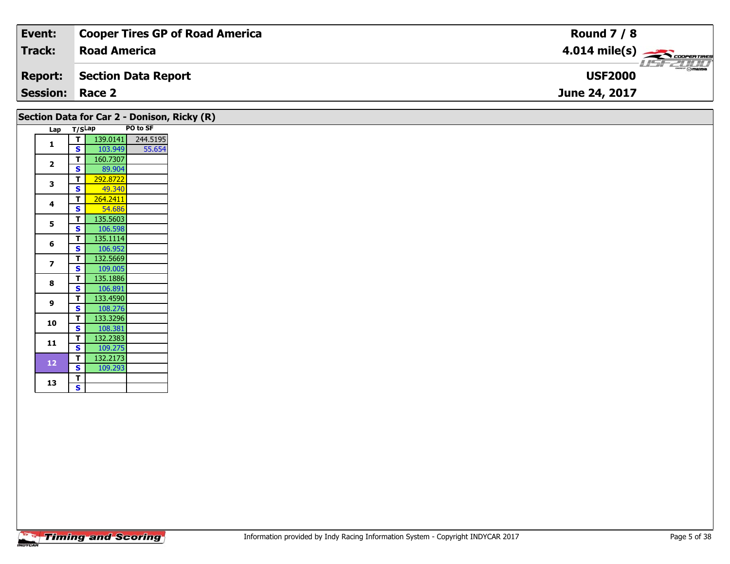| Event:                 | <b>Cooper Tires GP of Road America</b> | <b>Round 7 / 8</b>                                                                                                                  |
|------------------------|----------------------------------------|-------------------------------------------------------------------------------------------------------------------------------------|
| <b>Track:</b>          | <b>Road America</b>                    | $4.014$ mile(s) $\overbrace{\hspace{2cm}}$ coorerings                                                                               |
| <b>Report:</b>         | Section Data Report                    | $\overline{\phantom{a}}$ $\cap$ $\overline{\phantom{a}}$ $\cap$ $\overline{\phantom{a}}$ $\overline{\phantom{a}}$<br><b>USF2000</b> |
| <b>Session: Race 2</b> |                                        | June 24, 2017                                                                                                                       |

|  |                |                         | Section Data for Car 2 - Donison, Ricky (R) |          |
|--|----------------|-------------------------|---------------------------------------------|----------|
|  | Lap            | T/SLap                  |                                             | PO to SF |
|  |                | T                       | 139.0141                                    | 244.5195 |
|  | 1              | $\mathbf{s}$            | 103.949                                     | 55.654   |
|  |                | т                       | 160.7307                                    |          |
|  | $\overline{2}$ | $\mathbf{s}$            | 89.904                                      |          |
|  |                | т                       | 292.8722                                    |          |
|  | 3              | $\mathbf s$             | 49.340                                      |          |
|  |                | т                       | 264.2411                                    |          |
|  | 4              | $\mathbf s$             | 54.686                                      |          |
|  |                | $\mathbf{T}$            | 135.5603                                    |          |
|  | 5              | $\mathbf{s}$            | 106.598                                     |          |
|  |                | т                       | 135.1114                                    |          |
|  | 6              | $\mathbf{s}$            | 106.952                                     |          |
|  | $\overline{ }$ | T                       | 132.5669                                    |          |
|  |                | $\mathbf{s}$            | 109.005                                     |          |
|  | 8              | T                       | 135.1886                                    |          |
|  |                | $\mathbf s$             | 106.891                                     |          |
|  | 9              | T                       | 133.4590                                    |          |
|  |                | $\mathbf{s}$            | 108.276                                     |          |
|  | 10             | т                       | 133.3296                                    |          |
|  |                | $\mathbf s$             | 108.381                                     |          |
|  | 11             | т                       | 132.2383                                    |          |
|  |                | $\overline{\mathbf{s}}$ | 109.275                                     |          |
|  | 12             | T                       | 132.2173                                    |          |
|  |                | $\mathbf{s}$            | 109.293                                     |          |
|  | 13             | T                       |                                             |          |
|  |                | $\overline{\mathbf{s}}$ |                                             |          |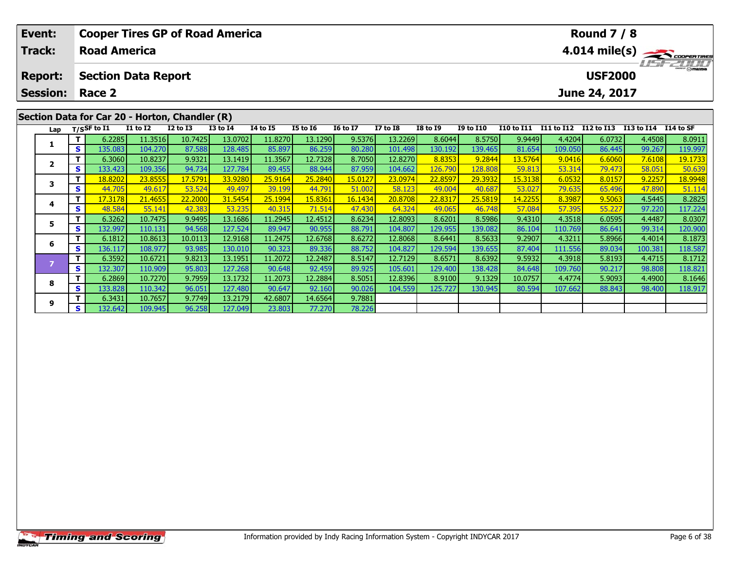|                                                | Event:          |    |                                                                                         |                            | <b>Cooper Tires GP of Road America</b> |         |                                  |         | <b>Round 7 / 8</b> |                 |                 |                  |                |            |               |            |           |
|------------------------------------------------|-----------------|----|-----------------------------------------------------------------------------------------|----------------------------|----------------------------------------|---------|----------------------------------|---------|--------------------|-----------------|-----------------|------------------|----------------|------------|---------------|------------|-----------|
|                                                | <b>Track:</b>   |    | <b>Road America</b>                                                                     |                            |                                        |         | 4.014 mile(s)                    |         |                    |                 |                 |                  |                |            |               |            |           |
|                                                | <b>Report:</b>  |    |                                                                                         | <b>Section Data Report</b> |                                        |         | <b>USFZUTU</b><br><b>USF2000</b> |         |                    |                 |                 |                  |                |            |               |            |           |
|                                                | <b>Session:</b> |    | Race 2                                                                                  |                            |                                        |         |                                  |         |                    |                 |                 |                  |                |            | June 24, 2017 |            |           |
| Section Data for Car 20 - Horton, Chandler (R) |                 |    |                                                                                         |                            |                                        |         |                                  |         |                    |                 |                 |                  |                |            |               |            |           |
|                                                | Lap             |    | T/SSF to I1<br><b>I3 to I4</b><br><b>I4 to I5</b><br><b>I1 to I2</b><br><b>I2 to I3</b> |                            |                                        |         |                                  |         | <b>16 to 17</b>    | <b>I7 to I8</b> | <b>I8 to 19</b> | <b>I9 to I10</b> | I10 to I11     | I11 to I12 | I12 to I13    | I13 to I14 | I14 to SF |
|                                                |                 |    | 6.2285                                                                                  | 11.3516                    | 10.7425                                | 13.0702 | 11.8270                          | 13.1290 | 9.5376             | 13.2269         | 8.6044          | 8.5750           | 9.9449         | 4.4204     | 6.0732        | 4.4508     | 8.0911    |
|                                                |                 | S. | 135.083                                                                                 | 104.270                    | 87.588                                 | 128.485 | 85.897                           | 86.259  | 80.280             | 101.498         | 130.192         | 139.465          | 81.654         | 109.050    | 86.445        | 99.267     | 119.997   |
|                                                |                 |    | 6.3060                                                                                  | 10.8237                    | 9.9321                                 | 13.1419 | 11.3567                          | 12.7328 | 8.7050             | 12.8270         | 8.8353          | 9.2844           | 13.5764        | 9.0416     | 6.6060        | 7.6108     | 19.1733   |
|                                                |                 | S. | 133.423                                                                                 | 109.356                    | 94.734                                 | 127.784 | 89.455                           | 88.944  | 87.959             | 104.662         | 126.790         | 128.808          | 59.813         | 53.314     | 79.473        | 58.051     | 50.639    |
|                                                |                 |    | 18.8202                                                                                 | 23.8555                    | 17.5791                                | 33.9280 | 25.9164                          | 25.2840 | 15.0127            | 23.0974         | 22.8597         | 29.3932          | 15.3138        | 6.0532     | 8.0157        | 9.2257     | 18.9948   |
|                                                |                 | S. | 44.705                                                                                  | 49.617                     | 53.524                                 | 49.497  | 39.199                           | 44.791  | 51.002             | 58.123          | 49.004          | 40.687           | 53.027         | 79.635     | 65.496        | 47.890     | 51.114    |
|                                                |                 |    | 17.3178                                                                                 | 21.4655                    | 22.2000                                | 31.5454 | 25.1994                          | 15.8361 | 16.1434            | 20.8708         | 22.8317         | 25.5819          | <b>14.2255</b> | 8.3987     | 9.5063        | 4.5445     | 8.2825    |
|                                                |                 | S. | 48.584                                                                                  | 55.141                     | 42.383                                 | 53.235  | 40.315                           | 71.514  | 47.430             | 64.324          | 49.065          | 46.748           | 57.084         | 57.395     | 55.227        | 97.220     | 117.224   |

**<sup>T</sup>** 6.3262 10.7475 9.9495 13.1686 11.2945 12.4512 8.6234 12.8093 8.6201 8.5986 9.4310 4.3518 6.0595 4.4487 8.0307 **<sup>S</sup>** 132.997 110.131 94.568 127.524 89.947 90.955 88.791 104.807 129.955 139.082 86.104 110.769 86.641 99.314 120.900

**<sup>T</sup>** 6.1812 10.8613 10.0113 12.9168 11.2475 12.6768 8.6272 12.8068 8.6441 8.5633 9.2907 4.3211 5.8966 4.4014 8.1873 **<sup>S</sup>** 136.117 108.977 93.985 130.010 90.323 89.336 88.752 104.827 129.594 139.655 87.404 111.556 89.034 100.381 118.587

7 | T | 6.3592| 10.6721| 9.8213| 13.1951| 11.2072| 12.2487| 8.5147| 12.7129| 8.6571| 8.6392| 9.5932| 4.3918| 5.8193| 4.4715| 8.1712<br>- S | 132.307| 110.909| 95.803| 127.268| 90.648| 92.459| 89.925| 105.601| 129.400| 138.428

8 T | 6.2869 10.7270 9.7959 13.1732 11.2073 12.2884 8.5051 12.8396 8.9100 9.1329 10.0757 4.4774 5.9093 4.4900 8.1646<br>8 S 133.828 110.342 96.051 127.480 90.647 92.160 90.026 104.559 125.727 130.945 80.594 107.662 88.843 98.

78.226

**5**

**6**

**8**

**9**

**<sup>T</sup>** 6.3431 10.7657 9.7749 13.2179 42.6807 14.6564 9.7881 **<sup>S</sup>** 132.642 109.945 96.258 127.049 23.803 77.270 78.226

118.821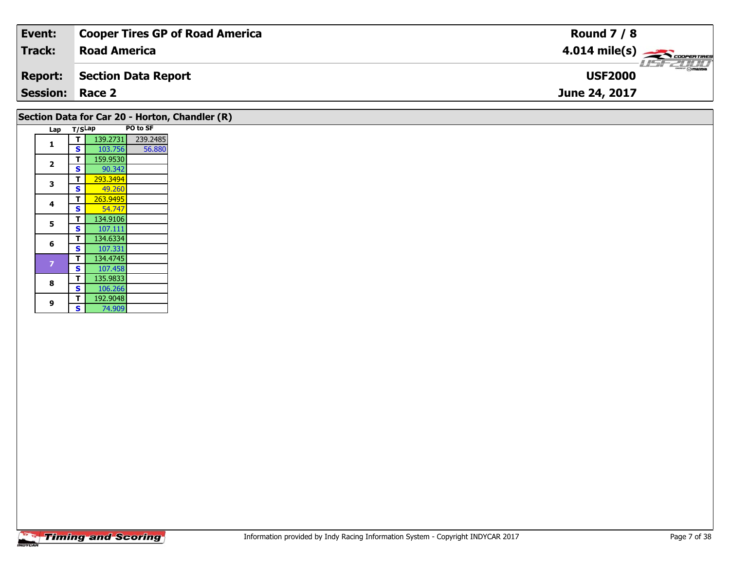| Event:          | <b>Cooper Tires GP of Road America</b> | <b>Round 7 / 8</b>                        |
|-----------------|----------------------------------------|-------------------------------------------|
| <b>Track:</b>   | <b>Road America</b>                    | $4.014$ mile(s) $\rightarrow$ COOPERTIRES |
| Report:         | Section Data Report                    | <b>USF2000</b>                            |
| <b>Session:</b> | Race 2                                 | June 24, 2017                             |
|                 |                                        |                                           |

## **Section Data for Car 20 - Horton, Chandler (R)**

|  | Lap            | T/SLap |          | PO to SF |
|--|----------------|--------|----------|----------|
|  | 1              | T      | 139.2731 | 239.2485 |
|  |                | S      | 103.756  | 56.880   |
|  |                | T      | 159.9530 |          |
|  | $\overline{2}$ | S      | 90.342   |          |
|  |                | т      | 293.3494 |          |
|  | 3              | S      | 49.260   |          |
|  |                | т      | 263.9495 |          |
|  | 4              | S      | 54.747   |          |
|  | 5              | т      | 134.9106 |          |
|  |                | S      | 107.111  |          |
|  | 6              | T      | 134.6334 |          |
|  |                | S      | 107.331  |          |
|  | 7              | т      | 134.4745 |          |
|  |                | S      | 107.458  |          |
|  | 8              | Т      | 135.9833 |          |
|  |                | S      | 106.266  |          |
|  | 9              | Т      | 192.9048 |          |
|  |                | S      | 74.909   |          |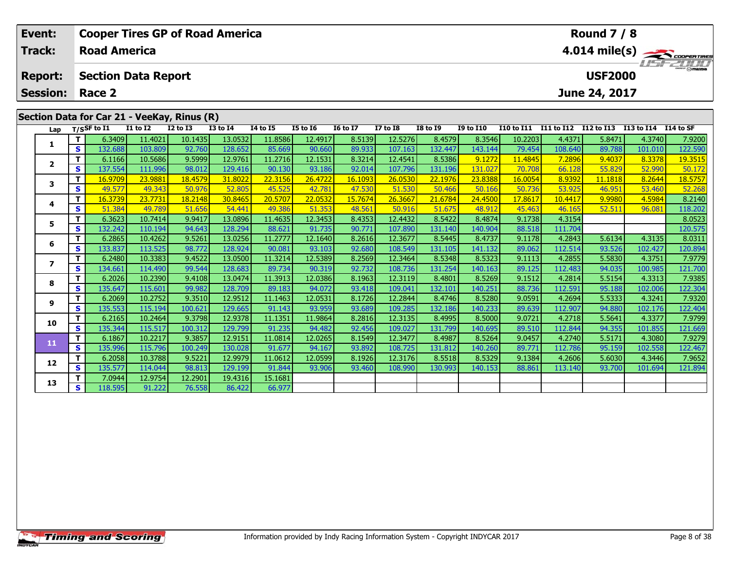| Event:                        |          |                         |                            | <b>Cooper Tires GP of Road America</b>      |              | <b>Round 7 / 8</b>                       |                 |                 |                 |                 |                  |            |            |                         |            |           |  |  |
|-------------------------------|----------|-------------------------|----------------------------|---------------------------------------------|--------------|------------------------------------------|-----------------|-----------------|-----------------|-----------------|------------------|------------|------------|-------------------------|------------|-----------|--|--|
| Track:<br><b>Road America</b> |          |                         |                            |                                             |              |                                          |                 |                 |                 |                 |                  |            |            | $4.014 \text{ mile(s)}$ |            |           |  |  |
| <b>Report:</b>                |          |                         | <b>Section Data Report</b> |                                             |              | $H = -H \frac{1}{2} H$<br><b>USF2000</b> |                 |                 |                 |                 |                  |            |            |                         |            |           |  |  |
| Session:                      |          | Race 2<br>June 24, 2017 |                            |                                             |              |                                          |                 |                 |                 |                 |                  |            |            |                         |            |           |  |  |
|                               |          |                         |                            | Section Data for Car 21 - VeeKay, Rinus (R) |              |                                          |                 |                 |                 |                 |                  |            |            |                         |            |           |  |  |
| Lap                           |          | T/SSF to $I1$           | <b>I1 to I2</b>            | $I2$ to $I3$                                | $I3$ to $I4$ | <b>I4 to I5</b>                          | <b>I5 to I6</b> | <b>16 to 17</b> | <b>I7 to I8</b> | <b>I8 to 19</b> | <b>I9 to I10</b> | I10 to I11 | I11 to I12 | I12 to I13              | I13 to I14 | I14 to SF |  |  |
|                               |          | 6.3409                  | 11.4021                    | 10.1435                                     | 13.0532      | 11.8586                                  | 12.4917         | 8.5139          | 12.5276         | 8.4579          | 8.3546           | 10.2203    | 4.4371     | 5.8471                  | 4.3740     | 7.9200    |  |  |
|                               | <b>S</b> | 132.688                 | 103.809                    | 92.760                                      | 128.652      | 85.669                                   | 90.660          | 89.933          | 107.163         | 132.447         | 143.144          | 79.454     | 108.640    | 89.788                  | 101.010    | 122.590   |  |  |
| $\overline{\mathbf{2}}$       |          | 6.1166                  | 10.5686                    | 9.5999                                      | 12.9761      | 11.2716                                  | 12.1531         | 8.3214          | 12.4541         | 8.5386          | 9.1272           | 11.4845    | 7.2896     | 9.4037                  | 8.3378     | 19.3515   |  |  |
|                               | S        | 137.554                 | 111.996                    | 98.012                                      | 129.416      | 90.130                                   | 93.186          | 92.014          | 107.796         | 131.196         | 131.027          | 70.708     | 66.128     | 55.829                  | 52.990     | 50.172    |  |  |

| Lap                     |              | 1/53F to 11 | 11 10 17 | TY 10 T3 | 19 IQ 14 | 14 LO 13 | T3 TO TO | 10 TO TV | T\ 10 TO | TO 10 TA | <b>19 TO TTO</b> | 110 TO 111 | 111 10 112 112 10 113 |         | 113 LO 114 | 114 W SF |
|-------------------------|--------------|-------------|----------|----------|----------|----------|----------|----------|----------|----------|------------------|------------|-----------------------|---------|------------|----------|
| 1                       | т            | 6.3409      | 11.4021  | 10.1435  | 13.0532  | 11.8586  | 12.4917  | 8.5139   | 12.5276  | 8.4579   | 8.3546           | 10.2203    | 4.4371                | 5.8471  | 4.3740     | 7.9200   |
|                         | S            | 132.688     | 103.809  | 92.760   | 128.652  | 85.669   | 90.660   | 89.933   | 107.163  | 132.447  | 143.144          | 79.454     | 108.640               | 89.788  | 101.010    | 122.590  |
| $\overline{\mathbf{2}}$ | т            | 6.1166      | 10.5686  | 9.5999   | 12.9761  | 11.2716  | 12.1531  | 8.3214   | 12.4541  | 8.5386   | 9.1272           | 11.4845    | 7.2896                | 9.4037  | 8.3378     | 19.3515  |
|                         | S            | 137.554     | 111.996  | 98.012   | 129.416  | 90.130   | 93.186   | 92.014   | 107.796  | 131.196  | 131.027          | 70.708     | 66.128                | 55.829  | 52.990     | 50.172   |
| 3                       | т            | 16.9709     | 23.9881  | 18.4579  | 31.8022  | 22.3156  | 26.4722  | 16.1093  | 26.0530  | 22.1976  | 23.8388          | 16.0054    | 8.9392                | 11.1818 | 8.2644     | 18.5757  |
|                         | $\mathbf{s}$ | 49.577      | 49.343   | 50.976   | 52.805   | 45.525   | 42.781   | 47.530   | 51.530   | 50.466   | 50.166           | 50.736     | 53.925                | 46.951  | 53.460     | 52.268   |
| 4                       | т            | 16.3739     | 23.7731  | 18.2148  | 30.8465  | 20.5707  | 22.0532  | 15.7674  | 26.3667  | 21.6784  | 24.4500          | 17.8617    | 10.4417               | 9.9980  | 4.5984     | 8.2140   |
|                         | $\mathbf{s}$ | 51.384      | 49.789   | 51.656   | 54.441   | 49.386   | 51.353   | 48.561   | 50.916   | 51.675   | 48.912           | 45.463     | 46.165                | 52.511  | 96.081     | 118.202  |
| 5                       | т            | 6.3623      | 10.7414  | 9.9417   | 13.0896  | 11.4635  | 12.3453  | 8.4353   | 12.4432  | 8.5422   | 8.4874           | 9.1738     | 4.3154                |         |            | 8.0523   |
|                         | S            | 132.242     | 110.194  | 94.643   | 128.294  | 88.621   | 91.735   | 90.771   | 107.890  | 131.140  | 140.904          | 88.518     | 111.704               |         |            | 120.575  |
| 6                       | т            | 6.2865      | 10.4262  | 9.5261   | 13.0256  | 11.2777  | 12.1640  | 8.2616   | 12.3677  | 8.5445   | 8.4737           | 9.1178     | 4.2843                | 5.6134  | 4.3135     | 8.0311   |
|                         | S            | 133.837     | 113.525  | 98.772   | 128.924  | 90.081   | 93.103   | 92.680   | 108.549  | 131.105  | 141.132          | 89.062     | 112.514               | 93.526  | 102.427    | 120.894  |
| 7                       | т            | 6.2480      | 10.3383  | 9.4522   | 13.0500  | 11.3214  | 12.5389  | 8.2569   | 12.3464  | 8.5348   | 8.5323           | 9.1113     | 4.2855                | 5.5830  | 4.3751     | 7.9779   |
|                         | $\mathbf{s}$ | 134.661     | 114.490  | 99.544   | 128.683  | 89.734   | 90.319   | 92.732   | 108.736  | 131.254  | 140.163          | 89.125     | 112.483               | 94.035  | 100.985    | 121.700  |
| 8                       | т            | 6.2026      | 10.2390  | 9.4108   | 13.0474  | 11.3913  | 12.0386  | 8.1963   | 12.3119  | 8.4801   | 8.5269           | 9.1512     | 4.2814                | 5.5154  | 4.3313     | 7.9385   |
|                         | S            | 135.647     | 115.601  | 99.982   | 128.709  | 89.183   | 94.072   | 93.418   | 109.041  | 132.101  | 140.251          | 88.736     | 112.591               | 95.188  | 102.006    | 122.304  |
| 9                       | т            | 6.2069      | 10.2752  | 9.3510   | 12.9512  | 11.1463  | 12.0531  | 8.1726   | 12.2844  | 8.4746   | 8.5280           | 9.0591     | 4.2694                | 5.5333  | 4.3241     | 7.9320   |
|                         | $\mathbf{s}$ | 135.553     | 115.194  | 100.621  | 129.665  | 91.143   | 93.959   | 93.689   | 109.285  | 132.186  | 140.233          | 89.639     | 112.907               | 94.880  | 102.176    | 122.404  |
| 10                      | т            | 6.2165      | 10.2464  | 9.3798   | 12.9378  | 11.1351  | 11.9864  | 8.2816   | 12.3135  | 8.4995   | 8.5000           | 9.0721     | 4.2718                | 5.5641  | 4.3377     | 7.9799   |
|                         | S            | 135.344     | 115.517  | 100.312  | 129.799  | 91.235   | 94.482   | 92.456   | 109.027  | 131.799  | 140.695          | 89.510     | 112.844               | 94.355  | 101.855    | 121.669  |
| 11                      | т            | 6.1867      | 10.2217  | 9.3857   | 12.9151  | 11.0814  | 12.0265  | 8.1549   | 12.3477  | 8.4987   | 8.5264           | 9.0457     | 4.2740                | 5.5171  | 4.3080     | 7.9279   |
|                         | <b>S</b>     | 135.996     | 115.796  | 100.249  | 130.028  | 91.677   | 94.167   | 93.892   | 108.725  | 131.812  | 140.260          | 89.771     | 112.786               | 95.159  | 102.558    | 122.467  |
| 12                      | т            | 6.2058      | 10.3788  | 9.5221   | 12.9979  | 11.0612  | 12.0599  | 8.1926   | 12.3176  | 8.5518   | 8.5329           | 9.1384     | 4.2606                | 5.6030  | 4.3446     | 7.9652   |
|                         | S            | 135.577     | 114.044  | 98.813   | 129.199  | 91.844   | 93.906   | 93.460   | 108.990  | 130.993  | 140.153          | 88.861     | 113.140               | 93.700  | 101.694    | 121.894  |
| 13                      | т            | 7.0944      | 12.9754  | 12.2901  | 19.4316  | 15.1681  |          |          |          |          |                  |            |                       |         |            |          |
|                         | S            | 118.595     | 91.222   | 76.558   | 86.422   | 66.977   |          |          |          |          |                  |            |                       |         |            |          |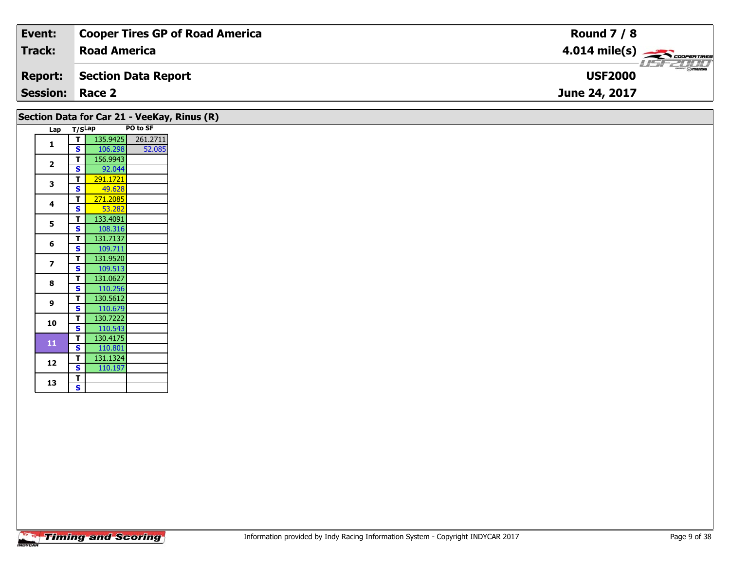| Event:          | <b>Cooper Tires GP of Road America</b> | <b>Round 7 / 8</b>                                       |
|-----------------|----------------------------------------|----------------------------------------------------------|
| Track:          | <b>Road America</b>                    | $4.014 \text{ mile(s)}$                                  |
| Report:         | Section Data Report                    | $\overline{\phantom{m}}$ $\odot$ mazpa<br><b>USF2000</b> |
| <b>Session:</b> | Race 2                                 | June 24, 2017                                            |

|                |        |          |          | Section Data for Car 21 - VeeKay, Rinus (R) |
|----------------|--------|----------|----------|---------------------------------------------|
| Lap            | T/SLap |          | PO to SF |                                             |
|                | т      | 135.9425 | 261.2711 |                                             |
| 1              | S      | 106.298  | 52.085   |                                             |
| $\overline{2}$ | т      | 156.9943 |          |                                             |
|                | S      | 92.044   |          |                                             |
| 3              | т      | 291.1721 |          |                                             |
|                | S      | 49.628   |          |                                             |
| 4              | T      | 271.2085 |          |                                             |
|                | Ś      | 53.282   |          |                                             |
| 5              | т      | 133.4091 |          |                                             |
|                | S      | 108.316  |          |                                             |
| 6              | т      | 131.7137 |          |                                             |
|                | S      | 109.711  |          |                                             |
| 7              | т      | 131.9520 |          |                                             |
|                | S      | 109.513  |          |                                             |
| 8              | т      | 131.0627 |          |                                             |
|                | S      | 110.256  |          |                                             |
| 9              | т      | 130.5612 |          |                                             |
|                | S      | 110.679  |          |                                             |
| 10             | т      | 130.7222 |          |                                             |
|                | S      | 110.543  |          |                                             |
| 11             | т      | 130.4175 |          |                                             |
|                | S      | 110.801  |          |                                             |
| 12             | т      | 131.1324 |          |                                             |
|                | S      | 110.197  |          |                                             |
| 13             | т      |          |          |                                             |
|                | S      |          |          |                                             |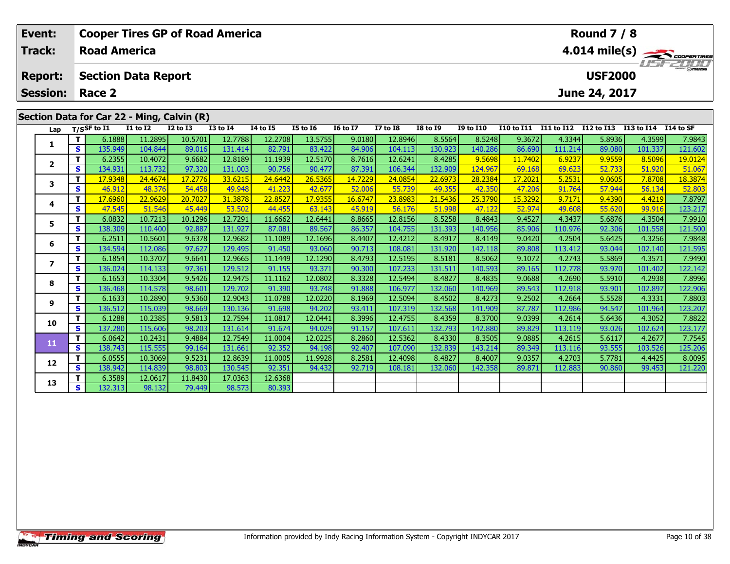| Event:          |          |                            |              | <b>Cooper Tires GP of Road America</b>     |                 |                 |                 |                 |                 |                 |                  |                   |            | <b>Round 7 / 8</b> |            |               |
|-----------------|----------|----------------------------|--------------|--------------------------------------------|-----------------|-----------------|-----------------|-----------------|-----------------|-----------------|------------------|-------------------|------------|--------------------|------------|---------------|
| <b>Track:</b>   |          | <b>Road America</b>        |              |                                            |                 |                 |                 |                 |                 |                 |                  |                   |            |                    |            | 4.014 mile(s) |
| <b>Report:</b>  |          | <b>Section Data Report</b> |              |                                            |                 |                 |                 |                 |                 |                 |                  |                   |            | <b>USF2000</b>     |            | $H = -H$      |
| <b>Session:</b> |          | Race 2                     |              |                                            |                 |                 |                 |                 | June 24, 2017   |                 |                  |                   |            |                    |            |               |
|                 |          |                            |              | Section Data for Car 22 - Ming, Calvin (R) |                 |                 |                 |                 |                 |                 |                  |                   |            |                    |            |               |
| Lap             |          | $T/S$ SF to I1             | $I1$ to $I2$ | <b>I2 to I3</b>                            | <b>I3 to I4</b> | <b>I4 to I5</b> | <b>I5 to 16</b> | <b>16 to 17</b> | <b>I7 to I8</b> | <b>I8 to I9</b> | <b>I9 to I10</b> | <b>I10 to I11</b> | I11 to I12 | <b>I12 to I13</b>  | I13 to I14 | I14 to SF     |
|                 |          | 6.1888                     | 11.2895      | 10.5701                                    | 12.7788         | 12.2708         | 13.5755         | 9.0180          | 12.8946         | 8.5564          | 8.5248           | 9.3672            | 4.3344     | 5.8936             | 4.3599     | 7.9843        |
|                 | s        | 135.949                    | 104.844      | 89.016                                     | 131.414         | 82.791          | 83.422          | 84.906          | 104.113         | 130.923         | 140.286          | 86.690            | 111.214    | 89.080             | 101.337    | 121.602       |
| $\mathbf{2}$    |          | 6.2355                     | 10.4072      | 9.6682                                     | 12.8189         | 11.1939         | 12.5170         | 8.7616          | 12.6241         | 8.4285          | 9.5698           | 11.7402           | 6.9237     | 9.9559             | 8.5096     | 19.0124       |
|                 | S        | 134.931                    | 113.732      | 97.320                                     | 131.003         | 90.756          | 90.477          | 87.391          | 106.344         | 132.909         | 124.967          | 69.168            | 69.623     | 52.733             | 51.920     | 51.067        |
| 3               |          | 17.9348                    | 24.4674      | 17.2776                                    | 33.6215         | 24.6442         | 26.5365         | 14.7229         | 24.0854         | 22.6973         | 28.2384          | 17.2021           | 5.2531     | 9.0605             | 7.8708     | 18.3874       |
|                 | S.       | 46.912                     | 48.376       | 54.458                                     | 49.948          | 41.223          | 42.677          | 52.006          | 55.739          | 49.355          | 42.350           | 47.206            | 91.764     | 57.944             | 56.134     | 52.803        |
| 4               |          | 17.6960                    | 22.9629      | 20.7027                                    | 31.3878         | 22.8527         | 17.9355         | 16.6747         | 23.8983         | 21.5436         | 25.3790          | 15.3292           | 9.7171     | 9.4390             | 4.4219     | 7.8797        |
|                 | S        | 47.545                     | 51.546       | 45.449                                     | 53.502          | 44.455          | 63.143          | 45.919          | 56.176          | 51.998          | 47.122           | 52.974            | 49.608     | 55.620             | 99.916     | 123.217       |
| 5               |          | 6.0832                     | 10.7213      | 10.1296                                    | 12.7291         | 11.6662         | 12.6441         | 8.8665          | 12.8156         | 8.5258          | 8.4843           | 9.4527            | 4.3437     | 5.6876             | 4.3504     | 7.9910        |
|                 | <b>S</b> | 138.309                    | 110.400      | 92.887                                     | 131.927         | 87.081          | 89.567          | 86.357          | 104.755         | 131.393         | 140.956          | 85.906            | 110.976    | 92.306             | 101.558    | 121.500       |
| 6               |          | 6.2511                     | 10.5601      | 9.6378                                     | 12.9682         | 11.1089         | 12.1696         | 8.4407          | 12.4212         | 8.4917          | 8.4149           | 9.0420            | 4.2504     | 5.6425             | 4.3256     | 7.9848        |
|                 | S        | 134.594                    | 112.086      | 97.627                                     | 129.495         | 91.450          | 93.060          | 90.713          | 108.081         | 131.920         | 142.118          | 89.808            | 113.412    | 93.044             | 102.140    | 121.595       |
| 7               |          | 6.1854                     | 10.3707      | 9.6641                                     | 12.9665         | 11.1449         | 12.1290         | 8.4793          | 12.5195         | 8.5181          | 8.5062           | 9.1072            | 4.2743     | 5.5869             | 4.3571     | 7.9490        |
|                 | S        | 136.024                    | 114.133      | 97.361                                     | 129.512         | 91.155          | 93.371          | 90.300          | 107.233         | 131.511         | 140.593          | 89.165            | 112.778    | 93.970             | 101.402    | 122.142       |

8 T | 6.1653 10.3304 9.5426 12.9475 11.1162 12.0802 8.3328 12.5494 8.4827 8.4835 9.0688 4.2690 5.5910 4.2938 7.8996<br>S S 136.468 114.578 98.601 129.702 91.390 93.748 91.888 106.977 132.060 140.969 89.543 112.918 93.901 102.

**<sup>T</sup>** 6.1633 10.2890 9.5360 12.9043 11.0788 12.0220 8.1969 12.5094 8.4502 8.4273 9.2502 4.2664 5.5528 4.3331 7.8803 **<sup>S</sup>** 136.512 115.039 98.669 130.136 91.698 94.202 93.411 107.319 132.568 141.909 87.787 112.986 94.547 101.964 123.207

0 | T | 6.1288| 10.2385| 9.5813| 12.7594| 11.0817| 12.0441| 8.3996| 12.4755| 8.4359| 8.3700| 9.0399| 4.2614| 5.6436| 4.3052| 7.8822<br>| S | 137.280| 115.606| 98.203| 131.614| 91.674| 94.029| 91.157| 107.611| 132.793| 142.880

**<sup>T</sup>** 6.0642 10.2431 9.4884 12.7549 11.0004 12.0225 8.2860 12.5362 8.4330 8.3505 9.0885 4.2615 5.6117 4.2677 7.7545 **<sup>S</sup>** 138.743 115.555 99.164 131.661 92.352 94.198 92.407 107.090 132.839 143.214 89.349 113.116 93.555 103.526 125.206

2 T 6.0555 10.3069 9.5231 12.8639 11.0005 11.9928 8.2581 12.4098 8.4827 8.4007 9.0357 4.2703 5.7781 4.4425 8.0095<br>2 S 138,942 114.839 98.803 130.545 92.351 94.432 92.719 108.181 132.060 142.358 89.871 112.883 90.860 99.453

**<sup>T</sup>** 6.3589 12.0617 11.8430 17.0363 12.6368 **<sup>S</sup>** 132.313 98.132 79.449 98.573 80.393

**8**

**9**

**10**

**11**

**12**

**13**

122.142

123.207

7.7545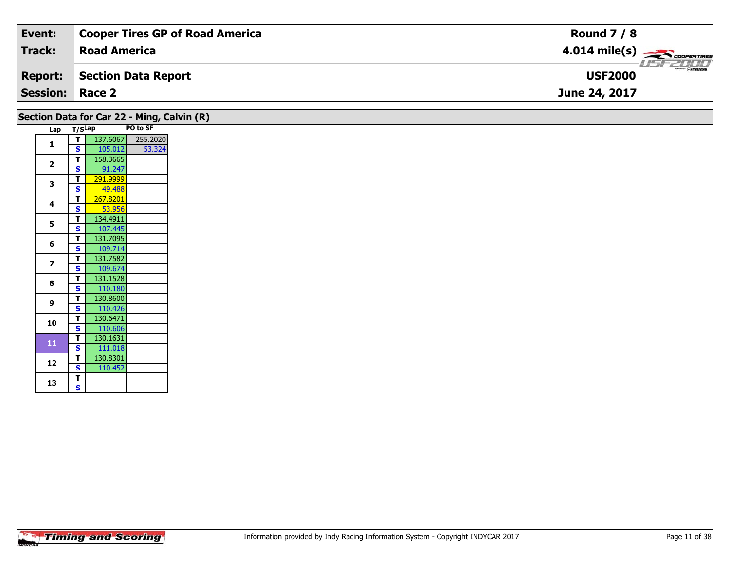| Event:                 | <b>Cooper Tires GP of Road America</b> | <b>Round 7 / 8</b>                                                                                                                                                                                                                                                                                                                                                                                                                                                                                |
|------------------------|----------------------------------------|---------------------------------------------------------------------------------------------------------------------------------------------------------------------------------------------------------------------------------------------------------------------------------------------------------------------------------------------------------------------------------------------------------------------------------------------------------------------------------------------------|
| <b>Track:</b>          | <b>Road America</b>                    | $4.014 \text{ mile(s)}$                                                                                                                                                                                                                                                                                                                                                                                                                                                                           |
| <b>Report:</b>         | Section Data Report                    | $\overline{\phantom{a}}$ $\overline{\phantom{a}}$ $\overline{\phantom{a}}$ $\overline{\phantom{a}}$ $\overline{\phantom{a}}$ $\overline{\phantom{a}}$ $\overline{\phantom{a}}$ $\overline{\phantom{a}}$ $\overline{\phantom{a}}$ $\overline{\phantom{a}}$ $\overline{\phantom{a}}$ $\overline{\phantom{a}}$ $\overline{\phantom{a}}$ $\overline{\phantom{a}}$ $\overline{\phantom{a}}$ $\overline{\phantom{a}}$ $\overline{\phantom{a}}$ $\overline{\phantom{a}}$ $\overline{\$<br><b>USF2000</b> |
| <b>Session: Race 2</b> |                                        | June 24, 2017                                                                                                                                                                                                                                                                                                                                                                                                                                                                                     |

| Lap                      | T/SLap |          | PO to SF | Section Data for Car 22 - Ming, Calvin (R) |  |
|--------------------------|--------|----------|----------|--------------------------------------------|--|
|                          | т      | 137.6067 | 255.2020 |                                            |  |
| $\mathbf{1}$             | S      | 105.012  | 53.324   |                                            |  |
|                          | т      | 158.3665 |          |                                            |  |
| $\overline{2}$           | S      | 91.247   |          |                                            |  |
|                          | т      | 291.9999 |          |                                            |  |
| 3                        | s      | 49.488   |          |                                            |  |
| 4                        | т      | 267.8201 |          |                                            |  |
|                          | S      | 53.956   |          |                                            |  |
| 5                        | т      | 134.4911 |          |                                            |  |
|                          | S      | 107.445  |          |                                            |  |
| 6                        | т      | 131.7095 |          |                                            |  |
|                          | S      | 109.714  |          |                                            |  |
| $\overline{\phantom{a}}$ | т      | 131.7582 |          |                                            |  |
|                          | S      | 109.674  |          |                                            |  |
| 8                        | т      | 131.1528 |          |                                            |  |
|                          | s      | 110.180  |          |                                            |  |
| 9                        | т      | 130.8600 |          |                                            |  |
|                          | S      | 110.426  |          |                                            |  |
| 10                       | T      | 130.6471 |          |                                            |  |
|                          | S      | 110.606  |          |                                            |  |
| 11                       | т      | 130.1631 |          |                                            |  |
|                          | S      | 111.018  |          |                                            |  |
| 12                       | т      | 130.8301 |          |                                            |  |
|                          | S      | 110.452  |          |                                            |  |
| 13                       | T      |          |          |                                            |  |
|                          | S      |          |          |                                            |  |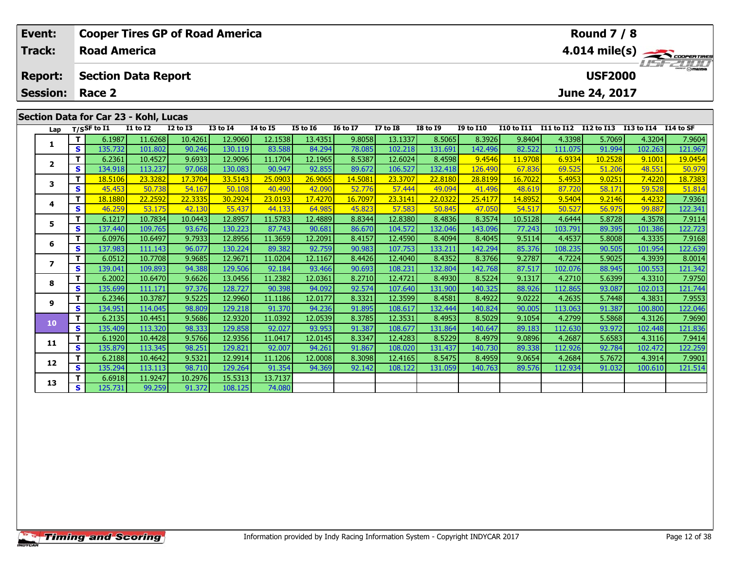| Event:                  |          | <b>Cooper Tires GP of Road America</b> |              |              |              |                 |                 |                                          |                 |                 |                  |                   |            | <b>Round 7 / 8</b> |            |           |
|-------------------------|----------|----------------------------------------|--------------|--------------|--------------|-----------------|-----------------|------------------------------------------|-----------------|-----------------|------------------|-------------------|------------|--------------------|------------|-----------|
| <b>Track:</b>           |          | <b>Road America</b>                    |              |              |              |                 |                 | $4.014$ mile(s) $\rightarrow$ Coorenance |                 |                 |                  |                   |            |                    |            |           |
| <b>Report:</b>          |          | <b>Section Data Report</b>             |              |              |              |                 |                 |                                          |                 | <b>USF2000</b>  |                  | <b>LISE 2000</b>  |            |                    |            |           |
| <b>Session:</b>         |          | Race 2<br>June 24, 2017                |              |              |              |                 |                 |                                          |                 |                 |                  |                   |            |                    |            |           |
|                         |          | Section Data for Car 23 - Kohl, Lucas  |              |              |              |                 |                 |                                          |                 |                 |                  |                   |            |                    |            |           |
| Lap                     |          | T/SSF to $I1$                          | $I1$ to $I2$ | $I2$ to $I3$ | $I3$ to $I4$ | <b>I4 to I5</b> | <b>I5 to 16</b> | <b>16 to 17</b>                          | <b>I7 to I8</b> | <b>I8 to 19</b> | <b>I9 to I10</b> | <b>I10 to I11</b> | I11 to I12 | I12 to I13         | I13 to I14 | I14 to SF |
|                         |          | 6.1987                                 | 11.6268      | 10.4261      | 12.9060      | 12.1538         | 13.4351         | 9.8058                                   | 13.1337         | 8.5065          | 8.3926           | 9.8404            | 4.3398     | 5.7069             | 4.3204     | 7.9604    |
|                         | <b>S</b> | 135.732                                | 101.802      | 90.246       | 130.119      | 83.588          | 84.294          | 78.085                                   | 102.218         | 131.691         | 142.496          | 82.522            | 111.075    | 91.994             | 102.263    | 121.967   |
| $\overline{\mathbf{2}}$ |          | 6.2361                                 | 10.4527      | 9.6933       | 12.9096      | 11.1704         | 12.1965         | 8.5387                                   | 12.6024         | 8.4598          | 9.4546           | 11.9708           | 6.9334     | 10.2528            | 9.1001     | 19.0454   |
|                         | <b>S</b> | 134.918                                | 113.237      | 97.068       | 130.083      | 90.947          | 92.855          | 89.672                                   | 106.527         | 132.418         | 126.490          | 67.836            | 69.525     | 51.206             | 48.551     | 50.979    |
| 3                       |          | 18.5106                                | 23.3282      | 17.3704      | 33.5143      | 25.0903         | 26.9065         | 14.5081                                  | 23.3707         | 22.8180         | 28.8199          | 16.7022           | 5.4953     | 9.0251             | 7.4220     | 18.7383   |
|                         | S        | 45.453                                 | 50.738       | 54.167       | 50.108       | 40.490          | 42.090          | 52.776                                   | 57.444          | 49.094          | 41.496           | 48.619            | 87.720     | 58.171             | 59.528     | 51.814    |
|                         | T.       | 18.1880                                | 22.2592      | 22.3335      | 30.2924      | 23.0193         | 17.4270         | 16.7097                                  | 23.3141         | 22.0322         | 25.4177          | 14.8952           | 9.5404     | 9.2146             | 4.4232     | 7.9361    |

|                         |   | 0.1907  | 11.0Z00 | 10.4201 | <b>12.9000</b> | 12.1538 | 13.4351 | 9.8058  | 13.1337 | 6.5005  | 8.39ZD  | 9.0404  | 4.3398  | <b>2.7009</b> | 4.3204  | 7.9004  |
|-------------------------|---|---------|---------|---------|----------------|---------|---------|---------|---------|---------|---------|---------|---------|---------------|---------|---------|
|                         | s | 135.732 | 101.802 | 90.246  | 130.119        | 83.588  | 84.294  | 78.085  | 102.218 | 131.691 | 142.496 | 82.522  | 111.075 | 91.994        | 102.263 | 121.967 |
| $\overline{\mathbf{2}}$ |   | 6.2361  | 10.4527 | 9.6933  | 12.9096        | 11.1704 | 12.1965 | 8.5387  | 12.6024 | 8.4598  | 9.4546  | 11.9708 | 6.9334  | 10.2528       | 9.1001  | 19.0454 |
|                         | s | 134.918 | 113.237 | 97.068  | 130.083        | 90.947  | 92.855  | 89.672  | 106.527 | 132.418 | 126.490 | 67.836  | 69.525  | 51.206        | 48.551  | 50.979  |
| 3                       |   | 18.5106 | 23,3282 | 17,3704 | 33.5143        | 25,0903 | 26.9065 | 14.5081 | 23.3707 | 22,8180 | 28.8199 | 16.7022 | 5.4953  | 9.0251        | 7.4220  | 18.7383 |
|                         | s | 45.453  | 50.738  | 54.167  | 50.108         | 40.490  | 42.090  | 52.776  | 57.444  | 49.094  | 41,496  | 48.619  | 87.720  | 58.171        | 59.528  | 51.814  |
| 4                       |   | 18.1880 | 22.2592 | 22.3335 | 30.2924        | 23.0193 | 17.4270 | 16.7097 | 23.3141 | 22.0322 | 25.4177 | 14.8952 | 9.5404  | 9.2146        | 4.4232  | 7.9361  |
|                         | s | 46.259  | 53.175  | 42.130  | 55.437         | 44.133  | 64.985  | 45.823  | 57.583  | 50.845  | 47.050  | 54.517  | 50.527  | 56.975        | 99.887  | 122.341 |
| 5                       |   | 6.1217  | 10.7834 | 10.0443 | 12.8957        | 11.5783 | 12.4889 | 8.8344  | 12.8380 | 8.4836  | 8.3574  | 10.5128 | 4.6444  | 5.8728        | 4.3578  | 7.9114  |
|                         | S | 137.440 | 109.765 | 93.676  | 130.223        | 87.743  | 90.681  | 86.670  | 104.572 | 132.046 | 143.096 | 77.243  | 103.791 | 89.395        | 101.386 | 122.723 |
| 6                       |   | 6.0976  | 10.6497 | 9.7933  | 12.8956        | 11.3659 | 12.2091 | 8.4157  | 12.4590 | 8.4094  | 8.4045  | 9.5114  | 4.4537  | 5.8008        | 4.3335  | 7.9168  |
|                         | s | 137.983 | 111.143 | 96.077  | 130.224        | 89.382  | 92.759  | 90.983  | 107.753 | 133.211 | 142.294 | 85.376  | 108.235 | 90.505        | 101.954 | 122.639 |
| 7                       |   | 6.0512  | 10.7708 | 9.9685  | 12.9671        | 11.0204 | 12.1167 | 8.4426  | 12.4040 | 8.4352  | 8.3766  | 9.2787  | 4.7224  | 5.9025        | 4.3939  | 8.0014  |
|                         | s | 139.041 | 109.893 | 94.388  | 129.506        | 92.184  | 93.466  | 90.693  | 108.231 | 132.804 | 142.768 | 87.517  | 102.076 | 88.945        | 100.553 | 121.342 |
| 8                       |   | 6.2002  | 10.6470 | 9.6626  | 13.0456        | 11.2382 | 12.0361 | 8.2710  | 12.4721 | 8.4930  | 8.5224  | 9.1317  | 4.2710  | 5.6399        | 4.3310  | 7.9750  |
|                         | s | 135.699 | 111.171 | 97.376  | 128.727        | 90.398  | 94.092  | 92.574  | 107.640 | 131.900 | 140.325 | 88.926  | 112.865 | 93.087        | 102.013 | 121.744 |
| 9                       |   | 6.2346  | 10.3787 | 9.5225  | 12.9960        | 11.1186 | 12.0177 | 8.3321  | 12.3599 | 8.4581  | 8.4922  | 9.0222  | 4.2635  | 5.7448        | 4.3831  | 7.9553  |
|                         | s | 134.951 | 114.045 | 98.809  | 129.218        | 91.370  | 94.236  | 91.895  | 108.617 | 132.444 | 140.824 | 90.005  | 113.063 | 91.387        | 100.800 | 122.046 |
| 10                      | т | 6.2135  | 10.4451 | 9.5686  | 12.9320        | 11.0392 | 12.0539 | 8.3785  | 12.3531 | 8.4953  | 8.5029  | 9.1054  | 4.2799  | 5.5868        | 4.3126  | 7.9690  |
|                         | s | 135.409 | 113.320 | 98.333  | 129.858        | 92.027  | 93.953  | 91.387  | 108.677 | 131.864 | 140.647 | 89.183  | 112.630 | 93.972        | 102.448 | 121.836 |
| 11                      |   | 6.1920  | 10.4428 | 9.5766  | 12.9356        | 11.0417 | 12.0145 | 8.3347  | 12.4283 | 8.5229  | 8.4979  | 9.0896  | 4.2687  | 5.6583        | 4.3116  | 7.9414  |
|                         | s | 135.879 | 113.345 | 98.251  | 129.821        | 92.007  | 94.261  | 91.867  | 108.020 | 131.437 | 140.730 | 89.338  | 112.926 | 92.784        | 102.472 | 122.259 |
| 12                      |   | 6.2188  | 10.4642 | 9.5321  | 12.9914        | 11.1206 | 12.0008 | 8.3098  | 12.4165 | 8.5475  | 8.4959  | 9.0654  | 4.2684  | 5.7672        | 4.3914  | 7.9901  |
|                         | s | 135.294 | 113.113 | 98.710  | 129.264        | 91.354  | 94.369  | 92.142  | 108.122 | 131.059 | 140.763 | 89.576  | 112.934 | 91.032        | 100.610 | 121.514 |
| 13                      |   | 6.6918  | 11.9247 | 10.2976 | 15.5313        | 13.7137 |         |         |         |         |         |         |         |               |         |         |
|                         | S | 125.731 | 99.259  | 91.372  | 108.125        | 74.080  |         |         |         |         |         |         |         |               |         |         |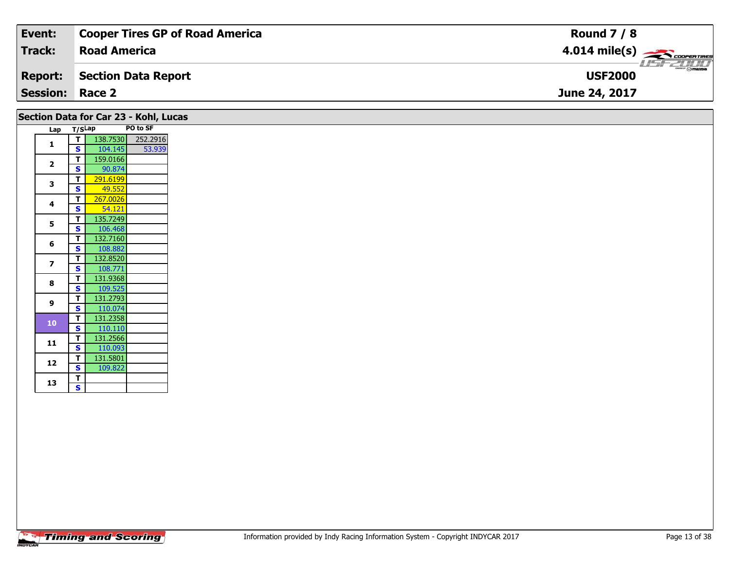| Event:                 | <b>Cooper Tires GP of Road America</b> | <b>Round 7 / 8</b> |
|------------------------|----------------------------------------|--------------------|
| <b>Track:</b>          | <b>Road America</b>                    |                    |
| <b>Report:</b>         | Section Data Report                    | <b>USF2000</b>     |
| <b>Session: Race 2</b> |                                        | June 24, 2017      |
|                        | Section Data for Car 23 - Kohl, Lucas  |                    |

| Lap            | T/SLap |          | PO to SF |
|----------------|--------|----------|----------|
| 1              | т      | 138.7530 | 252.2916 |
|                | S      | 104.145  | 53.939   |
| $\overline{2}$ | T      | 159.0166 |          |
|                | S      | 90.874   |          |
| 3              | T      | 291.6199 |          |
|                | S      | 49.552   |          |
| 4              | T      | 267.0026 |          |
|                | S      | 54.121   |          |
| 5              | T      | 135.7249 |          |
|                | S      | 106.468  |          |
| 6              | т      | 132.7160 |          |
|                | S      | 108.882  |          |
| 7              | T      | 132.8520 |          |
|                | S      | 108.771  |          |
| 8              | т      | 131.9368 |          |
|                | S      | 109.525  |          |
| 9              | т      | 131.2793 |          |
|                | S      | 110.074  |          |
| 10             | т      | 131.2358 |          |
|                | S      | 110.110  |          |
| 11             | т      | 131.2566 |          |
|                | S      | 110.093  |          |
| 12             | Т      | 131.5801 |          |
|                | S      | 109.822  |          |
| 13             | T      |          |          |
|                | S      |          |          |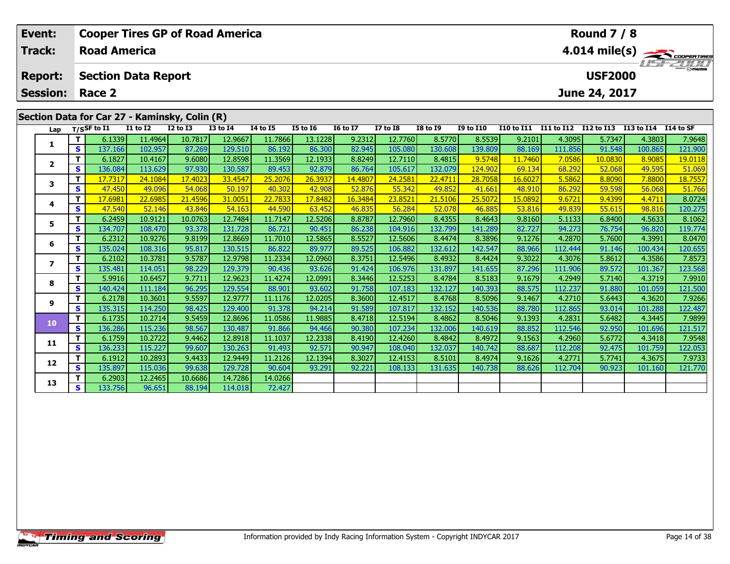| Event:          |          |                            |                     | <b>Cooper Tires GP of Road America</b>                        |                   |                 |                        |                 |                 |                        |                  |                        |                   | <b>Round 7 / 8</b> |                    |                 |
|-----------------|----------|----------------------------|---------------------|---------------------------------------------------------------|-------------------|-----------------|------------------------|-----------------|-----------------|------------------------|------------------|------------------------|-------------------|--------------------|--------------------|-----------------|
| Track:          |          | <b>Road America</b>        |                     |                                                               |                   | 4.014 mile(s)   |                        |                 |                 |                        |                  |                        |                   |                    |                    |                 |
| <b>Report:</b>  |          | <b>Section Data Report</b> |                     |                                                               |                   |                 |                        |                 |                 |                        |                  |                        |                   | <b>USF2000</b>     |                    | <b>LISFZOOD</b> |
| <b>Session:</b> |          | Race 2                     |                     |                                                               |                   |                 |                        |                 |                 | June 24, 2017          |                  |                        |                   |                    |                    |                 |
|                 |          | T/SSF to $\overline{11}$   | <b>I1 to I2</b>     | Section Data for Car 27 - Kaminsky, Colin (R)<br>$I2$ to $I3$ | <b>I3 to I4</b>   | <b>I4 to I5</b> | <b>I5 to 16</b>        | <b>16 to 17</b> | <b>I7 to I8</b> | <b>I8 to 19</b>        | <b>I9 to I10</b> | <b>I10 to I11</b>      | <b>I11 to I12</b> | I12 to I13         | I13 to I14         | I14 to SF       |
| Lap             |          | 6.1339                     | 11.4964             | 10.7817                                                       | 12.9667           | 11.7866         | 13.1228                | 9.2312          | 12.7760         | 8.5770                 | 8.5539           | 9.2101                 | 4.3095            | 5.7347             | 4.3803             | 7.9648          |
|                 | <b>S</b> | 137.166                    | 102.957             | 87.269                                                        | 129.510           | 86.192          | 86.300                 | 82.945          | 105.080         | 130.608                | 139.809          | 88.169                 | 111.856           | 91.548             | 100.865            | 121.900         |
|                 |          | 6.1827                     | 10.4167             | 9.6080                                                        | 12.8598           | 11.3569         | 12.1933                | 8.8249          | 12.7110         | 8.4815                 | 9.5748           | 11.7460                | 7.0586            | 10.0830            | 8.9085             | 19.0118         |
| $\overline{2}$  | S.       | 136.084                    | 113.629             | 97.930                                                        | 130.587           | 89.453          | 92.879                 | 86.764          | 105.617         | 132.079                | 124.902          | 69.134                 | 68.292            | 52.068             | 49.595             | 51.069          |
| 3               |          | 17.7317                    | 24.1084             | 17.4023                                                       | 33.4547           | 25.2076         | 26.3937                | 14.4807         | 24.258          | 22.4711                | 28.7058          | 16.6027                | 5.5862            | 8.8090             | 7.8800             | 18.7557         |
|                 | S        | 47.450                     | 49.096              | 54.068                                                        | 50.197            | 40.302          | 42.908                 | 52.876          | 55.342          | 49.852                 | 41.661           | 48.910                 | 86.292            | 59.598             | 56.068             | 51.766          |
|                 |          | 17.698                     | 22.6985<br>-- - - - | 21.4596                                                       | 31.0051<br>$   -$ | 22.7833         | 17.8482<br>$- - - - -$ | 16.3484         | 23.852<br>----- | 21.5106<br>$- - - - -$ | 25.5072          | 15.0892<br>$- - - - -$ | 9.6721<br>$ -$    | 9.4399<br>-- - - - | 4.4711<br>$\cdots$ | 8.0724<br>.     |

|                         | S | 137.100 | 102.957 | 87.269  | 129.510 | 86.192  | 86.300  | 82.945  | 105.080 | 130.608 | 139.8091 | 88.169  | 111.856 | 91.548  | 100.865 | 171,900 |
|-------------------------|---|---------|---------|---------|---------|---------|---------|---------|---------|---------|----------|---------|---------|---------|---------|---------|
| $\overline{\mathbf{2}}$ | т | 6.1827  | 10.4167 | 9.6080  | 12.8598 | 11.3569 | 12.1933 | 8.8249  | 12.7110 | 8.4815  | 9.5748   | 11.7460 | 7.0586  | 10.0830 | 8.9085  | 19.0118 |
|                         | S | 136.084 | 113.629 | 97.930  | 130.587 | 89.453  | 92.879  | 86.764  | 105.617 | 132.079 | 124.902  | 69.134  | 68.292  | 52.068  | 49.595  | 51.069  |
| 3                       | т | 17.7317 | 24.1084 | 17.4023 | 33.4547 | 25.2076 | 26.3937 | 14.4807 | 24.2581 | 22.4711 | 28.7058  | 16.6027 | 5.5862  | 8.8090  | 7.8800  | 18.7557 |
|                         | S | 47.450  | 49.096  | 54.068  | 50.197  | 40.302  | 42.908  | 52.876  | 55.342  | 49.852  | 41.661   | 48.910  | 86.292  | 59.598  | 56.068  | 51.766  |
| 4                       | т | 17.6981 | 22.6985 | 21.4596 | 31.0051 | 22.7833 | 17.8482 | 16.3484 | 23.8521 | 21.5106 | 25.5072  | 15.0892 | 9.6721  | 9.4399  | 4.4711  | 8.0724  |
|                         | S | 47.540  | 52.146  | 43.846  | 54.163  | 44.590  | 63.452  | 46.835  | 56.284  | 52.078  | 46.885   | 53.816  | 49.839  | 55.615  | 98.816  | 120.275 |
| 5                       | т | 6.2459  | 10.9121 | 10.0763 | 12.7484 | 11.7147 | 12.5206 | 8.8787  | 12.7960 | 8.4355  | 8.4643   | 9.8160  | 5.1133  | 6.8400  | 4.5633  | 8.1062  |
|                         | S | 134.707 | 108.470 | 93.378  | 131.728 | 86.721  | 90.451  | 86.238  | 104.916 | 132.799 | 141.289  | 82.727  | 94.273  | 76.754  | 96.820  | 119.774 |
| 6                       | T | 6.2312  | 10.9276 | 9.8199  | 12.8669 | 11.7010 | 12.5865 | 8.5527  | 12.5606 | 8.4474  | 8.3896   | 9.1276  | 4.2870  | 5.7600  | 4.3991  | 8.0470  |
|                         | S | 135.024 | 108.316 | 95.817  | 130.515 | 86.822  | 89.977  | 89.525  | 106.882 | 132.612 | 142.547  | 88.966  | 112.444 | 91.146  | 100.434 | 120.655 |
| 7                       | т | 6.2102  | 10.3781 | 9.5787  | 12.9798 | 11.2334 | 12.0960 | 8.3751  | 12.5496 | 8.4932  | 8.4424   | 9.3022  | 4.3076  | 5.8612  | 4.3586  | 7.8573  |
|                         | S | 135.481 | 114.051 | 98.229  | 129.379 | 90.436  | 93.626  | 91.424  | 106.976 | 131.897 | 141.655  | 87.296  | 111.906 | 89.572  | 101.367 | 123.568 |
| 8                       | Т | 5.9916  | 10.6457 | 9.7711  | 12.9623 | 11.4274 | 12.0991 | 8.3446  | 12.5253 | 8.4784  | 8.5183   | 9.1679  | 4.2949  | 5.7140  | 4.3719  | 7.9910  |
|                         | S | 140.424 | 111.184 | 96.295  | 129.554 | 88.901  | 93.602  | 91.758  | 107.183 | 132.127 | 140.393  | 88.575  | 112.237 | 91.880  | 101.059 | 121.500 |
| 9                       | т | 6.2178  | 10.3601 | 9.5597  | 12.9777 | 11.1176 | 12.0205 | 8.3600  | 12.4517 | 8.4768  | 8.5096   | 9.1467  | 4.2710  | 5.6443  | 4.3620  | 7.9266  |
|                         | S | 135.315 | 114.250 | 98.425  | 129.400 | 91.378  | 94.214  | 91.589  | 107.817 | 132.152 | 140.536  | 88.780  | 112.865 | 93.014  | 101.288 | 122.487 |
| 10                      | т | 6.1735  | 10.2714 | 9.5459  | 12.8696 | 11.0586 | 11.9885 | 8.4718  | 12.5194 | 8.4862  | 8.5046   | 9.1393  | 4.2831  | 5.6482  | 4.3445  | 7.9899  |
|                         | S | 136.286 | 115.236 | 98.567  | 130.487 | 91.866  | 94.466  | 90.380  | 107.234 | 132.006 | 140.619  | 88.852  | 112.546 | 92.950  | 101.696 | 121.517 |
| 11                      | т | 6.1759  | 10.2722 | 9.4462  | 12.8918 | 11.1037 | 12.2338 | 8.4190  | 12.4260 | 8.4842  | 8.4972   | 9.1563  | 4.2960  | 5.6772  | 4.3418  | 7.9548  |
|                         | S | 136.233 | 115.227 | 99.607  | 130.263 | 91.493  | 92.571  | 90.947  | 108.040 | 132.037 | 140.742  | 88.687  | 112.208 | 92.475  | 101.759 | 122.053 |
| 12                      | т | 6.1912  | 10.2893 | 9.4433  | 12.9449 | 11.2126 | 12.1394 | 8.3027  | 12.4153 | 8.5101  | 8.4974   | 9.1626  | 4.2771  | 5.7741  | 4.3675  | 7.9733  |
|                         | s | 135.897 | 115.036 | 99.638  | 129.728 | 90.604  | 93.291  | 92.221  | 108.133 | 131.635 | 140.738  | 88.626  | 112.704 | 90.923  | 101.160 | 121.770 |
| 13                      | т | 6.2903  | 12.2465 | 10.6686 | 14.7286 | 14.0266 |         |         |         |         |          |         |         |         |         |         |
|                         | S | 133.756 | 96.651  | 88.194  | 114.018 | 72.427  |         |         |         |         |          |         |         |         |         |         |
|                         |   |         |         |         |         |         |         |         |         |         |          |         |         |         |         |         |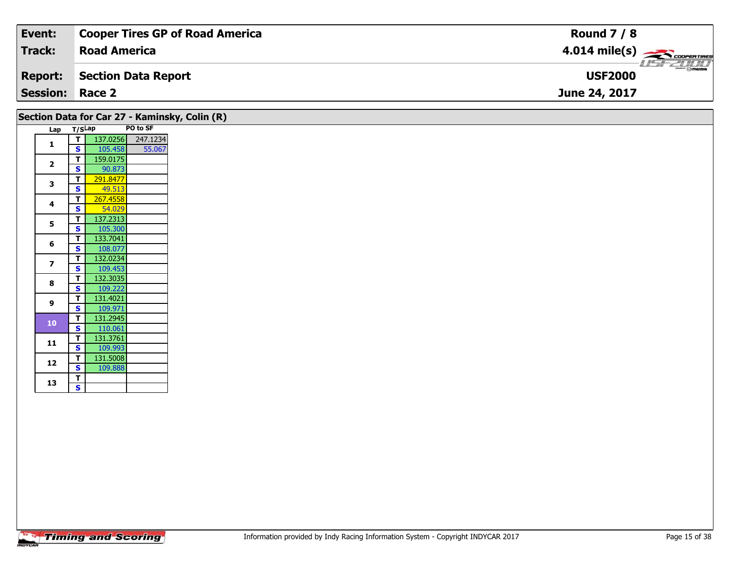| Event:                 | <b>Cooper Tires GP of Road America</b> | <b>Round 7 / 8</b>                                                                                                                                                                                                                                                                                                                                                                                                                                                                                |
|------------------------|----------------------------------------|---------------------------------------------------------------------------------------------------------------------------------------------------------------------------------------------------------------------------------------------------------------------------------------------------------------------------------------------------------------------------------------------------------------------------------------------------------------------------------------------------|
| <b>Track:</b>          | <b>Road America</b>                    | $4.014 \text{ mile(s)}$                                                                                                                                                                                                                                                                                                                                                                                                                                                                           |
| <b>Report:</b>         | Section Data Report                    | $\overline{\phantom{a}}$ $\overline{\phantom{a}}$ $\overline{\phantom{a}}$ $\overline{\phantom{a}}$ $\overline{\phantom{a}}$ $\overline{\phantom{a}}$ $\overline{\phantom{a}}$ $\overline{\phantom{a}}$ $\overline{\phantom{a}}$ $\overline{\phantom{a}}$ $\overline{\phantom{a}}$ $\overline{\phantom{a}}$ $\overline{\phantom{a}}$ $\overline{\phantom{a}}$ $\overline{\phantom{a}}$ $\overline{\phantom{a}}$ $\overline{\phantom{a}}$ $\overline{\phantom{a}}$ $\overline{\$<br><b>USF2000</b> |
| <b>Session: Race 2</b> |                                        | June 24, 2017                                                                                                                                                                                                                                                                                                                                                                                                                                                                                     |

|                         |        |          |          | Section Data for Car 27 - Kaminsky, Colin (R) |
|-------------------------|--------|----------|----------|-----------------------------------------------|
| Lap                     | T/SLap |          | PO to SF |                                               |
| 1                       | т      | 137.0256 | 247.1234 |                                               |
|                         | S      | 105.458  | 55.067   |                                               |
| $\overline{2}$          | т      | 159.0175 |          |                                               |
|                         | S      | 90.873   |          |                                               |
| 3                       | т      | 291.8477 |          |                                               |
|                         | S      | 49.513   |          |                                               |
| 4                       | т      | 267.4558 |          |                                               |
|                         | S      | 54.029   |          |                                               |
| 5                       | т      | 137.2313 |          |                                               |
|                         | S      | 105.300  |          |                                               |
| 6                       | т      | 133.7041 |          |                                               |
|                         | S      | 108.077  |          |                                               |
| $\overline{\mathbf{z}}$ | т      | 132.0234 |          |                                               |
|                         | Ś      | 109.453  |          |                                               |
| 8                       | т      | 132.3035 |          |                                               |
|                         | S      | 109.222  |          |                                               |
| 9                       | т      | 131.4021 |          |                                               |
|                         | S      | 109.971  |          |                                               |
| 10                      | т      | 131.2945 |          |                                               |
|                         | S      | 110.061  |          |                                               |
| 11                      | т      | 131.3761 |          |                                               |
|                         | S      | 109.993  |          |                                               |
| 12                      | т      | 131.5008 |          |                                               |
|                         | S      | 109.888  |          |                                               |
| 13                      | т      |          |          |                                               |
|                         | S.     |          |          |                                               |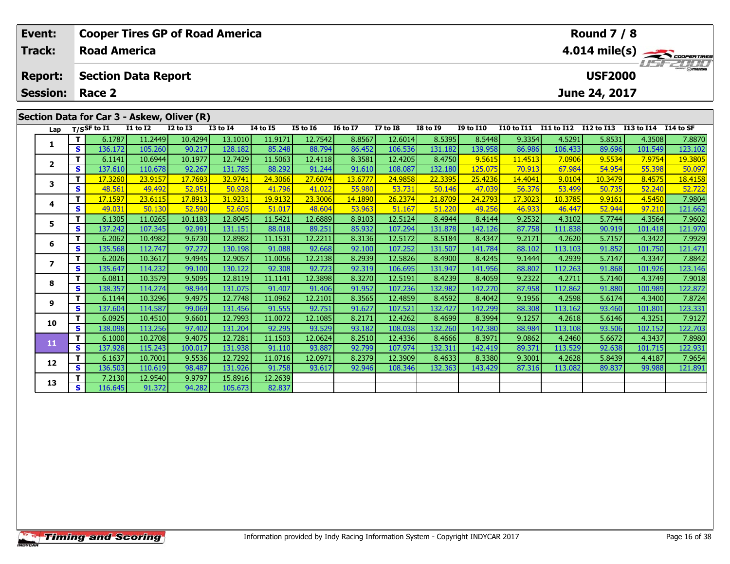| Event:<br><b>Track:</b> |    | <b>Road America</b> |                                            |                 | <b>Cooper Tires GP of Road America</b> |                 |                 |                 |                 |                 |                  |                   |            | <b>Round 7 / 8</b> |            | 4.014 mile(s)    |
|-------------------------|----|---------------------|--------------------------------------------|-----------------|----------------------------------------|-----------------|-----------------|-----------------|-----------------|-----------------|------------------|-------------------|------------|--------------------|------------|------------------|
| <b>Report:</b>          |    |                     | <b>Section Data Report</b>                 |                 |                                        |                 |                 |                 |                 |                 |                  |                   |            | <b>USF2000</b>     |            | $\frac{2\pi}{2}$ |
| <b>Session:</b>         |    | Race 2              |                                            |                 |                                        |                 |                 |                 |                 |                 |                  |                   |            | June 24, 2017      |            |                  |
|                         |    |                     | Section Data for Car 3 - Askew, Oliver (R) |                 |                                        |                 |                 |                 |                 |                 |                  |                   |            |                    |            |                  |
| Lap                     |    | $T/S$ SF to I1      | <b>I1 to I2</b>                            | <b>I2 to I3</b> | <b>I3 to 14</b>                        | <b>I4 to I5</b> | <b>I5 to 16</b> | <b>16 to 17</b> | <b>I7 to I8</b> | <b>I8 to I9</b> | <b>I9 to I10</b> | <b>I10 to I11</b> | I11 to I12 | I12 to I13         | I13 to I14 | I14 to SF        |
| 1                       |    | 6.1787              | 11.2449                                    | 10.4294         | 13.1010                                | 11.9171         | 12.7542         | 8.8567          | 12.6014         | 8.5395          | 8.5448           | 9.3354            | 4.5291     | 5.8531             | 4.3508     | 7.8870           |
|                         | S. | 136.172             | 105.260                                    | 90.217          | 128.182                                | 85.248          | 88.794          | 86.452          | 106.536         | 131.182         | 139.958          | 86.986            | 106.433    | 89.696             | 101.549    | 123.102          |
| $\mathbf{2}$            |    | 6.1141              | 10.6944                                    | 10.1977         | 12.7429                                | 11.5063         | 12.4118         | 8.3581          | 12.4205         | 8.4750          | 9.5615           | 11.4513           | 7.0906     | 9.5534             | 7.9754     | 19.3805          |
|                         | S  | 137.610             | 110.678                                    | 92.267          | 131.785                                | 88.292          | 91.244          | 91.610          | 108.087         | 132.180         | 125.075          | 70.913            | 67.984     | 54.954             | 55.398     | 50.097           |
| 3                       |    | 17.3260             | 23.9157                                    | 17.7693         | 32.9741                                | 24.3066         | 27.6074         | 13.6777         | 24.9858         | 22.3395         | 25.4236          | 14.4041           | 9.0104     | 10.3479            | 8.4575     | 18.4158          |
|                         | S. | 48.561              | 49.492                                     | 52.951          | 50.928                                 | 41.796          | 41.022          | 55.980          | 53.731          | 50.146          | 47.039           | 56.376            | 53.499     | 50.735             | 52.240     | 52.722           |
| 4                       |    | 17.1597             | 23.6115                                    | 17.8913         | 31.9231                                | 19.9132         | 23.3006         | 14.1890         | 26.2374         | 21.8709         | 24.2793          | 17.3023           | 10.3785    | 9.9161             | 4.5450     | 7.9804           |
|                         | S  | 49.031              | 50.130                                     | 52.590          | 52.605                                 | 51.017          | 48.604          | 53.963          | 51.167          | 51,220          | 49.256           | 46.933            | 46.447     | 52.944             | 97.210     | 121.662          |
| 5                       |    | 6.1305              | 11.0265                                    | 10.1183         | 12.8045                                | 11.5421         | 12.6889         | 8.9103          | 12.5124         | 8.4944          | 8.4144           | 9.2532            | 4.3102     | 5.7744             | 4.3564     | 7.9602           |
|                         | S  | 137.242             | 107.345                                    | 92.991          | 131.151                                | 88.018          | 89.251          | 85.932          | 107.294         | 131.878         | 142.126          | 87.758            | 111.838    | 90.919             | 101.418    | 121.970          |
| 6                       |    | 6.2062              | 10.4982                                    | 9.6730          | 12.8982                                | 11.1531         | 12.2211         | 8.3136          | 12.5172         | 8.5184          | 8.4347           | 9.2171            | 4.2620     | 5.7157             | 4.3422     | 7.9929           |
|                         | S  | 135.568             | 112.747                                    | 97.272          | 130.198                                | 91.088          | 92.668          | 92.100          | 107.252         | 131.507         | 141.784          | 88.102            | 113.103    | 91.852             | 101.750    | 121.471          |
| $\mathbf{z}$            |    | 6.2026              | 10.3617                                    | 9.4945          | 12.9057                                | 11.0056         | 12.2138         | 8.2939          | 12.5826         | 8.4900          | 8.4245           | 9.1444            | 4.2939     | 5.7147             | 4.3347     | 7.8842           |
|                         | S. | 135.647             | 114.232                                    | 99.100          | 130.122                                | 92.308          | 92.723          | 92.319          | 106.695         | 131.947         | 141.956          | 88.802            | 112.263    | 91.868             | 101.926    | 123.146          |
| 8                       |    | 6.0811              | 10.3579                                    | 9.5095          | 12.8119                                | 11.1141         | 12.3898         | 8.3270          | 12.5191         | 8.4239          | 8.4059           | 9.2322            | 4.2711     | 5.7140             | 4.3749     | 7.9018           |
|                         | S. | 138.357             | 114.274                                    | 98.944          | 131.075                                | 91.407          | 91.406          | 91.952          | 107.236         | 132.982         | 142.270          | 87.958            | 112.862    | 91.880             | 100.989    | 122.872          |

1.0962 | 10.3296 | 11.0962 | 12.2101 | 1.0952 | 12.4859 | 1.4859 | 1.4859 | 1.4859 | 1.558 | 1.5598 | 1.56174<br>S | 137.604 | 114.587 | 99.069 | 131.456 | 91.555 | 92.751 | 91.627 | 107.521 | 132.427 | 142.299 | 88.308 | 11

0 | T | 6.0925| 10.4510| 9.6601| 12.7993| 11.0072| 12.1085| 8.2171| 12.4262| 8.4699| 8.3994| 9.1257| 4.2618| 5.6146| 4.3251| 7.9127<br>| S | 138.098| 113.256| 97.402| 131.204| 92.295| 93.529| 93.182| 108.038| 132.260| 142.380

**<sup>T</sup>** 6.1000 10.2708 9.4075 12.7281 11.1503 12.0624 8.2510 12.4336 8.4666 8.3971 9.0862 4.2460 5.6672 4.3437 7.8980 **<sup>S</sup>** 137.928 115.243 100.017 131.938 91.110 93.887 92.799 107.974 132.311 142.419 89.371 113.529 92.638 101.715 122.931

**<sup>T</sup>** 6.1637 10.7001 9.5536 12.7292 11.0716 12.0971 8.2379 12.3909 8.4633 8.3380 9.3001 4.2628 5.8439 4.4187 7.9654 **<sup>S</sup>** 136.503 110.619 98.487 131.926 91.758 93.617 92.946 108.346 132.363 143.429 87.316 113.082 89.837 99.988 121.891

82.837

**<sup>T</sup>** 7.2130 12.9540 9.9797 15.8916 12.2639 **<sup>S</sup>** 116.645 91.372 94.282 105.673 82.837

**9**

**10**

**11**

**12**

**13**

123.331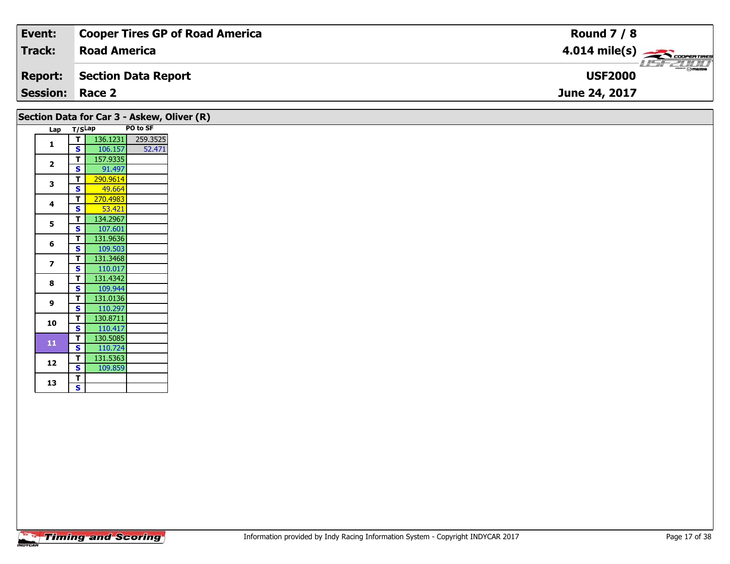| Event:                 | Cooper Tires GP of Road America | <b>Round 7 / 8</b>                                                                                                                                                                                                                                                                                                                                                                                                                                                                                |
|------------------------|---------------------------------|---------------------------------------------------------------------------------------------------------------------------------------------------------------------------------------------------------------------------------------------------------------------------------------------------------------------------------------------------------------------------------------------------------------------------------------------------------------------------------------------------|
| <b>Track:</b>          | <b>Road America</b>             | $4.014 \text{ mile(s)}$                                                                                                                                                                                                                                                                                                                                                                                                                                                                           |
| <b>Report:</b>         | Section Data Report             | $\overline{\phantom{m}}$ $\overline{\phantom{m}}$ $\overline{\phantom{m}}$ $\overline{\phantom{m}}$ $\overline{\phantom{m}}$ $\overline{\phantom{m}}$ $\overline{\phantom{m}}$ $\overline{\phantom{m}}$ $\overline{\phantom{m}}$ $\overline{\phantom{m}}$ $\overline{\phantom{m}}$ $\overline{\phantom{m}}$ $\overline{\phantom{m}}$ $\overline{\phantom{m}}$ $\overline{\phantom{m}}$ $\overline{\phantom{m}}$ $\overline{\phantom{m}}$ $\overline{\phantom{m}}$ $\overline{\$<br><b>USF2000</b> |
| <b>Session: Race 2</b> |                                 | June 24, 2017                                                                                                                                                                                                                                                                                                                                                                                                                                                                                     |

|                          | Lap T/SLap              |          | PO to SF |
|--------------------------|-------------------------|----------|----------|
| 1                        | T                       | 136.1231 | 259.3525 |
|                          | S                       | 106.157  | 52.471   |
| $\overline{\mathbf{2}}$  | T                       | 157.9335 |          |
|                          | S                       | 91.497   |          |
| 3                        | $\mathbf{T}$            | 290.9614 |          |
|                          | <b>S</b>                | 49.664   |          |
| 4                        | $\mathbf{T}$            | 270.4983 |          |
|                          | S                       | 53.421   |          |
| 5                        | Т                       | 134.2967 |          |
|                          | $\mathbf{s}$            | 107.601  |          |
| 6                        | $\mathbf{T}$            | 131.9636 |          |
|                          | S                       | 109.503  |          |
| $\overline{\phantom{a}}$ | $\mathbf{T}$            | 131.3468 |          |
|                          | $\mathbf{s}$            | 110.017  |          |
| 8                        | T                       | 131.4342 |          |
|                          | S                       | 109.944  |          |
|                          | $\mathbf{T}$            | 131.0136 |          |
| 9                        | S                       | 110.297  |          |
| 10                       | $\mathbf{T}$            | 130.8711 |          |
|                          | $\overline{\mathbf{s}}$ | 110.417  |          |
| ${\bf 11}$               | $\mathbf{T}$            | 130.5085 |          |
|                          | $\mathbf{s}$            | 110.724  |          |
|                          | $\mathbf{T}$            | 131.5363 |          |
| 12                       | S                       | 109.859  |          |
|                          | $\mathbf{T}$            |          |          |
| 13                       | $\mathbf{s}$            |          |          |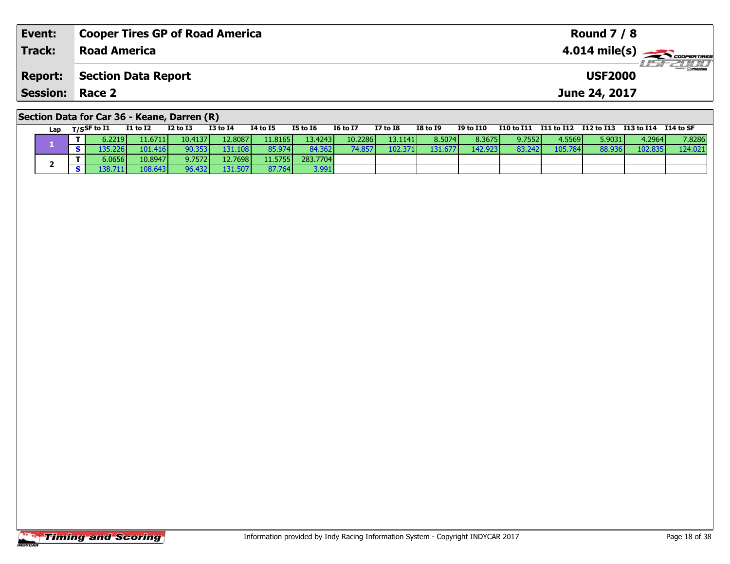| Event:                 | <b>Cooper Tires GP of Road America</b>      | <b>Round 7 / 8</b>      |
|------------------------|---------------------------------------------|-------------------------|
| Track:                 | <b>Road America</b>                         | $4.014 \text{ mile(s)}$ |
| <b>Report:</b>         | Section Data Report                         | <b>USF2000</b>          |
| <b>Session: Race 2</b> |                                             | June 24, 2017           |
|                        | Section Data for Car 36 - Keane, Darren (R) |                         |

| Lap | T/SSF to I1 | <b>I1 to I2</b> | $I2$ to $I3$ | <b>I3 to I4</b> | <b>I4 to I5</b> | I5 to I6 | <b>I6 to I7</b> | <b>I7 to I8</b> | I8 to I9 | I9 to I10 |        |         |        | I10 to I11 I11 to I12 I12 to I13 I13 to I14 | I14 to SF |
|-----|-------------|-----------------|--------------|-----------------|-----------------|----------|-----------------|-----------------|----------|-----------|--------|---------|--------|---------------------------------------------|-----------|
|     | 6.2219      | 11.6711         | 10.4137      | 12.8087         | 11.8165         | 13.4243  | 10.2286         | 13.1141         | 8.5074   | 8.3675    | 9.7552 | 4.5569  | 5.9031 | 4.2964                                      | 7.8286    |
|     |             | 101.416         | 90.353       | 131.108         | 85.974          | 84.362   | 74.857          | 102.371         | 131.677  | 142.9231  | 83.242 | 105.784 | 88.936 | 102.835                                     | 124.021   |
|     | 6.0656      | 10.8947         | 9.7572       | 12.7698         | 11.5755         | 283.7704 |                 |                 |          |           |        |         |        |                                             |           |
|     |             | 108.643         | 96.432       | 131.507         | 87.764          | 3.991    |                 |                 |          |           |        |         |        |                                             |           |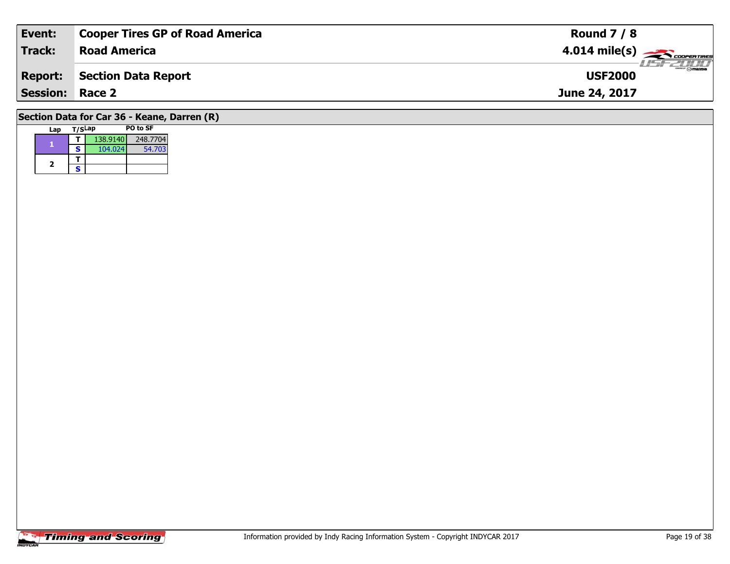| Event:                 | <b>Cooper Tires GP of Road America</b>      | <b>Round 7 / 8</b>                        |
|------------------------|---------------------------------------------|-------------------------------------------|
| <b>Track:</b>          | <b>Road America</b>                         | $4.014$ mile(s) $\rightarrow$ COOPERTIRES |
| <b>Report:</b>         | Section Data Report                         | <b>USF2000</b>                            |
| <b>Session: Race 2</b> |                                             | June 24, 2017                             |
|                        | Section Data for Car 36 - Keane, Darren (R) |                                           |

| Lap | T/SLap |          | PO to SF |
|-----|--------|----------|----------|
|     |        | 138.9140 | 248.7704 |
|     | s      | 104.024  | 54.703   |
|     |        |          |          |
| 2   | s      |          |          |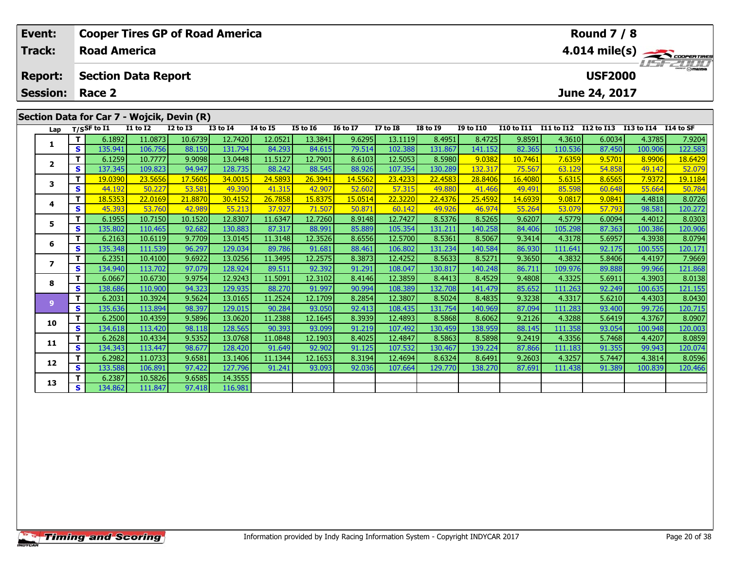| Event:<br>Track: |    | <b>Road America</b> | <b>Cooper Tires GP of Road America</b>     |                 |                  |                 |                 |                 |                 |                  |                  |                   |            | <b>Round 7 / 8</b> |            | 4.014 mile(s)    |
|------------------|----|---------------------|--------------------------------------------|-----------------|------------------|-----------------|-----------------|-----------------|-----------------|------------------|------------------|-------------------|------------|--------------------|------------|------------------|
| <b>Report:</b>   |    |                     | <b>Section Data Report</b>                 |                 |                  |                 |                 |                 |                 |                  |                  |                   |            | <b>USF2000</b>     |            |                  |
| <b>Session:</b>  |    | Race 2              |                                            |                 |                  |                 |                 |                 |                 |                  |                  |                   |            | June 24, 2017      |            |                  |
|                  |    |                     | Section Data for Car 7 - Wojcik, Devin (R) |                 |                  |                 |                 |                 |                 |                  |                  |                   |            |                    |            |                  |
| Lap              |    | $T/S$ SF to I1      | <b>I1 to I2</b>                            | <b>I2 to I3</b> | <b>I3 to I4</b>  | <b>I4 to I5</b> | <b>I5 to 16</b> | <b>16 to 17</b> | <b>I7 to I8</b> | <b>I8 to I9</b>  | <b>I9 to I10</b> | <b>I10 to I11</b> | I11 to I12 | <b>I12 to I13</b>  | I13 to I14 | <b>I14 to SF</b> |
|                  |    | 6.1892              | 11.0873                                    | 10.6739         | 12.7420          | 12.0521         | 13.3841         | 9.6295          | 13.1119         | 8.4951           | 8.4725           | 9.8591            | 4.3610     | 6.0034             | 4.3785     | 7.9204           |
|                  | S  | 135.941             | 106.756                                    | 88.150          | 131.794          | 84.293          | 84.615          | 79.514          | 102.388         | 131.867          | 141.152          | 82.365            | 110.536    | 87.450             | 100.906    | 122.583          |
| $\mathbf{2}$     |    | 6.1259              | 10.7777                                    | 9.9098          | 13.0448          | 11.5127         | 12.7901         | 8.6103          | 12.5053         | 8.5980           | 9.0382           | 10.7461           | 7.6359     | 9.5701             | 8.9906     | 18.6429          |
|                  | S  | 137.345             | 109.823                                    | 94.947          | 128.735          | 88.242          | 88.545          | 88.926          | 107.354         | 130.289          | 132.317          | 75.567            | 63.129     | 54.858             | 49.142     | 52.079           |
| 3                |    | 19.0390             | 23.5656                                    | 17.5605         | 34.0015          | 24.5893         | 26.3941         | 14.5562         | 23.4233         | 22.4583          | 28.8406          | 16.4080           | 5.6315     | 8.6565             | 7.9372     | 19.1184          |
|                  | S. | 44.192              | 50.227                                     | 53.581          | 49.390           | 41.315          | 42.907          | 52.602          | 57.315          | 49.880           | 41.466           | 49.491            | 85.598     | 60.648             | 55.664     | 50.784           |
| 4                |    | 18.5353             | 22.0169                                    | 21.8870         | 30.4152          | 26.7858         | 15.8375         | 15.0514         | 22.3220         | 22.4376          | 25.4592          | 14.6939           | 9.0817     | 9.0841             | 4.4818     | 8.0726           |
|                  | S  | 45.393              | 53.760                                     | 42.989          | 55.213           | 37.927          | 71.507          | 50.87           | 60.142          | 49.926           | 46.974           | 55.264            | 53.079     | 57.793             | 98.581     | 120.272          |
| 5                |    | 6.1955              | 10.7150                                    | 10.1520         | 12.8307          | 11.6347         | 12.7260         | 8.9148          | 12.7427         | 8.5376           | 8.5265           | 9.6207            | 4.5779     | 6.0094             | 4.4012     | 8.0303           |
|                  | S. | 135.802             | 110.465                                    | 92.682          | 130.883          | 87.317          | 88.991          | 85.889          | 105.354         | 131.211          | 140.258          | 84.406            | 105.298    | 87.363             | 100.386    | 120.906          |
| 6                |    | 6.2163              | 10.6119                                    | 9.7709          | 13.0145          | 11.3148         | 12.3526         | 8.6556          | 12.5700         | 8.5361           | 8.5067           | 9.3414            | 4.3178     | 5.6957             | 4.3938     | 8.0794           |
|                  | S. | 135.348             | 111.539                                    | 96.297          | 129.034 <b>1</b> | 89.786          | 91.681          | 88.461          | 106.802         | 131.234 <b>1</b> | 140.584          | 86.930            | 111.641    | 92.175             | 100.5551   | 120.171          |

7 | T | 6.2351 10.4100 | 9.6922 13.0256 11.3495 12.2575 8.3873 12.4252 8.5633 8.5271 9.3650 4.3832 5.8406 4.4197 7.9669<br>7 | S | 134.940 113.702 97.079 128.924 89.511 92.392 91.291 108.047 130.817 140.248 86.711 109.976 89.

8 T | 6.0667 10.6730 9.9754 12.9243 11.5091 12.3102 8.4146 12.3859 8.4413 8.4529 9.4808 4.3325 5.6911 4.3903 8.0138<br>8 S 138.686 110.900 94.323 129.935 88.270 91.997 90.994 108.389 132.708 141.479 85.652 111.263 92.249 100.

13.0165 11.2524 13.0165 11.2524 12.1709 8.2854 12.3807 8.5024 8.4835 9.3238 4.3317 5.6210 4.4303 8.0430 .<br>S 135.636 113.894 98.397 129.015 90.284 93.050 92.413 108.435 131.754 140.969 87.094 111.283 93.400 99.726 120.715

0 | **T** | 6.2500| 10.4359| 9.5896| 13.0620| 11.2388| 12.1645| 8.3939| 12.4893| 8.5868| 8.6062| 9.2126| 4.3288| 5.6419| 4.3767| 8.0907<br>| S | 134.618| 113.420| 98.118| 128.565| 90.393| 93.099| 91.219| 107.492| 130.459| 138.9

**<sup>T</sup>** 6.2628 10.4334 9.5352 13.0768 11.0848 12.1903 8.4025 12.4847 8.5863 8.5898 9.2419 4.3356 5.7468 4.4207 8.0859 **<sup>S</sup>** 134.343 113.447 98.677 128.420 91.649 92.902 91.125 107.532 130.467 139.224 87.866 111.183 91.355 99.943 120.074

2 | T | 6.2982| 11.0733| 9.6581| 13.1406| 11.1344| 12.1653| 8.3194| 12.4694| 8.6324| 8.6491| 9.2603| 4.3257| 5.7447| 4.3814| 8.0596<br>| S | 133.588| 106.891| 97.422| 127.796| 91.241| 93.093| 92.036| 107.664| 129.770| 138.270

**<sup>T</sup>** 6.2387 10.5826 9.6585 14.3555 **<sup>S</sup>** 134.862 111.847 97.418 116.981

116.981

**7**

**8**

**9**

**10**

**11**

**12**

**13**

7.9669

121.868

120.715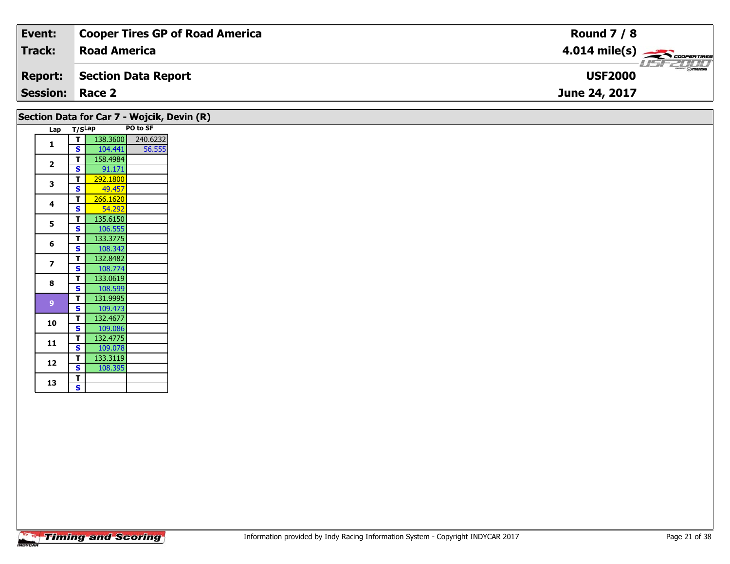| Event:                 | <b>Cooper Tires GP of Road America</b> | <b>Round 7 / 8</b>                                                                                                                  |
|------------------------|----------------------------------------|-------------------------------------------------------------------------------------------------------------------------------------|
| <b>Track:</b>          | <b>Road America</b>                    | $4.014$ mile(s) $\overbrace{\hspace{2cm}}$ coorerings                                                                               |
| <b>Report:</b>         | Section Data Report                    | $\overline{\phantom{a}}$ $\cap$ $\overline{\phantom{a}}$ $\cap$ $\overline{\phantom{a}}$ $\overline{\phantom{a}}$<br><b>USF2000</b> |
| <b>Session: Race 2</b> |                                        | June 24, 2017                                                                                                                       |

|                |                         |                    | Section Data for Car 7 - Wojcik, Devin (R) |
|----------------|-------------------------|--------------------|--------------------------------------------|
| Lap            | T/SLap                  |                    | PO to SF                                   |
| 1              | T                       | 138.3600           | 240.6232                                   |
|                | S                       | 104.441            | 56.555                                     |
| $\mathbf{2}$   | T                       | 158.4984           |                                            |
|                | $\mathbf{s}$            | 91.171             |                                            |
| 3              | $\overline{\mathbf{T}}$ | 292.1800           |                                            |
|                | S<br>T                  | 49.457<br>266.1620 |                                            |
| 4              | $\mathbf{s}$            | 54.292             |                                            |
|                | $\overline{\mathbf{T}}$ | 135.6150           |                                            |
| 5              | <b>S</b>                | 106.555            |                                            |
|                | T                       | 133.3775           |                                            |
| 6              | $\mathbf{s}$            | 108.342            |                                            |
|                | T                       | 132.8482           |                                            |
| $\overline{7}$ | S                       | 108.774            |                                            |
|                | T                       | 133.0619           |                                            |
| 8              | $\mathbf{s}$            | 108.599            |                                            |
|                | T                       | 131.9995           |                                            |
| 9 <sup>°</sup> | S                       | 109.473            |                                            |
|                | T                       | 132.4677           |                                            |
| 10             | <b>S</b>                | 109.086            |                                            |
|                | T                       | 132.4775           |                                            |
| 11             | S                       | 109.078            |                                            |
|                | T                       | 133.3119           |                                            |
| 12             | $\mathbf{s}$            | 108.395            |                                            |
|                | $\overline{\mathbf{T}}$ |                    |                                            |
| 13             | $\overline{\mathbf{s}}$ |                    |                                            |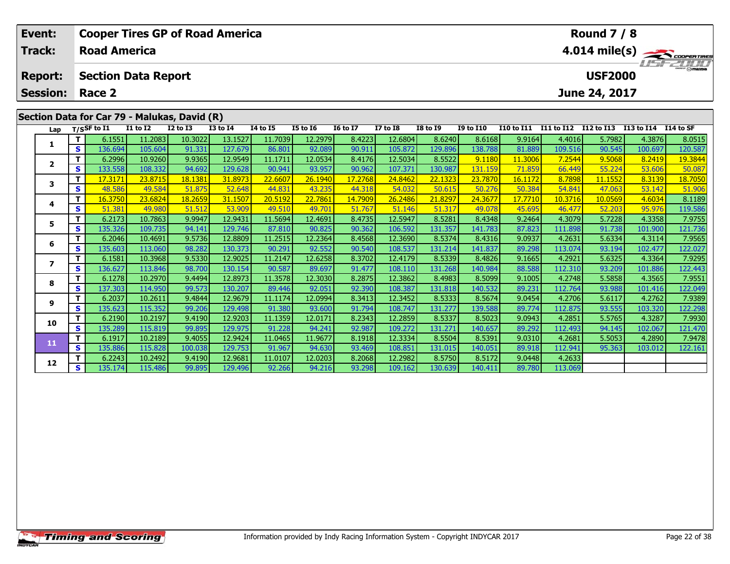| Event:          |    | <b>Cooper Tires GP of Road America</b>       |                 |              |                 |                 |                 |                 |                 |                 |                  |                   |            | <b>Round 7 / 8</b> |            |               |
|-----------------|----|----------------------------------------------|-----------------|--------------|-----------------|-----------------|-----------------|-----------------|-----------------|-----------------|------------------|-------------------|------------|--------------------|------------|---------------|
| <b>Track:</b>   |    | <b>Road America</b>                          |                 |              |                 |                 |                 |                 |                 |                 |                  |                   |            |                    |            | 4.014 mile(s) |
| <b>Report:</b>  |    | <b>Section Data Report</b>                   |                 |              |                 |                 |                 |                 |                 |                 |                  |                   |            | <b>USF2000</b>     |            | $H = -2H H$   |
| <b>Session:</b> |    | Race 2                                       |                 |              |                 |                 |                 |                 |                 |                 |                  |                   |            | June 24, 2017      |            |               |
|                 |    |                                              |                 |              |                 |                 |                 |                 |                 |                 |                  |                   |            |                    |            |               |
|                 |    | Section Data for Car 79 - Malukas, David (R) |                 |              |                 |                 |                 |                 |                 |                 |                  |                   |            |                    |            |               |
| Lap             |    | T/SSF to I1                                  | <b>I1 to I2</b> | $I2$ to $I3$ | <b>I3 to I4</b> | <b>I4 to I5</b> | <b>I5 to 16</b> | <b>I6 to I7</b> | <b>I7 to I8</b> | <b>I8 to 19</b> | <b>I9 to I10</b> | <b>I10 to I11</b> | I11 to I12 | I12 to I13         | I13 to I14 | I14 to SF     |
|                 |    | 6.1551                                       | 11.2083         | 10.3022      | 13.1527         | 11.7039         | 12.2979         | 8.4223          | 12.6804         | 8.6240          | 8.6168           | 9.9164            | 4.4016     | 5.7982             | 4.3876     | 8.0515        |
|                 | S. | 136.694                                      | 105.604         | 91.331       | 127.679         | 86.801          | 92.089          | 90.911          | 105.872         | 129.896         | 138.788          | 81.889            | 109.516    | 90.545             | 100.697    | 120.587       |
|                 |    | 6.2996                                       | 10.9260         | 9.9365       | 12.9549         | 11.1711         | 12.0534         | 8.4176          | 12.5034         | 8.5522          | 9.1180           | 11.3006           | 7.2544     | 9.5068             | 8.2419     | 19.3844       |
|                 |    |                                              |                 |              |                 |                 |                 |                 |                 |                 |                  |                   |            |                    |            |               |
|                 | S. | 133.558                                      | 108.332         | 94.692       | 129.628         | 90.941          | 93.957          | 90.962          | 107.371         | 130.987         | 131.159          | 71.859            | 66.449     | 55.224             | 53.606     | 50.087        |
| 3               |    | 17.3171                                      | 23.8715         | 18.1381      | 31.8973         | 22.6607         | 26.1940         | 17.2768         | 24.8462         | 22.1323         | 23.7870          | 16.1172           | 8.7898     | 11.1552            | 8.3139     | 18.7050       |

| Lap                     |    | T/SSF to I1 | <b>I1 to I2</b> | <b>I2 to I3</b> | <b>I3 to I4</b> | <b>I4 to I5</b> | <b>I5 to 16</b> | <b>16 to 17</b> | <b>I7 to I8</b> | <b>I8 to I9</b> | <b>I9 to I10</b> | <b>I10 to I11</b> | I11 to I12 | I12 to I13 | I13 to I14 | I14 to SF       |
|-------------------------|----|-------------|-----------------|-----------------|-----------------|-----------------|-----------------|-----------------|-----------------|-----------------|------------------|-------------------|------------|------------|------------|-----------------|
| 1                       |    | 6.1551      | 11.2083         | 10.3022         | 13.1527         | 11.7039         | 12.2979         | 8.4223          | 12.6804         | 8.6240          | 8.6168           | 9.9164            | 4.4016     | 5.7982     | 4.3876     | 8.0515          |
|                         | s  | 136.694     | 105.604         | 91.331          | 127.679         | 86.801          | 92.089          | 90.911          | 105.872         | 129.896         | 138.788          | 81.889            | 109.516    | 90.545     | 100.697    | 120.587         |
| $\overline{2}$          |    | 6.2996      | 10.9260         | 9.9365          | 12.9549         | 11.1711         | 12.0534         | 8.4176          | 12.5034         | 8.5522          | 9.1180           | 11.3006           | 7.2544     | 9.5068     | 8.2419     | <u> 19.3844</u> |
|                         | s  | 133.558     | 108.332         | 94.692          | 129.628         | 90.941          | 93.957          | 90.962          | 107.371         | 130.987         | 131.159          | 71.859            | 66.449     | 55.224     | 53.606     | 50.087          |
| 3                       |    | 17.3171     | 23.8715         | 18.1381         | 31.8973         | 22.6607         | 26.1940         | 17,2768         | 24.8462         | 22.1323         | 23.7870          | 16.1172           | 8.7898     | 11.1552    | 8.3139     | 18.7050         |
|                         | s  | 48.586      | 49.584          | 51.875          | 52.648          | 44.831          | 43.235          | 44.318          | 54.032          | 50.615          | 50.276           | 50.384            | 54.841     | 47.063     | 53.142     | 51.906          |
| 4                       |    | 16.3750     | 23.6824         | 18.2659         | 31.1507         | 20.5192         | 22.7861         | 14.7909         | 26.2486         | 21.8297         | 24.3677          | 17.7710           | 10.3716    | 10.0569    | 4.6034     | 8.1189          |
|                         | s  | 51.381      | 49.980          | 51.512          | 53.909          | 49.510          | 49.701          | 51.767          | 51.146          | 51.317          | 49.078           | 45.695            | 46.477     | 52.203     | 95.976     | 119.586         |
| 5                       |    | 6.2173      | 10.7863         | 9.9947          | 12.9431         | 11.5694         | 12.4691         | 8.4735          | 12.5947         | 8.5281          | 8.4348           | 9.2464            | 4.3079     | 5.7228     | 4.3358     | 7.9755          |
|                         | s  | 135.326     | 109.735         | 94.141          | 129.746         | 87.810          | 90.825          | 90.362          | 106.592         | 131.357         | 141.783          | 87.823            | 111.898    | 91.738     | 101.900    | 121.736         |
| 6                       |    | 6.2046      | 10.4691         | 9.5736          | 12.8809         | 11.2515         | 12.2364         | 8.4568          | 12.3690         | 8.5374          | 8.4316           | 9.0937            | 4.2631     | 5.6334     | 4.3114     | 7.9565          |
|                         | s  | 135.603     | 113.060         | 98.282          | 130.373         | 90.291          | 92.552          | 90.540          | 108.537         | 131.214         | 141.837          | 89.298            | 113.074    | 93.194     | 102.477    | 122.027         |
| $\overline{\mathbf{z}}$ |    | 6.1581      | 10.3968         | 9.5330          | 12.9025         | 11.2147         | 12.6258         | 8.3702          | 12.4179         | 8.5339          | 8.4826           | 9.1665            | 4.2921     | 5.6325     | 4.3364     | 7.9295          |
|                         | s  | 136.627     | 113.846         | 98.700          | 130.154         | 90.587          | 89.697          | 91.477          | 108.110         | 131.268         | 140.984          | 88.588            | 112.310    | 93.209     | 101.886    | 122.443         |
| 8                       |    | 6.1278      | 10.2970         | 9.4494          | 12.8973         | 11.3578         | 12.3030         | 8.2875          | 12.3862         | 8.4983          | 8.5099           | 9.1005            | 4.2748     | 5.5858     | 4.3565     | 7.9551          |
|                         | s  | 137.303     | 114.950         | 99.573          | 130.207         | 89.446          | 92.051          | 92.390          | 108.387         | 131.818         | 140.532          | 89.231            | 112.764    | 93.988     | 101.416    | 122.049         |
| 9                       |    | 6.2037      | 10.2611         | 9.4844          | 12.9679         | 11.1174         | 12.0994         | 8.3413          | 12.3452         | 8.5333          | 8.5674           | 9.0454            | 4.2706     | 5.6117     | 4.2762     | 7.9389          |
|                         | s  | 135.623     | 115.352         | 99.206          | 129.498         | 91.380          | 93.600          | 91.794          | 108.747         | 131.277         | 139.588          | 89.774            | 112.875    | 93.555     | 103.320    | 122.298         |
| 10                      |    | 6.2190      | 10.2197         | 9.4190          | 12.9203         | 11.1359         | 12.0171         | 8.2343          | 12.2859         | 8.5337          | 8.5023           | 9.0943            | 4.2851     | 5.5765     | 4.3287     | 7.9930          |
|                         | s  | 135.289     | 115.819         | 99.895          | 129.975         | 91.228          | 94.241          | 92.987          | 109.272         | 131.271         | 140.657          | 89.292            | 112.493    | 94.145     | 102.067    | 121.470         |
| 11                      |    | 6.1917      | 10.2189         | 9.4055          | 12.9424         | 11.0465         | 11.9677         | 8.1918          | 12.3334         | 8.5504          | 8.5391           | 9.0310            | 4.2681     | 5.5053     | 4.2890     | 7.9478          |
|                         | S  | 135.886     | 115.828         | 100.038         | 129.753         | 91.967          | 94.630          | 93.469          | 108.851         | 131.015         | 140.051          | 89.918            | 112.941    | 95.363     | 103.012    | 122.161         |
| 12                      |    | 6.2243      | 10.2492         | 9.4190          | 12.9681         | 11.0107         | 12.0203         | 8.2068          | 12.2982         | 8.5750          | 8.5172           | 9.0448            | 4.2633     |            |            |                 |
|                         | S. | 135.174     | 115.486         | 99.895          | 129.496         | 92.266          | 94.216          | 93.298          | 109.162         | 130.639         | 140.411          | 89.780            | 113.069    |            |            |                 |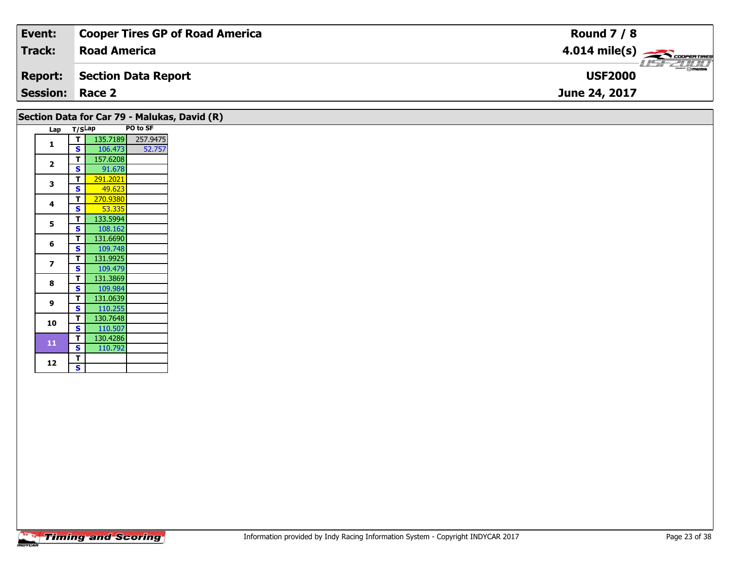| Event:                 | Cooper Tires GP of Road America | <b>Round 7 / 8</b>                                                                                                                                                                                                                                                                                                                                                                                                                                                                                |
|------------------------|---------------------------------|---------------------------------------------------------------------------------------------------------------------------------------------------------------------------------------------------------------------------------------------------------------------------------------------------------------------------------------------------------------------------------------------------------------------------------------------------------------------------------------------------|
| <b>Track:</b>          | <b>Road America</b>             | $4.014 \text{ mile(s)}$                                                                                                                                                                                                                                                                                                                                                                                                                                                                           |
| <b>Report:</b>         | Section Data Report             | $\overline{\phantom{m}}$ $\overline{\phantom{m}}$ $\overline{\phantom{m}}$ $\overline{\phantom{m}}$ $\overline{\phantom{m}}$ $\overline{\phantom{m}}$ $\overline{\phantom{m}}$ $\overline{\phantom{m}}$ $\overline{\phantom{m}}$ $\overline{\phantom{m}}$ $\overline{\phantom{m}}$ $\overline{\phantom{m}}$ $\overline{\phantom{m}}$ $\overline{\phantom{m}}$ $\overline{\phantom{m}}$ $\overline{\phantom{m}}$ $\overline{\phantom{m}}$ $\overline{\phantom{m}}$ $\overline{\$<br><b>USF2000</b> |
| <b>Session: Race 2</b> |                                 | June 24, 2017                                                                                                                                                                                                                                                                                                                                                                                                                                                                                     |

|                          |        |          |          | Section Data for Car 79 - Malukas, David (R) |
|--------------------------|--------|----------|----------|----------------------------------------------|
| Lap                      | T/SLap |          | PO to SF |                                              |
|                          | т      | 135.7189 | 257.9475 |                                              |
| 1                        | S      | 106.473  | 52.757   |                                              |
| $\overline{\mathbf{z}}$  | т      | 157.6208 |          |                                              |
|                          | S      | 91.678   |          |                                              |
| 3                        | т      | 291.2021 |          |                                              |
|                          | S      | 49.623   |          |                                              |
| 4                        | т      | 270.9380 |          |                                              |
|                          | S      | 53.335   |          |                                              |
| 5                        | т      | 133.5994 |          |                                              |
|                          | S      | 108.162  |          |                                              |
| 6                        | т      | 131.6690 |          |                                              |
|                          | S      | 109.748  |          |                                              |
| $\overline{\phantom{a}}$ | т      | 131.9925 |          |                                              |
|                          | S      | 109.479  |          |                                              |
| 8                        | т      | 131.3869 |          |                                              |
|                          | S      | 109.984  |          |                                              |
| 9                        | т      | 131.0639 |          |                                              |
|                          | S      | 110.255  |          |                                              |
| 10                       | т      | 130.7648 |          |                                              |
|                          | S      | 110.507  |          |                                              |
| 11                       | т      | 130.4286 |          |                                              |
|                          | S<br>T | 110.792  |          |                                              |
| 12                       | S      |          |          |                                              |
|                          |        |          |          |                                              |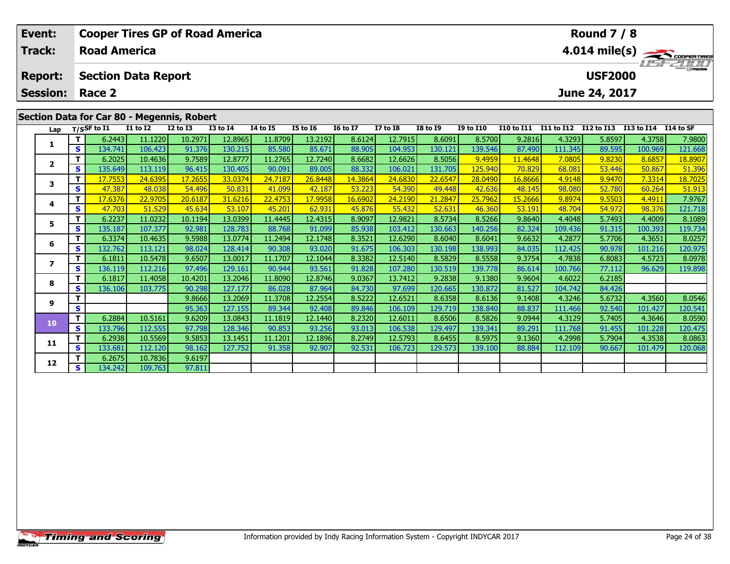| Event:          |              |                            |          | <b>Cooper Tires GP of Road America</b>     |               |          |                 |                 |                  |                 |                  |            |                  | <b>Round 7 / 8</b> |            |                         |
|-----------------|--------------|----------------------------|----------|--------------------------------------------|---------------|----------|-----------------|-----------------|------------------|-----------------|------------------|------------|------------------|--------------------|------------|-------------------------|
| Track:          |              | <b>Road America</b>        |          |                                            |               |          |                 |                 |                  |                 |                  |            |                  |                    |            | $4.014 \text{ mile(s)}$ |
| <b>Report:</b>  |              | <b>Section Data Report</b> |          |                                            |               |          |                 |                 |                  |                 |                  |            |                  | <b>USF2000</b>     |            | LISFZULT                |
| <b>Session:</b> |              | Race 2                     |          |                                            |               |          |                 |                 |                  |                 |                  |            |                  | June 24, 2017      |            |                         |
|                 |              |                            |          | Section Data for Car 80 - Megennis, Robert |               |          |                 |                 |                  |                 |                  |            |                  |                    |            |                         |
| Lap             |              | $T/S$ SF to $I1$           | I1 to I2 | $I2$ to $I3$                               | $I3$ to $I4$  | I4 to I5 | <b>I5 to 16</b> | <b>I6 to I7</b> | <b>I7 to I8</b>  | <b>I8 to I9</b> | <b>I9 to I10</b> | I10 to I11 | I11 to I12       | <b>I12 to I13</b>  | I13 to I14 | I14 to SF               |
|                 |              | 6.2443                     | 11.1220  | 10.2971                                    | 12.8965       | 11.8709  | 13.2192         | 8.6124          | 12.7915          | 8.6091          | 8.5700           | 9.2816     | 4.3293           | 5.8597             | 4.3758     | 7.9800                  |
|                 | S.           | 134.741                    | 106.423  | 91.376                                     | 130.215       | 85.580   | 85.671          | 88.905          | 104.953          | 130.121         | 139.546          | 87.490     | 111.345          | 89.595             | 100.969    | 121.668                 |
|                 |              | 6.2025                     | 10.4636  | 9.7589                                     | 12.8777       | 11.2765  | 12.7240         | 8.6682          | 12.6626          | 8.5056          | 9.4959           | 11.4648    | 7.0805           | 9.8230             | 8.6857     | 18.8907                 |
|                 | S.           | 135.649                    | 113.119  | 96.415                                     | 130.405       | 90.091   | 89.005          | 88.332          | 106.021          | 131.705         | 125.940          | 70.829     | 68.081           | 53.446             | 50.867     | 51.396                  |
|                 | $\mathbf{r}$ | 17770                      | 24C20F   | 17.2CE                                     | <u>רכם ככ</u> | 2407     | TCOAO           | 14.206A         | $24 \cos \theta$ | $22$ $CD$       | 20.0400          | 100000     | $A$ $01$ $A$ $0$ | 0.0470             | 72214      | 10.702 $E$              |

|                |          | .7.7553 | <u>24.6395</u> | <u>  17.2655</u> | <u>33.0374</u>   | <mark>24.7187</mark> | 26.8448 | 14.3864 | <u>24.6830 </u> | 22.6547 | <u> 28.04901</u> | 16.86661 | 4.9148  | 9.9470 | 7.3314  | 18.7025 |
|----------------|----------|---------|----------------|------------------|------------------|----------------------|---------|---------|-----------------|---------|------------------|----------|---------|--------|---------|---------|
|                | S.       | 47.387  | 48.038         | 54.496           | 50.831           | 41.099               | 42.187  | 53.223  | 54.390          | 49.448  | 42.636           | 48.145   | 98.080  | 52.780 | 60.264  | 51.913  |
|                |          | 17.6376 | 22.9705        | 20.6187          | 31.6216          | 22.4753              | 17.9958 | 16.6902 | 24.2190         | 21.2847 | 25.7962          | 15.2666  | 9.8974  | 9.5503 | 4.4911  | 7.9767  |
|                | s.       | 47.703  | 51.529         | 45.634           | 53.107           | 45.201               | 62.931  | 45.876  | 55.432          | 52.631  | 46.360           | 53.191   | 48.704  | 54.972 | 98.376  | 121.718 |
|                |          | 6.2237  | 11.0232        | 10.1194          | 13.0399          | 11.4445              | 12.4315 | 8.9097  | 12.9821         | 8.5734  | 8.5266           | 9.8640   | 4.4048  | 5.7493 | 4.4009  | 8.1089  |
|                | S        | 135.187 | 107.377        | 92.981           | 128.783          | 88.768               | 91.099  | 85.938  | 103.412         | 130.663 | 140.256          | 82.324   | 109.436 | 91.315 | 100.393 | 119.734 |
|                |          | 6.3374  | 10.4635        | 9.5988           | 13.0774          | 11.2494              | 12.1748 | 8.3521  | 12.6290         | 8.6040  | 8.6041           | 9.6632   | 4.2877  | 5.7706 | 4.3651  | 8.0257  |
|                | s        | 132.762 | 113.121        | 98.024           | 128.414          | 90.308               | 93.020  | 91.675  | 106.303         | 130.198 | 138.993          | 84.035   | 112.425 | 90.978 | 101.216 | 120.975 |
|                |          | 6.1811  | 10.5478        | 9.6507           | 13.0017          | 11.1707              | 12.1044 | 8.3382  | 12.5140         | 8.5829  | 8.5558           | 9.3754   | 4.7838  | 6.8083 | 4.5723  | 8.0978  |
|                | S.       | 136.119 | 112.216        | 97.496           | 129.161          | 90.944               | 93.561  | 91.828  | 107.280         | 130.519 | 139.778          | 86.614   | 100.766 | 77.112 | 96.629  | 119.898 |
| 8              |          | 6.1817  | 11.4058        | 10.4201          | 13.2046          | 11.8090              | 12.8746 | 9.0367  | 13.7412         | 9.2838  | 9.1380           | 9.9604   | 4.6022  | 6.2185 |         |         |
|                | s        | 136.106 | 103.775        | 90.298           | 127.177          | 86.028               | 87.964  | 84.730  | 97.699          | 120.665 | 130.872          | 81.527   | 104.742 | 84.426 |         |         |
| q              |          |         |                | 9.8666           | 13.2069          | 11.3708              | 12.2554 | 8.5222  | 12.6521         | 8.6358  | 8.6136           | 9.1408   | 4.3246  | 5.6732 | 4.3560  | 8.0546  |
|                | S        |         |                | 95.363           | 127.155          | 89.344               | 92.408  | 89.846  | 106.109         | 129.719 | 138.840          | 88.837   | 111.466 | 92.540 | 101.427 | 120.541 |
| $\overline{0}$ |          | 6.2884  | 10.5161        | 9.6209           | 13.0843          | 11.1819              | 12.1440 | 8.2320  | 12.6011         | 8.6506  | 8.5826           | 9.0944   | 4.3129  | 5.7405 | 4.3646  | 8.0590  |
|                | <b>S</b> | 133.796 | 112.555        | 97.798           | 128.346 <b>1</b> | 90.853               | 93.256  | 93.013  | 106.538         | 129.497 | 139.341          | 89.291   | 111.768 | 91.455 | 101.228 | 120.475 |

**<sup>T</sup>** 6.2675 10.7836 9.6197 **<sup>S</sup>** 134.242 109.763 97.811

97.811

**3**

**4**

**5**

**6**

**7**

**8**

**9**

**10**

**11**

**12**

**<sup>T</sup>** 6.2938 10.5569 9.5853 13.1451 11.1201 12.1896 8.2749 12.5793 8.6455 8.5975 9.1360 4.2998 5.7904 4.3538 8.0863 **<sup>S</sup>** 133.681 112.120 98.162 127.752 91.358 92.907 92.531 106.723 129.573 139.100 88.884 112.109 90.667 101.479 120.068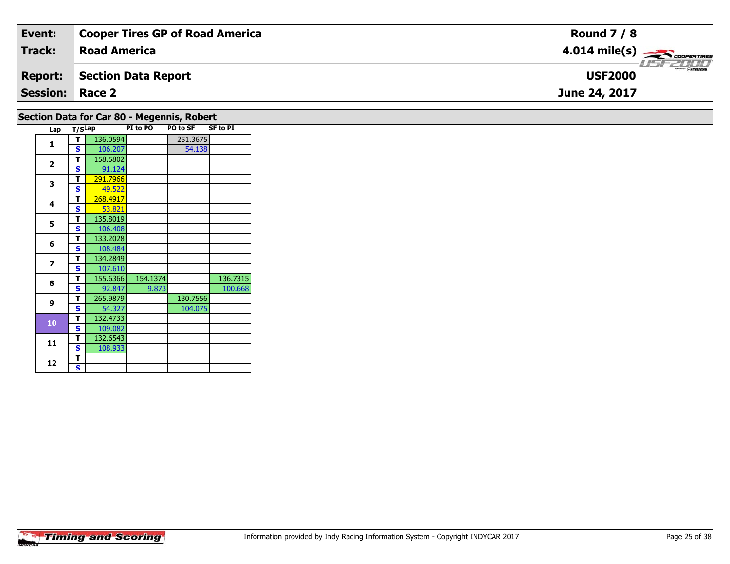| Event:                 | <b>Cooper Tires GP of Road America</b> | <b>Round 7 / 8</b>                        |
|------------------------|----------------------------------------|-------------------------------------------|
| Track:                 | <b>Road America</b>                    | $4.014$ mile(s) $\rightarrow$ COOPERTIRES |
| <b>Report:</b>         | Section Data Report                    | <b>USF2000</b>                            |
| <b>Session: Race 2</b> |                                        | June 24, 2017                             |
|                        |                                        |                                           |

|                          | T/SLap       |          | Section Data for Car 80 - Megennis, Robert<br>PI to PO | PO to SF | <b>SF to PI</b> |
|--------------------------|--------------|----------|--------------------------------------------------------|----------|-----------------|
| Lap                      |              |          |                                                        |          |                 |
| 1                        | T.           | 136.0594 |                                                        | 251.3675 |                 |
|                          | S            | 106.207  |                                                        | 54.138   |                 |
| $\overline{2}$           | т            | 158.5802 |                                                        |          |                 |
|                          | S            | 91.124   |                                                        |          |                 |
| 3                        | T            | 291.7966 |                                                        |          |                 |
|                          | $\mathbf{s}$ | 49.522   |                                                        |          |                 |
| 4                        | T            | 268.4917 |                                                        |          |                 |
|                          | $\mathbf{s}$ | 53.821   |                                                        |          |                 |
| 5                        | T            | 135.8019 |                                                        |          |                 |
|                          | S            | 106.408  |                                                        |          |                 |
| 6                        | T.           | 133.2028 |                                                        |          |                 |
|                          | S            | 108.484  |                                                        |          |                 |
| $\overline{\phantom{a}}$ | T            | 134.2849 |                                                        |          |                 |
|                          | S            | 107.610  |                                                        |          |                 |
| 8                        | T            | 155.6366 | 154.1374                                               |          | 136.7315        |
|                          | S            | 92.847   | 9.873                                                  |          | 100.668         |
| $\mathbf{9}$             | T            | 265.9879 |                                                        | 130.7556 |                 |
|                          | S            | 54.327   |                                                        | 104.075  |                 |
| 10                       | T.           | 132.4733 |                                                        |          |                 |
|                          | S            | 109.082  |                                                        |          |                 |
| 11                       | T            | 132.6543 |                                                        |          |                 |
|                          | S            | 108.933  |                                                        |          |                 |
| 12                       | т            |          |                                                        |          |                 |
|                          | S.           |          |                                                        |          |                 |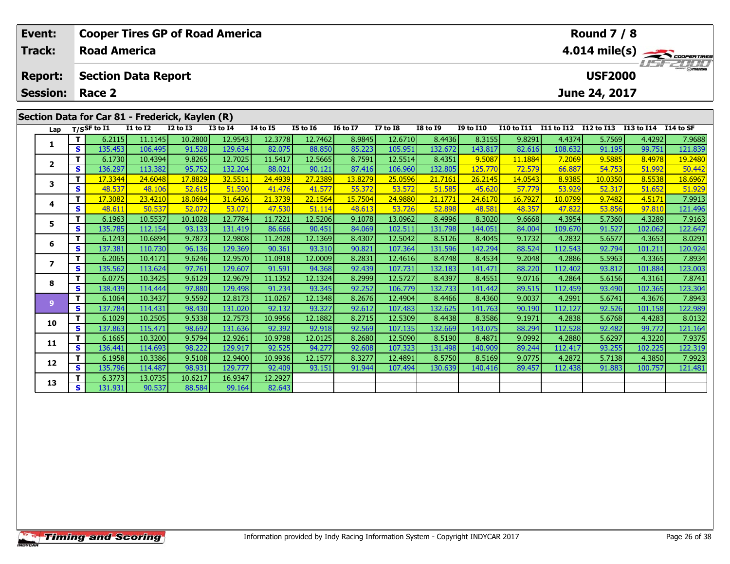| Event:          |          | <b>Cooper Tires GP of Road America</b>          |                   |                   |                   |                   |                   |                   |                    |                    |                   |                   |                  | <b>Round 7 / 8</b> |                      |                   |
|-----------------|----------|-------------------------------------------------|-------------------|-------------------|-------------------|-------------------|-------------------|-------------------|--------------------|--------------------|-------------------|-------------------|------------------|--------------------|----------------------|-------------------|
| <b>Track:</b>   |          | <b>Road America</b>                             |                   |                   |                   |                   |                   |                   |                    |                    |                   |                   |                  |                    |                      | 4.014 mile(s)     |
| <b>Report:</b>  |          | <b>Section Data Report</b>                      |                   |                   |                   |                   |                   |                   |                    |                    |                   |                   |                  | <b>USF2000</b>     |                      |                   |
| <b>Session:</b> |          | Race 2                                          |                   |                   |                   |                   |                   |                   |                    |                    |                   |                   |                  | June 24, 2017      |                      |                   |
|                 |          | Section Data for Car 81 - Frederick, Kaylen (R) |                   |                   |                   |                   |                   |                   |                    |                    |                   |                   |                  |                    |                      |                   |
| Lap             |          | T/SSF to I1                                     | <b>I1 to I2</b>   | <b>I2 to I3</b>   | <b>I3 to I4</b>   | 14 to 15          | <b>I5 to 16</b>   | <b>16 to 17</b>   | <b>I7 to I8</b>    | <b>I8 to 19</b>    | <b>I9 to I10</b>  | <b>I10 to I11</b> | I11 to I12       | I12 to I13         | I13 to I14 I14 to SF |                   |
| 1               | т        | 6.2115                                          | 11.1145           | 10.2800           | 12.9543           | 12.3778           | 12.7462           | 8.9845            | 12.6710            | 8.4436             | 8.3155            | 9.8291            | 4.4374           | 5.7569             | 4.4292               | 7.9688            |
|                 | S        | 135.453                                         | 106.495           | 91.528            | 129.634           | 82.075            | 88.850            | 85.223            | 105.951            | 132.672            | 143.817           | 82.616            | 108.632          | 91.195             | 99.751               | 121.839           |
| $\overline{2}$  | т        | 6.1730                                          | 10.4394           | 9.8265            | 12.7025           | 11.5417           | 12.5665           | 8.7591            | 12.5514            | 8.4351             | 9.5087            | 11.1884           | 7.2069           | 9.5885             | 8.4978               | 19.2480           |
|                 | S        | 136.297                                         | 113.382           | 95.752            | 132.204           | 88.021            | 90.121            | 87.416            | 106.960<br>25.0596 | 132.805<br>21.7161 | 125.770           | 72.579            | 66.887           | 54.753<br>10.0350  | 51.992               | 50.442            |
| 3               | т<br>S   | 17.3344<br>48.537                               | 24.6048<br>48.106 | 17.8829<br>52.615 | 32.5511<br>51.590 | 24.4939<br>41.476 | 27.2389<br>41.577 | 13.8279<br>55.372 | 53.572             | 51.585             | 26.2145<br>45.620 | 14.0543<br>57.779 | 8.9385<br>53.929 | 52.317             | 8.5538<br>51.652     | 18.6967<br>51.929 |
|                 | т        | 17,3082                                         | 23,4210           | 18.0694           | 31.6426           | 21.3739           | 22.1564           | 15.7504           | 24.9880            | 21.1771            | 24.6170           | 16.7927           | 10.0799          | 9.7482             | 4.5171               | 7.9913            |
| 4               | S        | 48.611                                          | 50.537            | 52.072            | 53.071            | 47.530            | 51.114            | 48.613            | 53.726             | 52.898             | 48.581            | 48.357            | 47.822           | 53.856             | 97.810               | 121.496           |
|                 |          | 6.1963                                          | 10.5537           | 10.1028           | 12.7784           | 11.7221           | 12.5206           | 9.1078            | 13.0962            | 8.4996             | 8.3020            | 9.6668            | 4.3954           | 5.7360             | 4.3289               | 7.9163            |
| 5               | S        | 135.785                                         | 112.154           | 93.133            | 131.419           | 86.666            | 90.451            | 84.069            | 102.511            | 131.798            | 144.051           | 84.004            | 109.670          | 91.527             | 102.062              | 122.647           |
|                 | т        | 6.1243                                          | 10.6894           | 9.7873            | 12.9808           | 11.2428           | 12.1369           | 8.4307            | 12.5042            | 8.5126             | 8.4045            | 9.1732            | 4.2832           | 5.6577             | 4.3653               | 8.0291            |
| 6               | S        | 137.381                                         | 110.730           | 96.136            | 129.369           | 90.361            | 93.310            | 90.821            | 107.364            | 131.596            | 142.294           | 88.524            | 112.543          | 92.794             | 101.211              | 120.924           |
|                 | T        | 6.2065                                          | 10.4171           | 9.6246            | 12.9570           | 11.0918           | 12.0009           | 8.2831            | 12.4616            | 8.4748             | 8.4534            | 9.2048            | 4.2886           | 5.5963             | 4.3365               | 7.8934            |
| 7               | S        | 135.562                                         | 113.624           | 97.761            | 129.607           | 91.591            | 94.368            | 92.439            | 107.731            | 132.183            | 141.471           | 88.220            | 112.402          | 93.812             | 101.884              | 123.003           |
|                 | Т        | 6.0775                                          | 10.3425           | 9.6129            | 12.9679           | 11.1352           | 12.1324           | 8.2999            | 12.5727            | 8.4397             | 8.4551            | 9.0716            | 4.2864           | 5.6156             | 4.3161               | 7.8741            |
| 8               | S        | 138.439                                         | 114.444           | 97.880            | 129.498           | 91.234            | 93.345            | 92.252            | 106.779            | 132.733            | 141.442           | 89.515            | 112.459          | 93.490             | 102.365              | 123.304           |
|                 | Т        | 6.1064                                          | 10.3437           | 9.5592            | 12.8173           | 11.0267           | 12.1348           | 8.2676            | 12.4904            | 8.4466             | 8.4360            | 9.0037            | 4.2991           | 5.6741             | 4.3676               | 7.8943            |
| 9               | S        | 137.784                                         | 114.431           | 98.430            | 131.020           | 92.132            | 93.327            | 92.612            | 107.483            | 132.625            | 141.763           | 90.190            | 112.127          | 92.526             | 101.158              | 122.989           |
|                 |          | 6.1029                                          | 10.2505           | 9.5338            | 12.7573           | 10.9956           | 12.1882           | 8.2715            | 12.5309            | 8.4438             | 8.3586            | 9.1971            | 4.2838           | 5.6768             | 4.4283               | 8.0132            |
| 10              | <b>S</b> | 137.863                                         | 115.471           | 98.692            | 131.636           | 92.392            | 92.918            | 92.569            | 107.135            | 132.669            | 143.075           | 88.294            | 112.528          | 92.482             | 99.772               | 121.164           |

**<sup>T</sup>** 6.3773 13.0735 10.6217 16.9347 12.2927 **<sup>S</sup>** 131.931 90.537 88.584 99.164 82.643

**11**

**12**

**13**

**<sup>T</sup>** 6.1665 10.3200 9.5794 12.9261 10.9798 12.0125 8.2680 12.5090 8.5190 8.4871 9.0992 4.2880 5.6297 4.3220 7.9375 **<sup>S</sup>** 136.441 114.693 98.222 129.917 92.525 94.277 92.608 107.323 131.498 140.909 89.244 112.417 93.255 102.225 122.319

2 T 6.1958 10.3386 9.5108 12.9400 10.9936 12.1577 8.3277 12.4891 8.5750 8.5169 9.0775 4.2872 5.7138 4.3850 7.9923<br>2 S 135.796 114.487 98.931 129.777 92.409 93.151 91.944 107.494 130.639 140.416 89.457 112.438 91.883 100.75

82.643

7.9375

122.319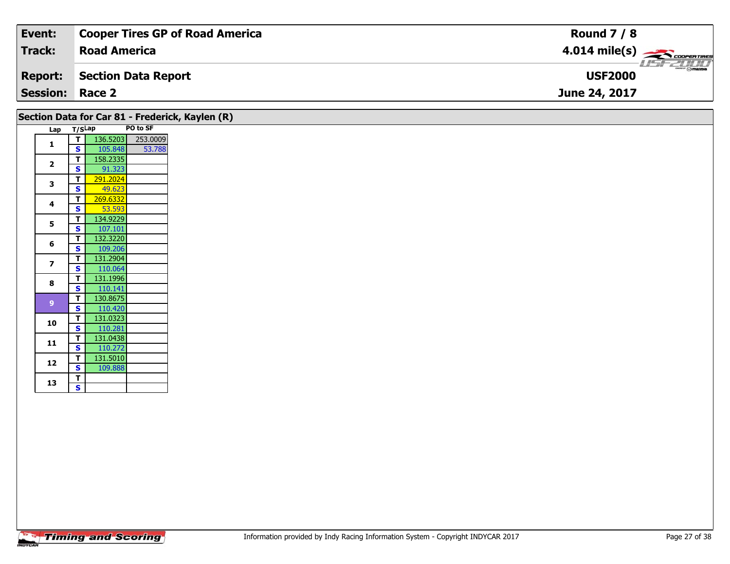| Event:                 | <b>Cooper Tires GP of Road America</b> | <b>Round 7 / 8</b>      |
|------------------------|----------------------------------------|-------------------------|
| Track:                 | <b>Road America</b>                    | $4.014 \text{ mile(s)}$ |
| <b>Report:</b>         | Section Data Report                    | <b>USF2000</b>          |
| <b>Session: Race 2</b> |                                        | June 24, 2017           |

|                         |        |          |          | Section Data for Car 81 - Frederick, Kaylen (R) |
|-------------------------|--------|----------|----------|-------------------------------------------------|
| Lap                     | T/SLap |          | PO to SF |                                                 |
| 1                       | т      | 136.5203 | 253.0009 |                                                 |
|                         | S      | 105.848  | 53.788   |                                                 |
| $\overline{\mathbf{z}}$ | т      | 158.2335 |          |                                                 |
|                         | S      | 91.323   |          |                                                 |
| 3                       | т      | 291.2024 |          |                                                 |
|                         | S      | 49.623   |          |                                                 |
| 4                       | т      | 269.6332 |          |                                                 |
|                         | S      | 53.593   |          |                                                 |
| 5                       | т      | 134.9229 |          |                                                 |
|                         | S      | 107.101  |          |                                                 |
| 6                       | т      | 132.3220 |          |                                                 |
|                         | S      | 109.206  |          |                                                 |
| $\overline{\mathbf{z}}$ | т      | 131.2904 |          |                                                 |
|                         | S      | 110.064  |          |                                                 |
| 8                       | т      | 131.1996 |          |                                                 |
|                         | S      | 110.141  |          |                                                 |
| 9                       | т      | 130.8675 |          |                                                 |
|                         | S      | 110.420  |          |                                                 |
| 10                      | т      | 131.0323 |          |                                                 |
|                         | S      | 110.281  |          |                                                 |
| 11                      | т      | 131.0438 |          |                                                 |
|                         | S      | 110.272  |          |                                                 |
| 12                      | т      | 131.5010 |          |                                                 |
|                         | S      | 109.888  |          |                                                 |
| 13                      | т      |          |          |                                                 |
|                         | S      |          |          |                                                 |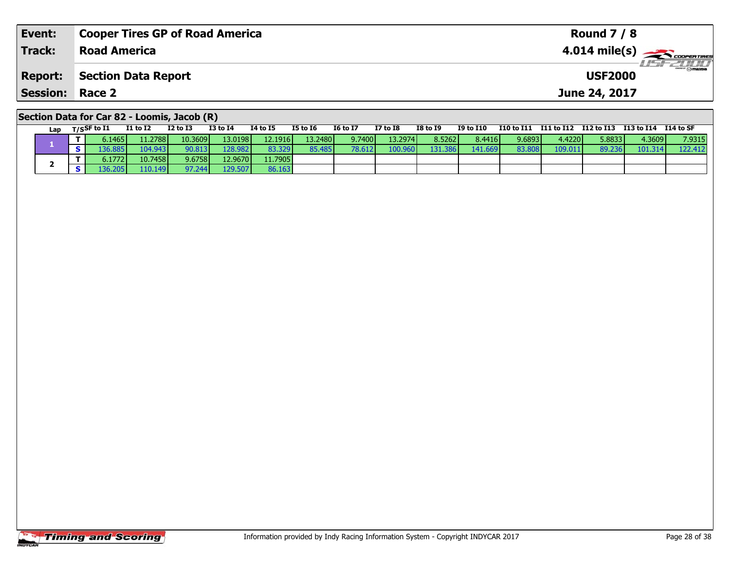| Event:                                      | <b>Cooper Tires GP of Road America</b> | <b>Round 7 / 8</b>                         |  |  |  |  |  |  |  |
|---------------------------------------------|----------------------------------------|--------------------------------------------|--|--|--|--|--|--|--|
| Track:                                      | <b>Road America</b>                    | $4.014$ mile(s) $\frac{1}{2}$ coorer Times |  |  |  |  |  |  |  |
| <b>Report:</b>                              | Section Data Report                    | $\overline{\odot}$ mazoa<br><b>USF2000</b> |  |  |  |  |  |  |  |
| <b>Session: Race 2</b>                      |                                        | June 24, 2017                              |  |  |  |  |  |  |  |
| Section Data for Car 82 - Loomis, Jacob (R) |                                        |                                            |  |  |  |  |  |  |  |

| Lap | $T/S$ SF to $I1$ | <b>I1 to I2</b> | <b>I2 to I3</b> | <b>I3 to I4</b> | 14 to 15 | <b>I5 to I6</b> | <b>16 to 17</b> | I7 to I8 | <b>I8 to 19</b> | <b>I9 to I10</b> | I10 to I11 | I11 to I12 | I12 to I13 I13 to I14 |                 | I14 to SF |
|-----|------------------|-----------------|-----------------|-----------------|----------|-----------------|-----------------|----------|-----------------|------------------|------------|------------|-----------------------|-----------------|-----------|
|     | 0.1465           | 11.2788         | 10.3609         | 13.0198         | 12.1916  | 13.2480         | 9.7400          | 13.2974  | 8.5262          | 8.4416           | 9.6893     | 4.4220 l   | 5.8833                | 4.3609 <b>l</b> | 7.9315    |
|     | ∕6.885اد         | 104.943         | 90.813          | 128.982         | 83.329   | 85.485          | 78.612          | 100.9    | 31.3861         | 141.669          | 83.80      | 109.011    | 89.236                | 101.314         | 122.412   |
|     | 5.1772 <b>I</b>  | 10.7458         | 9.6758l         | 12.9670         | 11.7905  |                 |                 |          |                 |                  |            |            |                       |                 |           |
|     | .36.205          | 110.149         | 97.244          | 129.507         | 86.163   |                 |                 |          |                 |                  |            |            |                       |                 |           |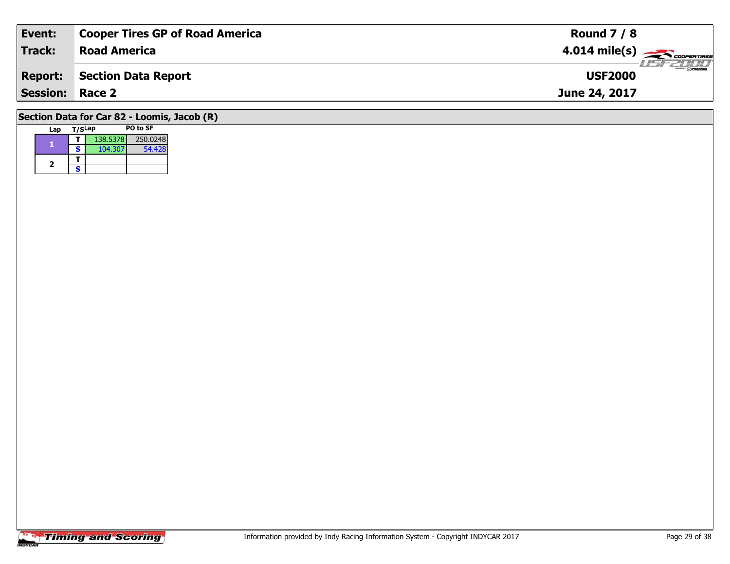| Event:                 | <b>Cooper Tires GP of Road America</b>      | <b>Round 7 / 8</b>                                      |
|------------------------|---------------------------------------------|---------------------------------------------------------|
| <b>Track:</b>          | <b>Road America</b>                         | $4.014$ mile(s) $\overbrace{\hspace{2cm}}$ coorer TIRES |
| <b>Report:</b>         | Section Data Report                         | <b>LISF 2000</b><br><b>USF2000</b>                      |
| <b>Session: Race 2</b> |                                             | June 24, 2017                                           |
|                        | Section Data for Car 82 - Loomis, Jacob (R) |                                                         |

| Lap | T/SLap |          | PO to SF |
|-----|--------|----------|----------|
|     |        | 138.5378 | 250,0248 |
|     | s      | 104.307  | 54.428   |
|     |        |          |          |
| 2   | ς      |          |          |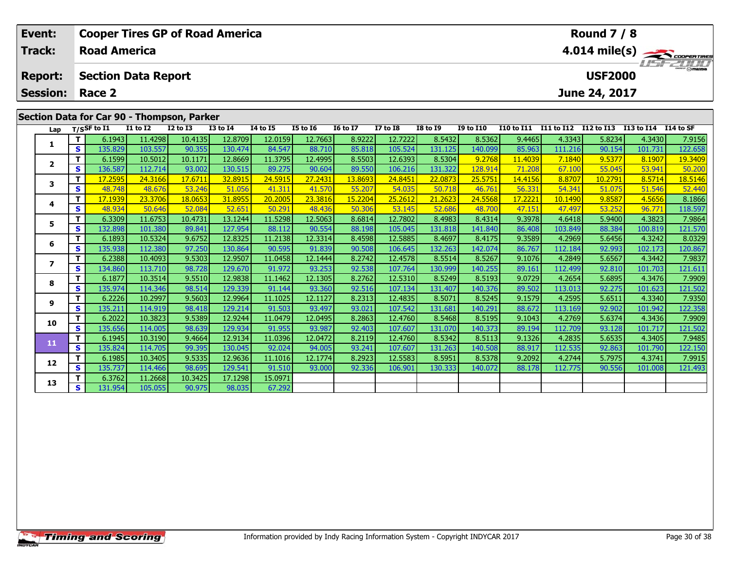| Event:                        |                        |                       |                                       | <b>Cooper Tires GP of Road America</b>     |                 |                 |                                 |                 |                       | <b>Round 7 / 8</b>                   |                  |                         |            |                |                             |            |  |
|-------------------------------|------------------------|-----------------------|---------------------------------------|--------------------------------------------|-----------------|-----------------|---------------------------------|-----------------|-----------------------|--------------------------------------|------------------|-------------------------|------------|----------------|-----------------------------|------------|--|
| Track:<br><b>Road America</b> |                        |                       |                                       |                                            |                 |                 |                                 |                 |                       |                                      |                  | $4.014 \text{ mile(s)}$ |            |                |                             |            |  |
| <b>Report:</b>                |                        |                       | <b>Section Data Report</b>            |                                            |                 |                 |                                 |                 |                       |                                      |                  |                         |            | <b>USF2000</b> |                             | ZL/LL      |  |
|                               | <b>Session: Race 2</b> |                       |                                       |                                            |                 |                 |                                 |                 |                       | June 24, 2017                        |                  |                         |            |                |                             |            |  |
|                               |                        |                       |                                       | Section Data for Car 90 - Thompson, Parker |                 |                 |                                 |                 |                       |                                      |                  |                         |            |                |                             |            |  |
| Lap                           |                        | $_{\rm T/SS}$ F to I1 | <b>I1 to I2</b>                       | <b>I2 to I3</b>                            | <b>I3 to I4</b> | <b>I4 to I5</b> | I5 to 16                        | <b>I6 to I7</b> | <b>I7 to I8</b>       | <b>I8 to I9</b>                      | <b>I9 to I10</b> | <b>I10 to I11</b>       | I11 to I12 | I12 to I13     | I13 to I14                  | I14 to SF  |  |
|                               |                        | 6.1943                | 11.4298                               | 10.4135                                    | 12.8709         | 12.0159         | 12.7663                         | 8.9222          | 12.7222               | 8.5432                               | 8.5362           | 9.4465                  | 4.3343     | 5.8234         | 4.3430                      | 7.9156     |  |
|                               | <b>S</b>               | 135,829               | 103.557                               | 90.355                                     | 130.474         | 84.547          | 88.710                          | 85.818          | 105.524               | 131.125                              | 140.099          | 85.963                  | 111.216    | 90.154         | 101.731                     | 122.658    |  |
|                               | - 1                    | <b>A</b> Amazol       | $\lambda$ and $\lambda$ and $\lambda$ |                                            | an occol        | --------        | $\overline{10}$ $\overline{10}$ | $\sim$ $ \sim$  | <b><i>RACHARD</i></b> | $\sim$ = $\sim$ $\sim$ $\sim$ $\sim$ | $5 - 22$         | 11.0000                 | $-101$     | $\sim$ $ -$    | $\sim$ $\sim$ $\sim$ $\sim$ | $\sqrt{2}$ |  |

|                         |   | 6.1943  | 11.42981 | 10.4135 | 12.8709 | 12.0159 | 12.76631 | 8.9222         | 12./222 | 8.5432  | 8.5362  | 9.4465  | 4.33431 | 5.8234  | 4.34301 | 7.9156  |
|-------------------------|---|---------|----------|---------|---------|---------|----------|----------------|---------|---------|---------|---------|---------|---------|---------|---------|
|                         | s | 135.829 | 103.557  | 90.355  | 130.474 | 84.547  | 88.710   | 85.818         | 105.524 | 131.125 | 140.099 | 85.963  | 111.216 | 90.154  | 101.731 | 122.658 |
| $\overline{\mathbf{2}}$ |   | 6.1599  | 10.5012  | 10.1171 | 12.8669 | 11.3795 | 12.4995  | 8.5503         | 12.6393 | 8.5304  | 9.2768  | 11.4039 | 7.1840  | 9.5377  | 8.1907  | 19.3409 |
|                         | s | 136.587 | 112.714  | 93.002  | 130.515 | 89.275  | 90.604   | 89.550         | 106.216 | 131.322 | 128.914 | 71.208  | 67.100  | 55.045  | 53.941  | 50.200  |
| 3                       |   | 17.2595 | 24.3166  | 17.6711 | 32.8915 | 24.5915 | 27.2431  | 13.8693        | 24.8451 | 22.0873 | 25.5751 | 14.4156 | 8.8707  | 10.2791 | 8.5714  | 18.5146 |
|                         | S | 48.748  | 48.676   | 53.246  | 51.056  | 41.311  | 41.570   | 55.207         | 54.035  | 50.718  | 46.761  | 56.331  | 54.341  | 51.075  | 51.546  | 52.440  |
| 4                       |   | 17.1939 | 23,3706  | 18.0653 | 31.8955 | 20.2005 | 23.3816  | <b>15.2204</b> | 25.2612 | 21.2623 | 24.5568 | 17.2221 | 10.1490 | 9.8587  | 4.5656  | 8.1866  |
|                         | S | 48.934  | 50.646   | 52.084  | 52.651  | 50.291  | 48.436   | 50.306         | 53.145  | 52.686  | 48.700  | 47.151  | 47.497  | 53.252  | 96.771  | 118.597 |
| 5                       |   | 6.3309  | 11.6753  | 10.4731 | 13.1244 | 11.5298 | 12.5063  | 8.6814         | 12.7802 | 8.4983  | 8.4314  | 9.3978  | 4.6418  | 5.9400  | 4.3823  | 7.9864  |
|                         | s | 132.898 | 101.380  | 89.841  | 127.954 | 88.112  | 90.554   | 88.198         | 105.045 | 131.818 | 141.840 | 86.408  | 103.849 | 88.384  | 100.819 | 121.570 |
| 6                       |   | 6.1893  | 10.5324  | 9.6752  | 12.8325 | 11.2138 | 12.3314  | 8.4598         | 12.5885 | 8.4697  | 8.4175  | 9.3589  | 4.2969  | 5.6456  | 4.3242  | 8.0329  |
|                         | s | 135.938 | 112.380  | 97.250  | 130.864 | 90.595  | 91.839   | 90.508         | 106.645 | 132.263 | 142.074 | 86.767  | 112.184 | 92.993  | 102.173 | 120.867 |
| 7                       |   | 6.2388  | 10.4093  | 9.5303  | 12.9507 | 11.0458 | 12.1444  | 8.2742         | 12.4578 | 8.5514  | 8.5267  | 9.1076  | 4.2849  | 5.6567  | 4.3442  | 7.9837  |
|                         | s | 134.860 | 113.710  | 98.728  | 129.670 | 91.972  | 93.253   | 92.538         | 107.764 | 130.999 | 140.255 | 89.161  | 112.499 | 92.810  | 101.703 | 121.611 |
| 8                       |   | 6.1877  | 10.3514  | 9.5510  | 12.9838 | 11.1462 | 12.1305  | 8.2762         | 12.5310 | 8.5249  | 8.5193  | 9.0729  | 4.2654  | 5.6895  | 4.3476  | 7.9909  |
|                         | s | 135.974 | 114.346  | 98.514  | 129.339 | 91.144  | 93.360   | 92.516         | 107.134 | 131.407 | 140.376 | 89.502  | 113.013 | 92.275  | 101.623 | 121.502 |
| 9                       |   | 6.2226  | 10.2997  | 9.5603  | 12.9964 | 11.1025 | 12.1127  | 8.2313         | 12.4835 | 8.5071  | 8.5245  | 9.1579  | 4.2595  | 5.6511  | 4.3340  | 7.9350  |
|                         | s | 135.211 | 114.919  | 98.418  | 129.214 | 91.503  | 93.497   | 93.021         | 107.542 | 131.681 | 140.291 | 88.672  | 113.169 | 92.902  | 101.942 | 122.358 |
| 10                      |   | 6.2022  | 10.3823  | 9.5389  | 12.9244 | 11.0479 | 12.0495  | 8.2863         | 12.4760 | 8.5468  | 8.5195  | 9.1043  | 4.2769  | 5.6374  | 4.3436  | 7.9909  |
|                         | S | 135.656 | 114.005  | 98.639  | 129.934 | 91.955  | 93.987   | 92.403         | 107.607 | 131.070 | 140.373 | 89.194  | 112.709 | 93.128  | 101.717 | 121.502 |
| 11                      |   | 6.1945  | 10.3190  | 9.4664  | 12.9134 | 11.0396 | 12.0472  | 8.2119         | 12.4760 | 8.5342  | 8.5113  | 9.1326  | 4.2835  | 5.6535  | 4.3405  | 7.9485  |
|                         | S | 135.824 | 114.705  | 99.395  | 130.045 | 92.024  | 94.005   | 93.241         | 107.607 | 131.263 | 140.508 | 88.917  | 112.535 | 92.863  | 101.790 | 122.150 |
| 12                      |   | 6.1985  | 10.3405  | 9.5335  | 12.9636 | 11.1016 | 12.1774  | 8.2923         | 12.5583 | 8.5951  | 8.5378  | 9.2092  | 4.2744  | 5.7975  | 4.3741  | 7.9915  |
|                         | S | 135.737 | 114.466  | 98.695  | 129.541 | 91.510  | 93.000   | 92.336         | 106.901 | 130.333 | 140.072 | 88.178  | 112.775 | 90.556  | 101.008 | 121.493 |
| 13                      |   | 6.3762  | 11.2668  | 10.3425 | 17.1298 | 15.0971 |          |                |         |         |         |         |         |         |         |         |
|                         | s | 131.954 | 105.055  | 90.975  | 98.035  | 67.292  |          |                |         |         |         |         |         |         |         |         |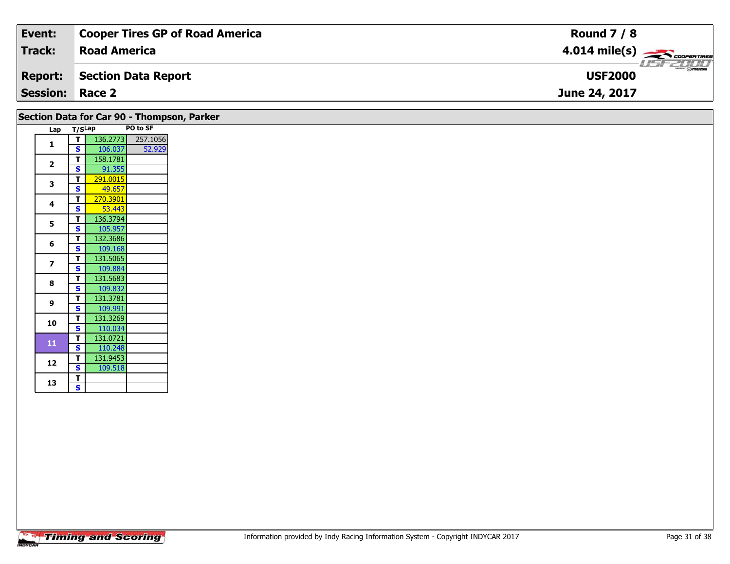| Event:                 | <b>Cooper Tires GP of Road America</b> | <b>Round 7 / 8</b>                |
|------------------------|----------------------------------------|-----------------------------------|
| Track:                 | <b>Road America</b>                    | $4.014 \text{ mile(s)}$           |
| Report:                | Section Data Report                    | $ \Theta$ mazpa<br><b>USF2000</b> |
| <b>Session: Race 2</b> |                                        | June 24, 2017                     |

|                         |                         | Section Data for Car 90 - Thompson, Parker |          |
|-------------------------|-------------------------|--------------------------------------------|----------|
| Lap                     |                         | T/SLap                                     | PO to SF |
| $\mathbf{1}$            | T                       | 136.2773                                   | 257.1056 |
|                         | S                       | 106.037                                    | 52.929   |
| $\overline{2}$          | т                       | 158.1781                                   |          |
|                         | $\mathbf{s}$            | 91.355                                     |          |
| 3                       | T                       | 291.0015                                   |          |
|                         | $\mathbf s$             | 49.657                                     |          |
| 4                       | T                       | 270.3901                                   |          |
|                         | $\mathbf s$             | 53.443                                     |          |
| 5                       | T                       | 136.3794                                   |          |
|                         | S                       | 105.957                                    |          |
| 6                       | т                       | 132.3686                                   |          |
|                         | $\mathbf{s}$            | 109.168                                    |          |
|                         | T                       | 131.5065                                   |          |
| $\overline{\mathbf{z}}$ | $\mathbf{s}$            | 109.884                                    |          |
| 8                       | T                       | 131.5683                                   |          |
|                         | S                       | 109.832                                    |          |
|                         | T                       | 131.3781                                   |          |
| 9                       | $\mathbf{s}$            | 109.991                                    |          |
|                         | T.                      | 131.3269                                   |          |
| 10                      | $\mathbf{s}$            | 110.034                                    |          |
|                         | T                       | 131.0721                                   |          |
| 11                      | $\mathbf{s}$            | 110.248                                    |          |
|                         | T.                      | 131.9453                                   |          |
| 12                      | S                       | 109.518                                    |          |
|                         | т                       |                                            |          |
| 13                      | $\overline{\mathbf{s}}$ |                                            |          |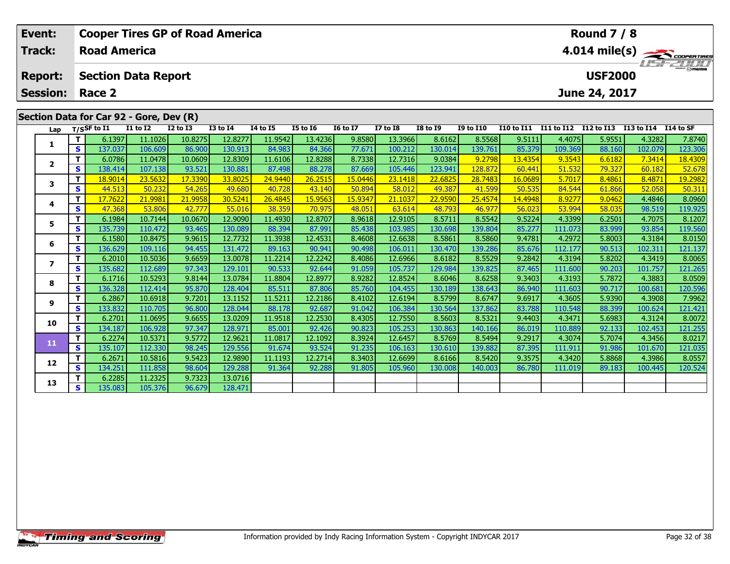| Event:<br>Track:        |    | <b>Road America</b>                     |                 | <b>Cooper Tires GP of Road America</b> |                 |          | <b>Round 7 / 8</b><br>$4.014 \text{ mile(s)}$ |                 |                 |                 |                  |                                  |                |               |                      |         |  |
|-------------------------|----|-----------------------------------------|-----------------|----------------------------------------|-----------------|----------|-----------------------------------------------|-----------------|-----------------|-----------------|------------------|----------------------------------|----------------|---------------|----------------------|---------|--|
| <b>Report:</b>          |    | <b>Section Data Report</b>              |                 |                                        |                 |          |                                               |                 |                 |                 |                  |                                  | <b>USF2000</b> |               |                      |         |  |
| <b>Session:</b>         |    | Race 2                                  |                 |                                        |                 |          |                                               |                 |                 |                 |                  |                                  |                | June 24, 2017 |                      |         |  |
|                         |    | Section Data for Car 92 - Gore, Dev (R) |                 |                                        |                 |          |                                               |                 |                 |                 |                  |                                  |                |               |                      |         |  |
| Lap                     |    | $T/S$ SF to $\overline{11}$             | <b>I1 to I2</b> | <b>I2 to I3</b>                        | <b>I3 to I4</b> | 14 to 15 | <b>I5 to 16</b>                               | <b>16 to 17</b> | <b>I7 to I8</b> | <b>I8 to I9</b> | <b>I9 to I10</b> | I10 to I11 I11 to I12 I12 to I13 |                |               | I13 to I14 I14 to SF |         |  |
| 1                       |    | 6.1397                                  | 11.1026         | 10.8275                                | 12.8277         | 11.9542  | 13.4236                                       | 9.8580          | 13.3966         | 8.6162          | 8.5568           | 9.5111                           | 4.4075         | 5.9551        | 4.3282               | 7.8740  |  |
|                         | s. | 137.037                                 | 106.609         | 86.900                                 | 130.913         | 84.983   | 84.366                                        | 77.671          | 100.212         | 130.014         | 139.761          | 85.379                           | 109.369        | 88.160        | 102.079              | 123.306 |  |
| $\overline{2}$          |    | 6.0786                                  | 11.0478         | 10.0609                                | 12.8309         | 11.6106  | 12.8288                                       | 8.7338          | 12.7316         | 9.0384          | 9.2798           | 13.4354                          | 9.3543         | 6.6182        | 7.3414               | 18.4309 |  |
|                         | S. | 138.414                                 | 107.138         | 93.521                                 | 130.881         | 87.498   | 88.278                                        | 87.669          | 105.446         | 123.941         | 128.87           | 60.441                           | 51.532         | 79.327        | 60.182               | 52.678  |  |
| 3                       |    | 18.9014                                 | 23.5632         | 17.3390                                | 33.8025         | 24.9440  | 26.2515                                       | 15.0446         | 23.1418         | 22.6825         | 28.7483          | 16.0689                          | 5.7017         | 8.4861        | 8.4871               | 19.2982 |  |
|                         | S  | 44.513                                  | 50.232          | 54.265                                 | 49.680          | 40.728   | 43.140                                        | 50.894          | 58.012          | 49.387          | 41.599           | 50.535                           | 84.544         | 61.866        | 52.058               | 50.311  |  |
| 4                       |    | 17.7622                                 | 21.998          | 21.9958                                | 30.5241         | 26.4845  | 15.9563                                       | 15.9347         | 21.1037         | 22,9590         | 25.4574          | 14.4948                          | 8.9277         | 9.0462        | 4.4846               | 8.0960  |  |
|                         | S  | 47.368                                  | 53.806          | 42.777                                 | 55.016          | 38.359   | 70.975                                        | 48.051          | 63.614          | 48.793          | 46.977           | 56.023                           | 53.994         | 58.035        | 98.519               | 119.925 |  |
| 5                       | т  | 6.1984                                  | 10.7144         | 10.0670                                | 12.9090         | 11.4930  | 12.8707                                       | 8.9618          | 12.9105         | 8.5711          | 8.5542           | 9.5224                           | 4.3399         | 6.2501        | 4.7075               | 8.1207  |  |
|                         | S  | 135.739                                 | 110.472         | 93.465                                 | 130.089         | 88.394   | 87.991                                        | 85.438          | 103.985         | 130.698         | 139.804          | 85.277                           | 111.073        | 83.999        | 93.854               | 119.560 |  |
| 6                       |    | 6.1580                                  | 10.8475         | 9.9615                                 | 12.7732         | 11.3938  | 12.4531                                       | 8.4608          | 12.6638         | 8.5861          | 8.5860           | 9.4781                           | 4.2972         | 5.8003        | 4.3184               | 8.0150  |  |
|                         | S  | 136.629                                 | 109.116         | 94.455                                 | 131.472         | 89.163   | 90.941                                        | 90.498          | 106.011         | 130.470         | 139.286          | 85.676                           | 112.177        | 90.513        | 102.311              | 121.137 |  |
| $\overline{\mathbf{z}}$ | т  | 6.2010                                  | 10.5036         | 9.6659                                 | 13.0078         | 11.2214  | 12.2242                                       | 8.4086          | 12.6966         | 8.6182          | 8.5529           | 9.2842                           | 4.3194         | 5.8202        | 4.3419               | 8.0065  |  |
|                         | S. | 135.682                                 | 112.689         | 97.343                                 | 129.101         | 90.533   | 92.644                                        | 91.059          | 105.737         | 129.984         | 139.825          | 87.465                           | 111.600        | 90.203        | 101.757              | 121.265 |  |
| 8                       |    | 6.1716                                  | 10.5293         | 9.8144                                 | 13.0784         | 11.8804  | 12.8977                                       | 8.9282          | 12.8524         | 8.6046          | 8.6258           | 9.3403                           | 4.3193         | 5.7872        | 4.3883               | 8.0509  |  |
|                         | S  | 136.328                                 | 112.414         | 95.870                                 | 128.404         | 85.511   | 87.806                                        | 85.760          | 104.455         | 130.189         | 138.643          | 86.940                           | 111.603        | 90.717        | 100.681              | 120.596 |  |
| 9                       |    | 6.2867                                  | 10.6918         | 9.7201                                 | 13.1152         | 11.5211  | 12.2186                                       | 8.4102          | 12.6194         | 8.5799          | 8.6747           | 9.6917                           | 4.3605         | 5.9390        | 4.3908               | 7.9962  |  |
|                         | S. | 133.832                                 | 110.705         | 96.800                                 | 128.044         | 88.178   | 92.687                                        | 91.042          | 106.384         | 130.564         | 137.862          | 83.788                           | 110.548        | 88.399        | 100.624              | 121.421 |  |

0 | T | 6.2701| 11.0695| 9.6655| 13.0209| 11.9518| 12.2530| 8.4305| 12.7550| 8.5603| 8.5321| 9.4403| 4.3471| 5.6983| 4.3124| 8.0072<br>| S | 134.187| 106.928| 97.347| 128.971| 85.001| 92.426| 90.823| 105.253| 130.863| 140.166

**<sup>T</sup>** 6.2274 10.5371 9.5772 12.9621 11.0817 12.1092 8.3924 12.6457 8.5769 8.5494 9.2917 4.3074 5.7074 4.3456 8.0217 **<sup>S</sup>** 135.107 112.330 98.245 129.556 91.674 93.524 91.235 106.163 130.610 139.882 87.395 111.911 91.986 101.670 121.035

2 | T | 6.2671 10.5816| 9.5423| 12.9890| 11.1193| 12.2714| 8.3403| 12.6699| 8.6166| 8.5420| 9.3575| 4.3420| 5.8868| 4.3986| 8.0557<br>| S | 134.251 111.858| 98.604 129.288| 91.364| 92.288| 91.805| 105.960| 130.008| 140.003| 8

**<sup>T</sup>** 6.2285 11.2325 9.7323 13.0716 **<sup>S</sup>** 135.083 105.376 96.679 128.471

128.471

**10**

**11**

**12**

**13**

 $8.0217$ 

121.035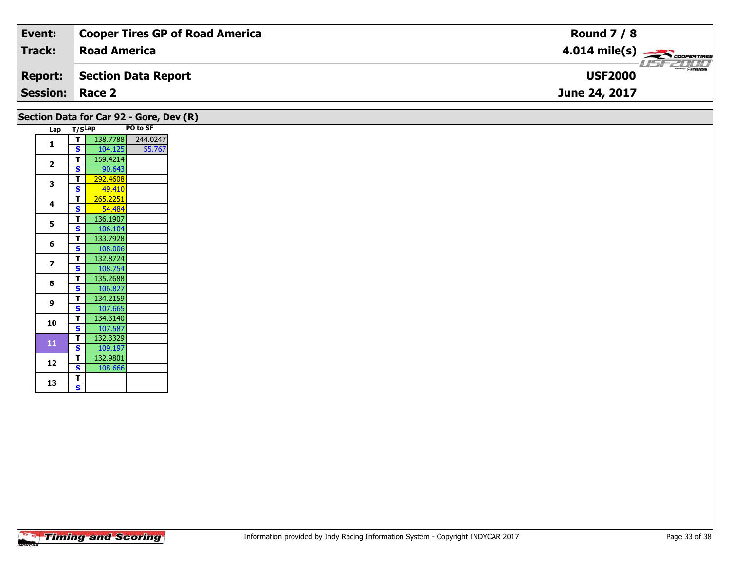| Event:                 | <b>Cooper Tires GP of Road America</b> | <b>Round 7 / 8</b>                      |
|------------------------|----------------------------------------|-----------------------------------------|
| <b>Track:</b>          | <b>Road America</b>                    | $4.014$ mile(s) $\leftarrow$ coorgaring |
| <b>Report:</b>         | Section Data Report                    | <b>Mazoa</b><br><b>USF2000</b>          |
| <b>Session: Race 2</b> |                                        | June 24, 2017                           |
|                        |                                        |                                         |

## **Section Data for Car 92 - Gore, Dev (R)**

| Lap            | T/SLap                  |          | PO to SF |
|----------------|-------------------------|----------|----------|
|                | т                       | 138.7788 | 244.0247 |
| 1              | S                       | 104.125  | 55.767   |
| $\overline{2}$ | т                       | 159.4214 |          |
|                | S                       | 90.643   |          |
| 3              | т                       | 292.4608 |          |
|                | S                       | 49.410   |          |
| 4              | Т                       | 265.2251 |          |
|                | S                       | 54.484   |          |
| 5              | Т                       | 136.1907 |          |
|                | $\overline{\mathbf{s}}$ | 106.104  |          |
| 6              | т                       | 133.7928 |          |
|                | S                       | 108.006  |          |
| 7              | т                       | 132.8724 |          |
|                | S                       | 108.754  |          |
| 8              | T                       | 135.2688 |          |
|                | S                       | 106.827  |          |
| 9              | Т                       | 134.2159 |          |
|                | S                       | 107.665  |          |
| 10             | т                       | 134.3140 |          |
|                | S                       | 107.587  |          |
| 11             | Т                       | 132.3329 |          |
|                | S                       | 109.197  |          |
| 12             | Т                       | 132.9801 |          |
|                | S                       | 108.666  |          |
| 13             | T                       |          |          |
|                | S                       |          |          |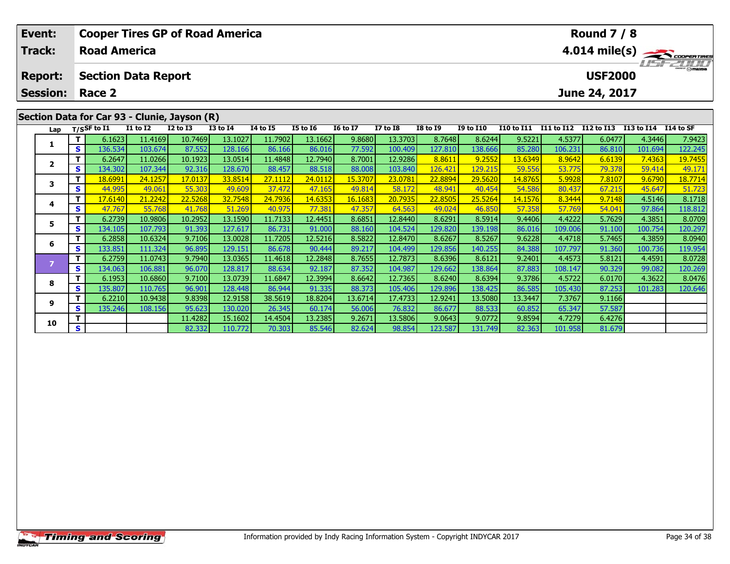| Event:                                       |    |                     |                 | <b>Cooper Tires GP of Road America</b>       |                 |                 |                 |                 |                 |                 |                  |                                                                                                                                                                                                                                                                                                                                                                                      |                 | <b>Round 7 / 8</b> |                      |                |  |  |
|----------------------------------------------|----|---------------------|-----------------|----------------------------------------------|-----------------|-----------------|-----------------|-----------------|-----------------|-----------------|------------------|--------------------------------------------------------------------------------------------------------------------------------------------------------------------------------------------------------------------------------------------------------------------------------------------------------------------------------------------------------------------------------------|-----------------|--------------------|----------------------|----------------|--|--|
| Track:                                       |    | <b>Road America</b> |                 |                                              |                 |                 |                 |                 |                 |                 | 4.014 mile(s)    |                                                                                                                                                                                                                                                                                                                                                                                      |                 |                    |                      |                |  |  |
| <b>Section Data Report</b><br><b>Report:</b> |    |                     |                 |                                              |                 |                 |                 |                 |                 |                 |                  |                                                                                                                                                                                                                                                                                                                                                                                      |                 | <b>USF2000</b>     |                      | <b>HSFZUTI</b> |  |  |
| <b>Session:</b>                              |    | Race 2              |                 |                                              |                 |                 |                 |                 |                 |                 |                  |                                                                                                                                                                                                                                                                                                                                                                                      | June 24, 2017   |                    |                      |                |  |  |
|                                              |    |                     |                 | Section Data for Car 93 - Clunie, Jayson (R) |                 |                 |                 |                 |                 |                 |                  |                                                                                                                                                                                                                                                                                                                                                                                      |                 |                    |                      |                |  |  |
|                                              |    | Lap $T/SSF$ to I1   | <b>I1 to I2</b> | <b>I2 to I3</b>                              | <b>I3 to I4</b> | <b>I4 to I5</b> | <b>I5 to I6</b> | <b>16 to 17</b> | <b>I7 to I8</b> | <b>I8 to I9</b> | <b>I9 to I10</b> | I10 to I11                                                                                                                                                                                                                                                                                                                                                                           | I11 to I12      | I12 to I13         | I13 to I14           | I14 to SF      |  |  |
|                                              |    | 6.1623              | 11.4169         | 10.7469                                      | 13.1027         | 11.7902         | 13.1662         | 9.8680          | 13.3703         | 8.7648          | 8.6244           | 9.5221                                                                                                                                                                                                                                                                                                                                                                               | 4.5377          | 6.0477             | 4.3446               | 7.9423         |  |  |
|                                              | S. | 136.534             | 103.674         | 87.552                                       | 128.166         | 86.166          | 86.016          | 77.592          | 100.409         | 127.810         | 138.666          | 85.280                                                                                                                                                                                                                                                                                                                                                                               | 106.231         | 86.810             | 101.694              | 122.245        |  |  |
|                                              |    | 6.2647              | 11.0266         | 10.1923                                      | 13.0514         | 11.4848         | 12.7940         | 8.7001          | 12.9286         | 8.8611          | 9.2552           | 13.6349                                                                                                                                                                                                                                                                                                                                                                              | 8.9642          | 6.6139             | 7.4363               | 19.7455        |  |  |
|                                              | s  | 134.302             | 107.344         | 92.316                                       | 128,670         | 88.457          | 88.518          | 88.008          | 103.840         | 126.421         | 129.215          | 59.556                                                                                                                                                                                                                                                                                                                                                                               | 53.775          | 79.378             | 59.414               | 49.171         |  |  |
|                                              | -  | 100001              | <b>0440FT</b>   | 170127                                       | 22021           | 27.112          | 24.0442         | $1 - 2707$      | 22.27           | 22.0001         | 20 F222          | $\overline{1}$ $\overline{0}$ $\overline{0}$ $\overline{0}$ $\overline{0}$ $\overline{0}$ $\overline{0}$ $\overline{0}$ $\overline{0}$ $\overline{0}$ $\overline{0}$ $\overline{0}$ $\overline{0}$ $\overline{0}$ $\overline{0}$ $\overline{0}$ $\overline{0}$ $\overline{0}$ $\overline{0}$ $\overline{0}$ $\overline{0}$ $\overline{0}$ $\overline{0}$ $\overline{0}$ $\overline{$ | <b>E</b> coppel | 7.0107             | $\sim$ $\sim$ $\sim$ | $40 - 7744$    |  |  |

| Lap |    | T/SSF to 11 | 11 to 12 | 12 to 13 | 13 to 14 | 14 to 15 | 15 to 16 | 10 to 1/ | 17 TO 18 | 18 to 19 | <b>19 to 110</b> | 110 to 111 | 111 to 112 | 112 to 113 | 113 to 114 | L14 to SF |
|-----|----|-------------|----------|----------|----------|----------|----------|----------|----------|----------|------------------|------------|------------|------------|------------|-----------|
|     |    | 6.1623      | 11.4169  | 10.7469  | 13.1027  | 11.7902  | 13.1662  | 9.8680   | 13.3703  | 8.7648   | 8.6244           | 9.5221     | 4.5377     | 6.0477     | 4.3446     | 7.9423    |
|     | S. | 136.534     | 103.674  | 87.552   | 128.166  | 86.166   | 86.016   | 77.592   | 100.409  | 127.810  | 138.666          | 85.280     | 106.231    | 86.810     | 101.694    | 122.245   |
|     |    | 6.2647      | 11.0266  | 10.1923  | 13.0514  | 11.4848  | 12.7940  | 8.7001   | 12.9286  | 8.8611   | 9.2552           | 13.6349    | 8.9642     | 6.6139     | 7.4363     | 19.7455   |
|     | S. | 134.302     | 107.344  | 92.316   | 128.670  | 88.457   | 88.518   | 88.008   | 103.840  | 126.421  | 129.215          | 59.556     | 53.775     | 79.378     | 59.414     | 49.171    |
|     | т  | 18.6991     | 24.1257  | 17.0137  | 33.8514  | 27.1112  | 24.0112  | 15.3707  | 23.0781  | 22.8894  | 29.5620          | 14.8765    | 5.9928     | 7.8107     | 9.6790     | 18.7714   |
|     | S. | 44.995      | 49.061   | 55.303   | 49.609   | 37.472   | 47.165   | 49.814   | 58.172   | 48.941   | 40.454           | 54.586     | 80.437     | 67.215     | 45.647     | 51.723    |
|     |    | 17.6140     | 21.2242  | 22.5268  | 32.7548  | 24.7936  | 14.6353  | 16.1683  | 20.7935  | 22.8505  | 25.5264          | 14.1576    | 8.3444     | 9.7148     | 4.5146     | 8.1718    |
|     | S  | 47.767      | 55.768   | 41.768   | 51.269   | 40.975   | 77.381   | 47.357   | 64.563   | 49.024   | 46.850           | 57.358     | 57.769     | 54.041     | 97.864     | 118.812   |
|     |    | 6.2739      | 10.9806  | 10.2952  | 13.1590  | 11.7133  | 12.4451  | 8.6851   | 12.8440  | 8.6291   | 8.5914           | 9.4406     | 4.4222     | 5.7629     | 4.3851     | 8.0709    |
|     | S. | 134.105     | 107.793  | 91.393   | 127.617  | 86.731   | 91.000   | 88.160   | 104.524  | 129.820  | 139.198          | 86.016     | 109.006    | 91.100     | 100.754    | 120.297   |
| 6   |    | 6.2858      | 10.6324  | 9.7106   | 13.0028  | 11.7205  | 12.5216  | 8.5822   | 12.8470  | 8.6267   | 8.5267           | 9.6228     | 4.4718     | 5.7465     | 4.3859     | 8.0940    |
|     | S. | 133.851     | 111.324  | 96.895   | 129.151  | 86.678   | 90.444   | 89.217   | 104.499  | 129.856  | 140.255          | 84.388     | 107.797    | 91.360     | 100.736    | 119.954   |
|     |    | 6.2759      | 11.0743  | 9.7940   | 13.0365  | 11.4618  | 12.2848  | 8.7655   | 12.7873  | 8.6396   | 8.6121           | 9.2401     | 4.4573     | 5.8121     | 4.4591     | 8.0728    |
|     | S. | 134.063     | 106.881  | 96.070   | 128.817  | 88.634   | 92.187   | 87.352   | 104.987  | 129.662  | 138.864          | 87.883     | 108.147    | 90.329     | 99.082     | 120.269   |
| 8   |    | 6.1953      | 10.6860  | 9.7100   | 13.0739  | 11.6847  | 12.3994  | 8.6642   | 12.7365  | 8.6240   | 8.6394           | 9.3786     | 4.5722     | 6.0170     | 4.3622     | 8.0476    |
|     | S. | 135.807     | 110.765  | 96.901   | 128.448  | 86.944   | 91.335   | 88.373   | 105.406  | 129.896  | 138.425          | 86.585     | 105.430    | 87.253     | 101.283    | 120.646   |
| 9   |    | 6.2210      | 10.9438  | 9.8398   | 12.9158  | 38.5619  | 18.8204  | 13.6714  | 17.4733  | 12.9241  | 13.5080          | 13.3447    | 7.3767     | 9.1166     |            |           |
|     | S. | 135.246     | 108.156  | 95.623   | 130.020  | 26.345   | 60.174   | 56.006   | 76.832   | 86.677   | 88.533           | 60.852     | 65.347     | 57.587     |            |           |
| 10  |    |             |          | 11.4282  | 15.1602  | 14.4504  | 13.2385  | 9.2671   | 13.5806  | 9.0643   | 9.0772           | 9.8594     | 4.7279     | 6.4276     |            |           |
|     | S  |             |          | 82.332   | 110.772  | 70.303   | 85.546   | 82.624   | 98.854   | 123.587  | 131.749          | 82.363     | 101.958    | 81.679     |            |           |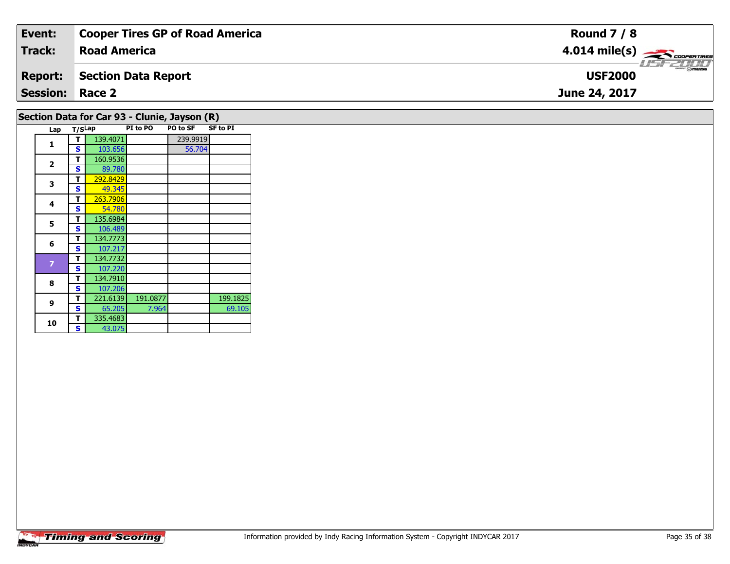| Event:                 | <b>Cooper Tires GP of Road America</b> | <b>Round 7 / 8</b>                                                                                                                                                                                                                                                                                                                                                                                                                                                                                |
|------------------------|----------------------------------------|---------------------------------------------------------------------------------------------------------------------------------------------------------------------------------------------------------------------------------------------------------------------------------------------------------------------------------------------------------------------------------------------------------------------------------------------------------------------------------------------------|
| Track:                 | <b>Road America</b>                    | $4.014$ mile(s) $\rightarrow$                                                                                                                                                                                                                                                                                                                                                                                                                                                                     |
| <b>Report:</b>         | Section Data Report                    | $\overline{\phantom{a}}$ $\overline{\phantom{a}}$ $\overline{\phantom{a}}$ $\overline{\phantom{a}}$ $\overline{\phantom{a}}$ $\overline{\phantom{a}}$ $\overline{\phantom{a}}$ $\overline{\phantom{a}}$ $\overline{\phantom{a}}$ $\overline{\phantom{a}}$ $\overline{\phantom{a}}$ $\overline{\phantom{a}}$ $\overline{\phantom{a}}$ $\overline{\phantom{a}}$ $\overline{\phantom{a}}$ $\overline{\phantom{a}}$ $\overline{\phantom{a}}$ $\overline{\phantom{a}}$ $\overline{\$<br><b>USF2000</b> |
| <b>Session: Race 2</b> |                                        | June 24, 2017                                                                                                                                                                                                                                                                                                                                                                                                                                                                                     |
|                        |                                        |                                                                                                                                                                                                                                                                                                                                                                                                                                                                                                   |

## **Lap T/SLap PI to PO PO to SF SF to PI 1T** 139.4071 239.9919<br> **S** 103.656 56.704 56.704 **2T** 160.9536<br>**S** 89.780 89.780 **3T** 292.8429 49.345 **4 <sup>T</sup>** 263.7906 **<sup>S</sup>** 54.78054.780 **55 T** 135.6984<br>**S** 106.489 **6 <sup>T</sup>** 134.7773 **<sup>S</sup>** 107.217134.7732 **<sup>T</sup>** 134.7732 **<sup>S</sup>** 107.220 **8 <sup>T</sup>** 134.7910 **<sup>S</sup>** 107.206**9 <sup>T</sup>** 221.6139 191.0877 199.1825 **<sup>S</sup>** 65.205 7.964 69.10569.105 **10T** 335.4683 **Section Data for Car 93 - Clunie, Jayson (R)**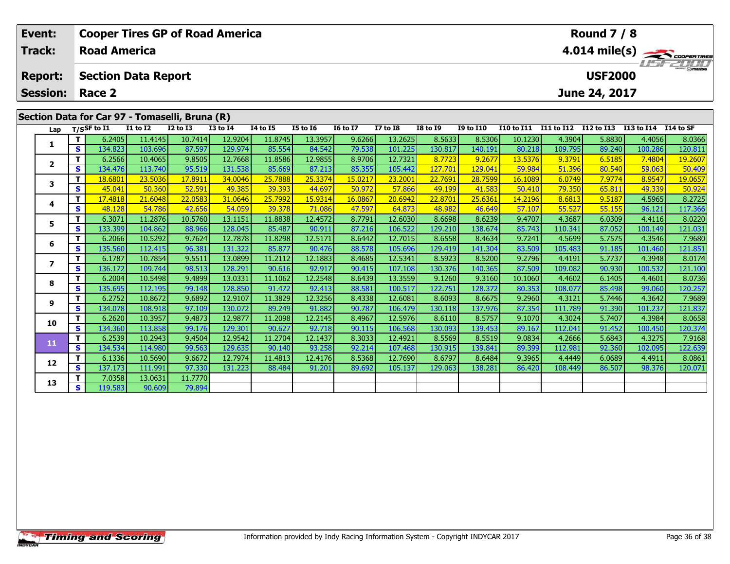| Event:<br>Track:                               |              | <b>Cooper Tires GP of Road America</b><br><b>Road America</b> |                 |                 |                 |                 |                 |                 |                 |                 | <b>Round 7 / 8</b>              |                                  |         |        |                      |         |
|------------------------------------------------|--------------|---------------------------------------------------------------|-----------------|-----------------|-----------------|-----------------|-----------------|-----------------|-----------------|-----------------|---------------------------------|----------------------------------|---------|--------|----------------------|---------|
| <b>Report:</b>                                 |              | <b>Section Data Report</b>                                    |                 |                 |                 |                 |                 |                 |                 |                 | 4.014 mile(s)<br><b>USF2000</b> |                                  |         |        |                      |         |
| <b>Session:</b><br>June 24, 2017<br>Race 2     |              |                                                               |                 |                 |                 |                 |                 |                 |                 |                 |                                 |                                  |         |        |                      |         |
| Section Data for Car 97 - Tomaselli, Bruna (R) |              |                                                               |                 |                 |                 |                 |                 |                 |                 |                 |                                 |                                  |         |        |                      |         |
| Lap                                            |              | $T/S$ SF to $I1$                                              | <b>I1 to I2</b> | <b>I2 to I3</b> | <b>I3 to I4</b> | <b>14 to 15</b> | <b>I5 to 16</b> | <b>16 to 17</b> | <b>I7 to I8</b> | <b>I8 to I9</b> | <b>I9 to I10</b>                | I10 to I11 I11 to I12 I12 to I13 |         |        | I13 to I14 I14 to SF |         |
| 1                                              |              | 6.2405                                                        | 11.4145         | 10.7414         | 12.9204         | 11.8745         | 13.3957         | 9.6266          | 13.2625         | 8.5633          | 8.5306                          | 10.1230                          | 4.3904  | 5.8830 | 4.4056               | 8.0366  |
|                                                | s            | 134.823                                                       | 103.696         | 87.597          | 129.974         | 85.554          | 84.542          | 79.538          | 101.225         | 130.817         | 140.191                         | 80.218                           | 109.795 | 89.240 | 100.286              | 120.811 |
| $\mathbf{2}$                                   |              | 6.2566                                                        | 10.4065         | 9.8505          | 12.7668         | 11.8586         | 12.9855         | 8.9706          | 12.7321         | 8.7723          | 9.2677                          | 13.5376                          | 9.3791  | 6.5185 | 7.4804               | 19.2607 |
|                                                | S            | 134.476                                                       | 113.740         | 95.519          | 131.538         | 85.669          | 87.213          | 85.355          | 105.442         | 127.701         | 129.04:                         | 59.984                           | 51.396  | 80.540 | 59.063               | 50,409  |
| 3                                              |              | 18.6801                                                       | 23.5036         | 17.8911         | 34.0046         | 25.7888         | 25.3374         | 15.0217         | 23.2001         | 22,7691         | 28.7599                         | 16.1089                          | 6.0749  | 7.9774 | 8.9547               | 19.0657 |
|                                                | S            | 45.041                                                        | 50.360          | 52.591          | 49.385          | 39.393          | 44.697          | 50.972          | 57.866          | 49.199          | 41.583                          | 50.410                           | 79.350  | 65.811 | 49.339               | 50.924  |
| 4                                              |              | 17.4818                                                       | 21.6048         | 22.0583         | 31.0646         | 25.7992         | 15.9314         | 16.0867         | 20.6942         | 22,8701         | 25.6361                         | 14.2196                          | 8.6813  | 9.5187 | 4.5965               | 8.2725  |
|                                                | S            | 48.128                                                        | 54.786          | 42.656          | 54.059          | 39.378          | 71.086          | 47.597          | 64.873          | 48.982          | 46.649                          | 57.107                           | 55.527  | 55.155 | 96.121               | 117.366 |
| 5.                                             | т            | 6.3071                                                        | 11.2876         | 10.5760         | 13.1151         | 11.8838         | 12.4572         | 8.7791          | 12.6030         | 8.6698          | 8.6239                          | 9.4707                           | 4.3687  | 6.0309 | 4.4116               | 8.0220  |
|                                                | s            | 133.399                                                       | 104.862         | 88.966          | 128.045         | 85.487          | 90.911          | 87.216          | 106.522         | 129,210         | 138.674                         | 85.743                           | 110.341 | 87.052 | 100.149              | 121.03  |
| 6                                              |              | 6.2066                                                        | 10.5292         | 9.7624          | 12.7878         | 11.8298         | 12.5171         | 8.6442          | 12.7015         | 8.6558          | 8.4634                          | 9.7241                           | 4.5699  | 5.7575 | 4.3546               | 7.9680  |
|                                                | S            | 135.560                                                       | 112.415         | 96.381          | 131.322         | 85.877          | 90.476          | 88.578          | 105.696         | 129.419         | 141.304                         | 83.509                           | 105.483 | 91.185 | 101.460              | 121.851 |
| 7                                              |              | 6.1787                                                        | 10.7854         | 9.5511          | 13.0899         | 11.2112         | 12.1883         | 8.4685          | 12.5341         | 8.5923          | 8.5200                          | 9.2796                           | 4.4191  | 5.7737 | 4.3948               | 8.0174  |
|                                                | $\mathbf{s}$ | 136.172                                                       | 109.744         | 98.513          | 128.291         | 90.616          | 92.917          | 90.415          | 107.108         | 130.376         | 140.365                         | 87.509                           | 109.082 | 90.930 | 100.532              | 121.100 |
| 8                                              |              | 6.2004                                                        | 10.5498         | 9.4899          | 13.0331         | 11.1062         | 12.2548         | 8.6439          | 13.3559         | 9.1260          | 9.3160                          | 10.1060                          | 4.4602  | 6.1405 | 4.4601               | 8.0736  |
|                                                | S            | 135.695                                                       | 112.195         | 99.148          | 128.850         | 91.472          | 92.413          | 88.581          | 100.517         | 122.751         | 128.372                         | 80.353                           | 108.077 | 85.498 | 99.060               | 120.257 |
| 9                                              |              | 6.2752                                                        | 10.8672         | 9.6892          | 12.9107         | 11.3829         | 12.3256         | 8.4338          | 12.6081         | 8.6093          | 8.6675                          | 9.2960                           | 4.3121  | 5.7446 | 4.3642               | 7.9689  |
|                                                | S            | 134.078                                                       | 108.918         | 97.109          | 130.072         | 89.249          | 91.882          | 90.787          | 106.479         | 130.118         | 137.976                         | 87.354                           | 111.789 | 91.390 | 101.237              | 121.837 |

0 | **T** | 6.2620| 10.3957| 9.4873| 12.9877| 11.2098| 12.2145| 8.4967| 12.5976| 8.6110| 8.5757| 9.1070| 4.3024| 5.7407| 4.3984| 8.0658<br>| S | 134.360| 113.858| 99.176| 129.301| 90.627| 92.718| 90.115| 106.568| 130.093| 139.4

**<sup>T</sup>** 6.2539 10.2943 9.4504 12.9542 11.2704 12.1437 8.3033 12.4921 8.5569 8.5519 9.0834 4.2666 5.6843 4.3275 7.9168 **<sup>S</sup>** 134.534 114.980 99.563 129.635 90.140 93.258 92.214 107.468 130.915 139.841 89.399 112.981 92.360 102.095 122.639

2 T 6.1336 10.5690 9.6672 12.7974 11.4813 12.4176 8.5368 12.7690 8.6797 8.6484 9.3965 4.4449 6.0689 4.4911 8.0861<br>2 S 137.173 111.991 97.330 131.223 88.484 91.201 89.692 105.137 129.063 138.281 86.420 108.449 86.507 98.376

**<sup>T</sup>** 7.0358 13.0631 11.7770 **<sup>S</sup>** 119.583 90.609 79.894

79.894

**10**

**11**

**12**

**13**

121.837

7.9168

122.639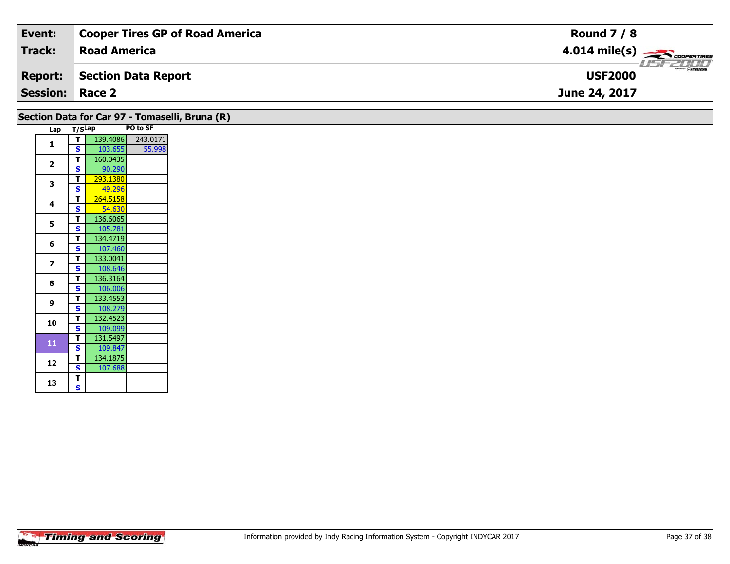| Event:                 | <b>Cooper Tires GP of Road America</b> | <b>Round 7 / 8</b>                        |
|------------------------|----------------------------------------|-------------------------------------------|
| Track:                 | <b>Road America</b>                    | $4.014$ mile(s) $\rightarrow$ COOPERTIRES |
| <b>Report:</b>         | Section Data Report                    | <b>USF2000</b>                            |
| <b>Session: Race 2</b> |                                        | June 24, 2017                             |

| Section Data for Car 97 - Tomaselli, Bruna (R) |        |          |          |  |  |  |  |  |  |
|------------------------------------------------|--------|----------|----------|--|--|--|--|--|--|
| Lap                                            | T/SLap |          | PO to SF |  |  |  |  |  |  |
| 1                                              | т      | 139.4086 | 243.0171 |  |  |  |  |  |  |
|                                                | S      | 103.655  | 55.998   |  |  |  |  |  |  |
| $\overline{2}$                                 | T      | 160.0435 |          |  |  |  |  |  |  |
|                                                | S      | 90.290   |          |  |  |  |  |  |  |
| 3                                              | т      | 293.1380 |          |  |  |  |  |  |  |
|                                                | S      | 49.296   |          |  |  |  |  |  |  |
| 4                                              | т      | 264.5158 |          |  |  |  |  |  |  |
|                                                | S      | 54.630   |          |  |  |  |  |  |  |
| 5                                              | т      | 136.6065 |          |  |  |  |  |  |  |
|                                                | S      | 105.781  |          |  |  |  |  |  |  |
| 6                                              | т      | 134.4719 |          |  |  |  |  |  |  |
|                                                | S      | 107.460  |          |  |  |  |  |  |  |
| 7                                              | т      | 133.0041 |          |  |  |  |  |  |  |
|                                                | S      | 108.646  |          |  |  |  |  |  |  |
| 8                                              | T      | 136.3164 |          |  |  |  |  |  |  |
|                                                | S      | 106.006  |          |  |  |  |  |  |  |
| 9                                              | т      | 133.4553 |          |  |  |  |  |  |  |
|                                                | Ś      | 108.279  |          |  |  |  |  |  |  |
| 10                                             | т      | 132.4523 |          |  |  |  |  |  |  |
|                                                | S      | 109.099  |          |  |  |  |  |  |  |
| 11                                             | т      | 131.5497 |          |  |  |  |  |  |  |
|                                                | S      | 109.847  |          |  |  |  |  |  |  |
| 12                                             | т      | 134.1875 |          |  |  |  |  |  |  |
|                                                | S      | 107.688  |          |  |  |  |  |  |  |
| 13                                             | т      |          |          |  |  |  |  |  |  |
|                                                | S      |          |          |  |  |  |  |  |  |